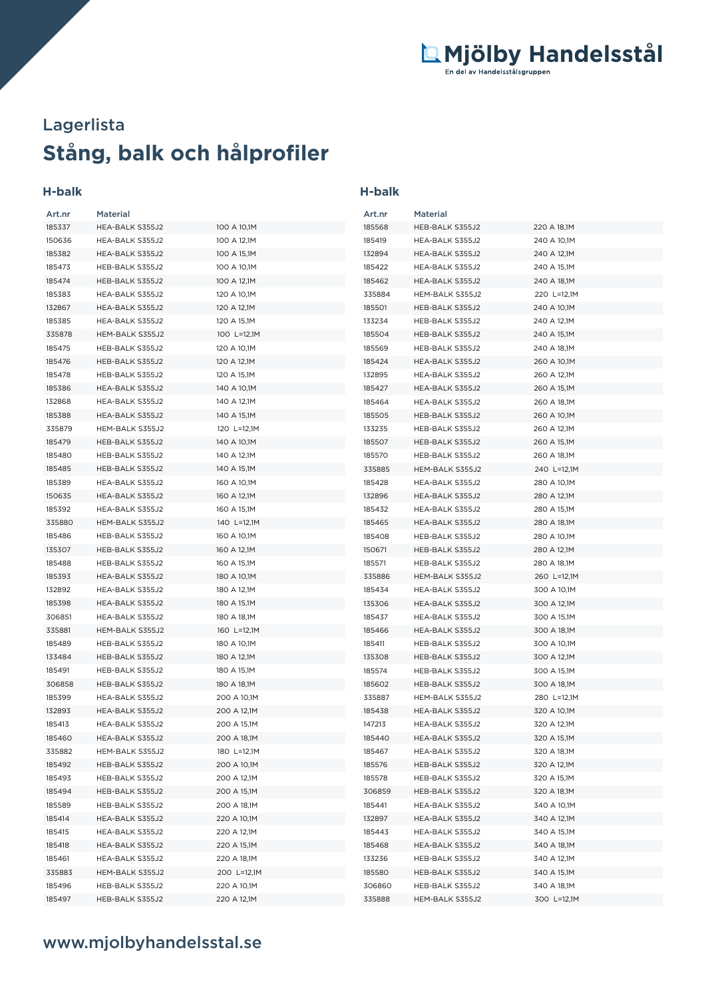# **Stång, balk och hålprofiler** Lagerlista

## **H-balk**

| Art.nr           | <b>Material</b>                    |                            | Art.nr           | <b>Material</b>                    |                            |
|------------------|------------------------------------|----------------------------|------------------|------------------------------------|----------------------------|
| 185337           | HEA-BALK S355J2                    | 100 A 10,1M                | 185568           | HEB-BALK S355J2                    | 220 A 18,1M                |
| 150636           | HEA-BALK S355J2                    | 100 A 12,1M                | 185419           | HEA-BALK S355J2                    | 240 A 10,1M                |
| 185382           | HEA-BALK S355J2                    | 100 A 15,1M                | 132894           | HEA-BALK S355J2                    | 240 A 12,1M                |
| 185473           | HEB-BALK S355J2                    | 100 A 10,1M                | 185422           | HEA-BALK S355J2                    | 240 A 15,1M                |
| 185474           | HEB-BALK S355J2                    | 100 A 12,1M                | 185462           | HEA-BALK S355J2                    | 240 A 18,1M                |
| 185383           | HEA-BALK S355J2                    | 120 A 10,1M                | 335884           | HEM-BALK S355J2                    | 220 L=12,1M                |
| 132867           | HEA-BALK S355J2                    | 120 A 12,1M                | 185501           | HEB-BALK S355J2                    | 240 A 10,1M                |
| 185385           | HEA-BALK S355J2                    | 120 A 15,1M                | 133234           | HEB-BALK S355J2                    | 240 A 12,1M                |
| 335878           | HEM-BALK S355J2                    | 100 L=12,1M                | 185504           | HEB-BALK S355J2                    | 240 A 15,1M                |
| 185475           | HEB-BALK S355J2                    | 120 A 10,1M                | 185569           | HEB-BALK S355J2                    | 240 A 18,1M                |
| 185476           | HEB-BALK S355J2                    | 120 A 12,1M                | 185424           | HEA-BALK S355J2                    | 260 A 10,1M                |
| 185478           | HEB-BALK S355J2                    | 120 A 15,1M                | 132895           | HEA-BALK S355J2                    | 260 A 12,1M                |
| 185386           | HEA-BALK S355J2                    | 140 A 10,1M                | 185427           | HEA-BALK S355J2                    | 260 A 15,1M                |
| 132868           | HEA-BALK S355J2                    | 140 A 12,1M                | 185464           | HEA-BALK S355J2                    | 260 A 18,1M                |
| 185388           | HEA-BALK S355J2                    | 140 A 15,1M                | 185505           | HEB-BALK S355J2                    | 260 A 10,1M                |
| 335879           | HEM-BALK S355J2                    | 120 L=12,1M                | 133235           | HEB-BALK S355J2                    | 260 A 12,1M                |
| 185479           | HEB-BALK S355J2                    | 140 A 10,1M                | 185507           | HEB-BALK S355J2                    | 260 A 15,1M                |
| 185480           | HEB-BALK S355J2                    | 140 A 12,1M                | 185570           | HEB-BALK S355J2                    | 260 A 18,1M                |
| 185485           | HEB-BALK S355J2                    | 140 A 15,1M                | 335885           | HEM-BALK S355J2                    | 240 L=12,1M                |
| 185389           | HEA-BALK S355J2                    | 160 A 10,1M                | 185428           | HEA-BALK S355J2                    | 280 A 10,1M                |
| 150635           | HEA-BALK S355J2                    | 160 A 12,1M                | 132896           | HEA-BALK S355J2                    | 280 A 12,1M                |
| 185392           | HEA-BALK S355J2                    | 160 A 15,1M                | 185432           | HEA-BALK S355J2                    | 280 A 15,1M                |
| 335880           | HEM-BALK S355J2                    | 140 L=12,1M                | 185465           | HEA-BALK S355J2                    |                            |
|                  | HEB-BALK S355J2                    |                            | 185408           | HEB-BALK S355J2                    | 280 A 18,1M                |
| 185486<br>135307 | HEB-BALK S355J2                    | 160 A 10,1M<br>160 A 12,1M | 150671           | HEB-BALK S355J2                    | 280 A 10,1M<br>280 A 12,1M |
| 185488           | HEB-BALK S355J2                    | 160 A 15,1M                | 185571           | HEB-BALK S355J2                    | 280 A 18,1M                |
|                  |                                    |                            | 335886           |                                    |                            |
| 185393<br>132892 | HEA-BALK S355J2<br>HEA-BALK S355J2 | 180 A 10,1M<br>180 A 12,1M | 185434           | HEM-BALK S355J2<br>HEA-BALK S355J2 | 260 L=12,1M<br>300 A 10,1M |
| 185398           | HEA-BALK S355J2                    | 180 A 15,1M                | 135306           | HEA-BALK S355J2                    | 300 A 12,1M                |
| 306851           | HEA-BALK S355J2                    | 180 A 18,1M                | 185437           | HEA-BALK S355J2                    | 300 A 15,1M                |
| 335881           | HEM-BALK S355J2                    | 160 L=12,1M                | 185466           | HEA-BALK S355J2                    | 300 A 18,1M                |
| 185489           | HEB-BALK S355J2                    | 180 A 10,1M                | 185411           | HEB-BALK S355J2                    | 300 A 10,1M                |
| 133484           | HEB-BALK S355J2                    | 180 A 12,1M                | 135308           | HEB-BALK S355J2                    | 300 A 12,1M                |
| 185491           | HEB-BALK S355J2                    | 180 A 15,1M                | 185574           | HEB-BALK S355J2                    | 300 A 15,1M                |
| 306858           | HEB-BALK S355J2                    | 180 A 18,1M                | 185602           | HEB-BALK S355J2                    | 300 A 18,1M                |
| 185399           | HEA-BALK S355J2                    | 200 A 10,1M                | 335887           | HEM-BALK S355J2                    | 280 L=12,1M                |
| 132893           | HEA-BALK S355J2                    | 200 A 12,1M                | 185438           | HEA-BALK S355J2                    | 320 A 10,1M                |
| 185413           | HEA-BALK S355J2                    | 200 A 15,1M                | 147213           | HEA-BALK S355J2                    | 320 A 12,1M                |
| 185460           | HEA-BALK S355J2                    | 200 A 18,1M                | 185440           | HEA-BALK S355J2                    | 320 A 15,1M                |
| 335882           | HEM-BALK S355J2                    | 180 L=12,1M                | 185467           | HEA-BALK S355J2                    | 320 A 18,1M                |
| 185492           | HEB-BALK S355J2                    | 200 A 10,1M                | 185576           | HEB-BALK S355J2                    | 320 A 12,1M                |
| 185493           | HEB-BALK S355J2                    | 200 A 12,1M                | 185578           | HEB-BALK S355J2                    | 320 A 15,1M                |
| 185494           | HEB-BALK S355J2                    | 200 A 15,1M                | 306859           | HEB-BALK S355J2                    | 320 A 18,1M                |
| 185589           | HEB-BALK S355J2                    |                            |                  | HEA-BALK S355J2                    | 340 A 10,1M                |
|                  |                                    | 200 A 18,1M                | 185441           |                                    | 340 A 12,1M                |
| 185414<br>185415 | HEA-BALK S355J2<br>HEA-BALK S355J2 | 220 A 10,1M<br>220 A 12,1M | 132897<br>185443 | HEA-BALK S355J2<br>HEA-BALK S355J2 | 340 A 15,1M                |
|                  |                                    |                            |                  |                                    |                            |
| 185418<br>185461 | HEA-BALK S355J2<br>HEA-BALK S355J2 | 220 A 15,1M<br>220 A 18,1M | 185468<br>133236 | HEA-BALK S355J2<br>HEB-BALK S355J2 | 340 A 18,1M<br>340 A 12,1M |
| 335883           | HEM-BALK S355J2                    | 200 L=12,1M                | 185580           | HEB-BALK S355J2                    | 340 A 15,1M                |
| 185496           | HEB-BALK S355J2                    | 220 A 10,1M                | 306860           | HEB-BALK S355J2                    | 340 A 18,1M                |
| 185497           | HEB-BALK S355J2                    |                            | 335888           | HEM-BALK S355J2                    |                            |
|                  |                                    | 220 A 12,1M                |                  |                                    | 300 L=12,1M                |

**H-balk**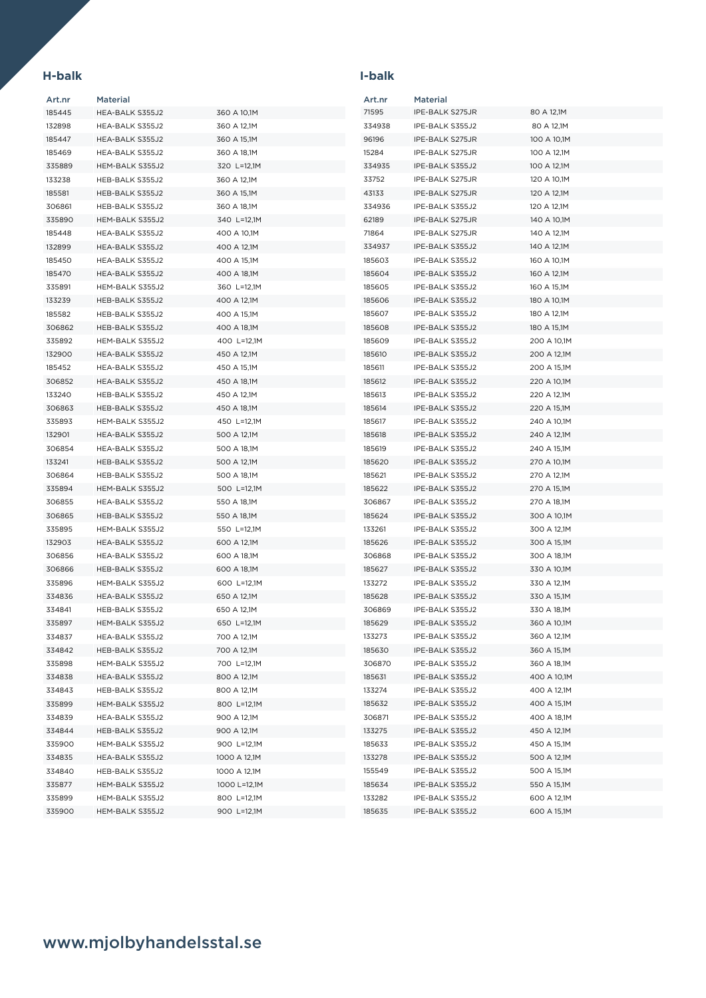## **H-balk I-balk**

| Art.nr | <b>Material</b> |              | Art.nr | <b>Material</b> |             |
|--------|-----------------|--------------|--------|-----------------|-------------|
| 185445 | HEA-BALK S355J2 | 360 A 10,1M  | 71595  | IPE-BALK S275JR | 80 A 12,1M  |
| 132898 | HEA-BALK S355J2 | 360 A 12,1M  | 334938 | IPE-BALK S355J2 | 80 A 12,1M  |
| 185447 | HEA-BALK S355J2 | 360 A 15,1M  | 96196  | IPE-BALK S275JR | 100 A 10,1M |
| 185469 | HEA-BALK S355J2 | 360 A 18,1M  | 15284  | IPE-BALK S275JR | 100 A 12,1M |
| 335889 | HEM-BALK S355J2 | 320 L=12,1M  | 334935 | IPE-BALK S355J2 | 100 A 12,1M |
| 133238 | HEB-BALK S355J2 | 360 A 12,1M  | 33752  | IPE-BALK S275JR | 120 A 10,1M |
| 185581 | HEB-BALK S355J2 | 360 A 15,1M  | 43133  | IPE-BALK S275JR | 120 A 12,1M |
| 306861 | HEB-BALK S355J2 | 360 A 18,1M  | 334936 | IPE-BALK S355J2 | 120 A 12,1M |
| 335890 | HEM-BALK S355J2 | 340 L=12,1M  | 62189  | IPE-BALK S275JR | 140 A 10,1M |
| 185448 | HEA-BALK S355J2 | 400 A 10,1M  | 71864  | IPE-BALK S275JR | 140 A 12,1M |
| 132899 | HEA-BALK S355J2 | 400 A 12,1M  | 334937 | IPE-BALK S355J2 | 140 A 12,1M |
| 185450 | HEA-BALK S355J2 | 400 A 15,1M  | 185603 | IPE-BALK S355J2 | 160 A 10,1M |
| 185470 | HEA-BALK S355J2 | 400 A 18,1M  | 185604 | IPE-BALK S355J2 | 160 A 12,1M |
| 335891 | HEM-BALK S355J2 | 360 L=12,1M  | 185605 | IPE-BALK S355J2 | 160 A 15,1M |
| 133239 | HEB-BALK S355J2 | 400 A 12,1M  | 185606 | IPE-BALK S355J2 | 180 A 10,1M |
| 185582 | HEB-BALK S355J2 | 400 A 15,1M  | 185607 | IPE-BALK S355J2 | 180 A 12,1M |
| 306862 | HEB-BALK S355J2 | 400 A 18,1M  | 185608 | IPE-BALK S355J2 | 180 A 15,1M |
| 335892 | HEM-BALK S355J2 | 400 L=12,1M  | 185609 | IPE-BALK S355J2 | 200 A 10,1M |
| 132900 | HEA-BALK S355J2 | 450 A 12,1M  | 185610 | IPE-BALK S355J2 | 200 A 12,1M |
| 185452 | HEA-BALK S355J2 | 450 A 15,1M  | 185611 | IPE-BALK S355J2 | 200 A 15,1M |
| 306852 | HEA-BALK S355J2 | 450 A 18,1M  | 185612 | IPE-BALK S355J2 | 220 A 10,1M |
| 133240 | HEB-BALK S355J2 | 450 A 12,1M  | 185613 | IPE-BALK S355J2 | 220 A 12,1M |
| 306863 | HEB-BALK S355J2 | 450 A 18,1M  | 185614 | IPE-BALK S355J2 | 220 A 15,1M |
| 335893 | HEM-BALK S355J2 | 450 L=12,1M  | 185617 | IPE-BALK S355J2 | 240 A 10,1M |
| 132901 | HEA-BALK S355J2 | 500 A 12,1M  | 185618 | IPE-BALK S355J2 | 240 A 12,1M |
| 306854 | HEA-BALK S355J2 | 500 A 18,1M  | 185619 | IPE-BALK S355J2 | 240 A 15,1M |
| 133241 | HEB-BALK S355J2 | 500 A 12,1M  | 185620 | IPE-BALK S355J2 | 270 A 10,1M |
| 306864 | HEB-BALK S355J2 | 500 A 18,1M  | 185621 | IPE-BALK S355J2 | 270 A 12,1M |
| 335894 | HEM-BALK S355J2 | 500 L=12,1M  | 185622 | IPE-BALK S355J2 | 270 A 15,1M |
| 306855 | HEA-BALK S355J2 | 550 A 18,1M  | 306867 | IPE-BALK S355J2 | 270 A 18,1M |
| 306865 | HEB-BALK S355J2 | 550 A 18,1M  | 185624 | IPE-BALK S355J2 | 300 A 10,1M |
| 335895 | HEM-BALK S355J2 | 550 L=12,1M  | 133261 | IPE-BALK S355J2 | 300 A 12,1M |
| 132903 | HEA-BALK S355J2 | 600 A 12,1M  | 185626 | IPE-BALK S355J2 | 300 A 15,1M |
| 306856 | HEA-BALK S355J2 | 600 A 18,1M  | 306868 | IPE-BALK S355J2 | 300 A 18,1M |
| 306866 | HEB-BALK S355J2 | 600 A 18,1M  | 185627 | IPE-BALK S355J2 | 330 A 10,1M |
| 335896 | HEM-BALK S355J2 | 600 L=12,1M  | 133272 | IPE-BALK S355J2 | 330 A 12,1M |
| 334836 | HEA-BALK S355J2 | 650 A 12,1M  | 185628 | IPE-BALK S355J2 | 330 A 15,1M |
| 334841 | HEB-BALK S355J2 | 650 A 12,1M  | 306869 | IPE-BALK S355J2 | 330 A 18,1M |
| 335897 | HEM-BALK S355J2 | 650 L=12,1M  | 185629 | IPE-BALK S355J2 | 360 A 10,1M |
| 334837 | HEA-BALK S355J2 | 700 A 12,1M  | 133273 | IPE-BALK S355J2 | 360 A 12,1M |
| 334842 | HEB-BALK S355J2 | 700 A 12,1M  | 185630 | IPE-BALK S355J2 | 360 A 15,1M |
| 335898 | HEM-BALK S355J2 | 700 L=12,1M  | 306870 | IPE-BALK S355J2 | 360 A 18,1M |
| 334838 | HEA-BALK S355J2 | 800 A 12,1M  | 185631 | IPE-BALK S355J2 | 400 A 10,1M |
| 334843 | HEB-BALK S355J2 | 800 A 12,1M  | 133274 | IPE-BALK S355J2 | 400 A 12,1M |
| 335899 | HEM-BALK S355J2 | 800 L=12,1M  | 185632 | IPE-BALK S355J2 | 400 A 15,1M |
| 334839 | HEA-BALK S355J2 | 900 A 12,1M  | 306871 | IPE-BALK S355J2 | 400 A 18,1M |
| 334844 | HEB-BALK S355J2 | 900 A 12,1M  | 133275 | IPE-BALK S355J2 | 450 A 12,1M |
| 335900 | HEM-BALK S355J2 | 900 L=12,1M  | 185633 | IPE-BALK S355J2 | 450 A 15,1M |
| 334835 | HEA-BALK S355J2 | 1000 A 12,1M | 133278 | IPE-BALK S355J2 | 500 A 12,1M |
| 334840 | HEB-BALK S355J2 | 1000 A 12,1M | 155549 | IPE-BALK S355J2 | 500 A 15,1M |
| 335877 | HEM-BALK S355J2 | 1000 L=12,1M | 185634 | IPE-BALK S355J2 | 550 A 15,1M |
| 335899 | HEM-BALK S355J2 | 800 L=12,1M  | 133282 | IPE-BALK S355J2 | 600 A 12,1M |
| 335900 | HEM-BALK S355J2 | 900 L=12,1M  | 185635 | IPE-BALK S355J2 | 600 A 15,1M |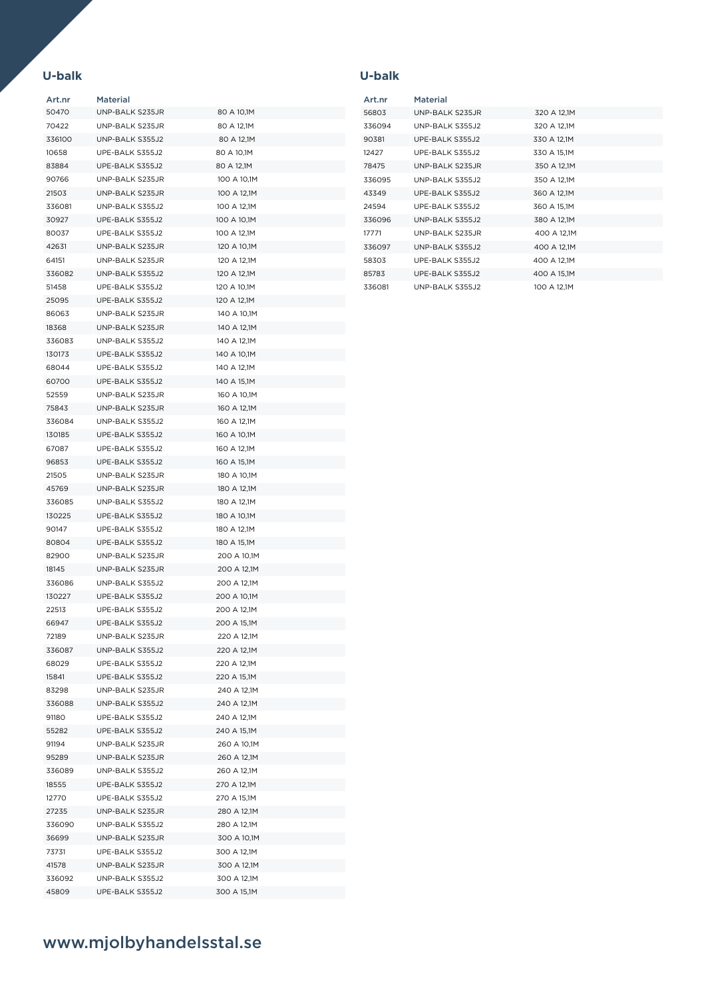### **U-balk U-balk**

| Art.nr | Material        |             |
|--------|-----------------|-------------|
| 50470  | UNP-BALK S235JR | 80 A 10,1M  |
| 70422  | UNP-BALK S235JR | 80 A 12,1M  |
| 336100 | UNP-BALK S355J2 | 80 A 12,1M  |
| 10658  | UPE-BALK S355J2 | 80 A 10,1M  |
| 83884  | UPE-BALK S355J2 | 80 A 12,1M  |
| 90766  | UNP-BALK S235JR | 100 A 10,1M |
| 21503  | UNP-BALK S235JR | 100 A 12,1M |
| 336081 | UNP-BALK S355J2 | 100 A 12,1M |
| 30927  | UPE-BALK S355J2 | 100 A 10,1M |
| 80037  | UPE-BALK S355J2 | 100 A 12,1M |
| 42631  | UNP-BALK S235JR | 120 A 10,1M |
| 64151  | UNP-BALK S235JR | 120 A 12,1M |
| 336082 | UNP-BALK S355J2 | 120 A 12,1M |
| 51458  | UPE-BALK S355J2 | 120 A 10,1M |
| 25095  | UPE-BALK S355J2 | 120 A 12,1M |
| 86063  | UNP-BALK S235JR |             |
|        | UNP-BALK S235JR | 140 A 10,1M |
| 18368  |                 | 140 A 12,1M |
| 336083 | UNP-BALK S355J2 | 140 A 12,1M |
| 130173 | UPE-BALK S355J2 | 140 A 10,1M |
| 68044  | UPE-BALK S355J2 | 140 A 12,1M |
| 60700  | UPE-BALK S355J2 | 140 A 15,1M |
| 52559  | UNP-BALK S235JR | 160 A 10,1M |
| 75843  | UNP-BALK S235JR | 160 A 12,1M |
| 336084 | UNP-BALK S355J2 | 160 A 12,1M |
| 130185 | UPE-BALK S355J2 | 160 A 10,1M |
| 67087  | UPE-BALK S355J2 | 160 A 12,1M |
| 96853  | UPE-BALK S355J2 | 160 A 15,1M |
| 21505  | UNP-BALK S235JR | 180 A 10,1M |
| 45769  | UNP-BALK S235JR | 180 A 12,1M |
| 336085 | UNP-BALK S355J2 | 180 A 12,1M |
| 130225 | UPE-BALK S355J2 | 180 A 10,1M |
| 90147  | UPE-BALK S355J2 | 180 A 12,1M |
| 80804  | UPE-BALK S355J2 | 180 A 15,1M |
| 82900  | UNP-BALK S235JR | 200 A 10,1M |
| 18145  | UNP-BALK S235JR | 200 A 12.1M |
| 336086 | UNP-BALK S355J2 | 200 A 12,1M |
| 130227 | UPE-BALK S355J2 | 200 A 10,1M |
| 22513  | UPE-BALK S355J2 | 200 A 12,1M |
| 66947  | UPE-BALK S355J2 | 200 A 15,1M |
| 72189  | UNP-BALK S235JR | 220 A 12,1M |
| 336087 | UNP-BALK S355J2 | 220 A 12,1M |
| 68029  | UPE-BALK S355J2 | 220 A 12,1M |
| 15841  | UPE-BALK S355J2 | 220 A 15,1M |
| 83298  | UNP-BALK S235JR | 240 A 12,1M |
| 336088 | UNP-BALK S355J2 | 240 A 12,1M |
| 91180  | UPE-BALK S355J2 | 240 A 12,1M |
| 55282  | UPE-BALK S355J2 | 240 A 15,1M |
| 91194  | UNP-BALK S235JR | 260 A 10,1M |
|        | UNP-BALK S235JR | 260 A 12,1M |
| 95289  |                 |             |
| 336089 | UNP-BALK S355J2 | 260 A 12,1M |
| 18555  | UPE-BALK S355J2 | 270 A 12,1M |
| 12770  | UPE-BALK S355J2 | 270 A 15,1M |
| 27235  | UNP-BALK S235JR | 280 A 12,1M |
| 336090 | UNP-BALK S355J2 | 280 A 12,1M |
| 36699  | UNP-BALK S235JR | 300 A 10,1M |
| 73731  | UPE-BALK S355J2 | 300 A 12,1M |
| 41578  | UNP-BALK S235JR | 300 A 12,1M |
| 336092 | UNP-BALK S355J2 | 300 A 12,1M |
| 45809  | UPE-BALK S355J2 | 300 A 15,1M |

| Art.nr | Material         |             |
|--------|------------------|-------------|
| 56803  | UNP-BALK S235JR  | 320 A 12,1M |
| 336094 | UNP-BALK S355J2  | 320 A 12,1M |
| 90381  | UPE-BALK S355J2  | 330 A 12,1M |
| 12427  | UPE-BALK S355J2  | 330 A 15,1M |
| 78475  | UNP-BALK S235JR  | 350 A 12,1M |
| 336095 | UNP-BALK S355J2  | 350 A 12,1M |
| 43349  | UPE-BALK S355.J2 | 360 A 12,1M |
| 24594  | UPE-BALK S355J2  | 360 A 15,1M |
| 336096 | UNP-BALK S355J2  | 380 A 12,1M |
| 17771  | UNP-BALK S235.JR | 400 A 12,1M |
| 336097 | UNP-BALK S355J2  | 400 A 12,1M |
| 58303  | UPE-BALK S355J2  | 400 A 12,1M |
| 85783  | UPE-BALK S355J2  | 400 A 15,1M |
| 336081 | UNP-BALK S355J2  | 100 A 12.1M |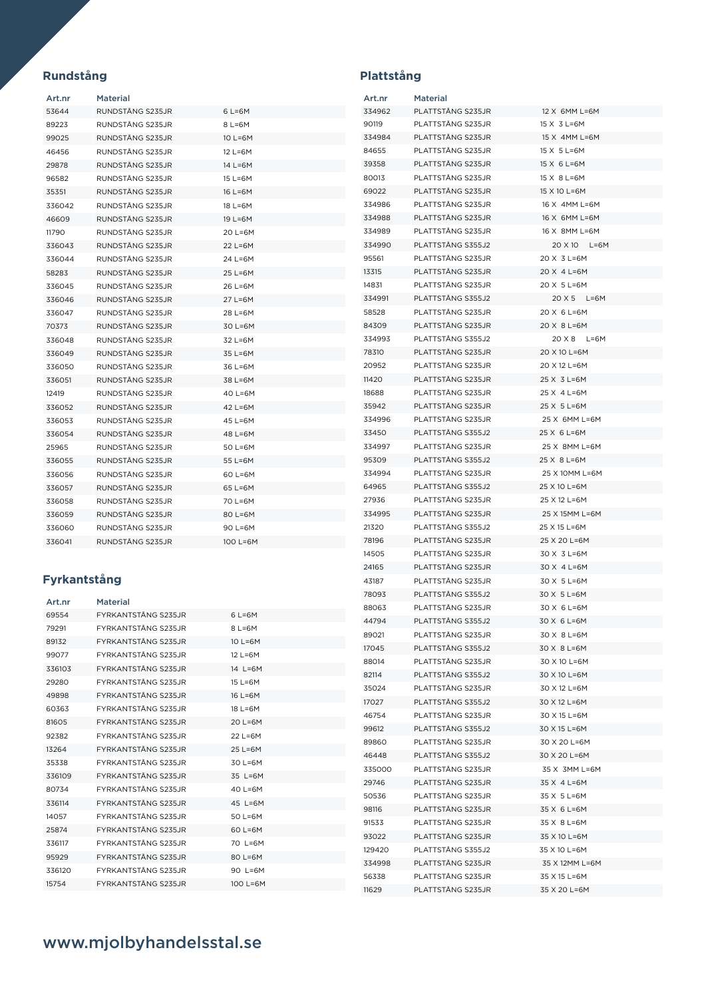## **Rundstång Plattstång**

| Art.nr | Material          |                             |
|--------|-------------------|-----------------------------|
| 53644  | RUNDSTÅNG S235.JR | 6 L=6M                      |
| 89223  | RUNDSTÅNG S235JR  | $8$ L=6M                    |
| 99025  | RUNDSTÅNG S235JR  | 10 L=6M                     |
| 46456  | RUNDSTÅNG S235JR  | 12 L=6M                     |
| 29878  | RUNDSTÅNG S235JR  | 14 L=6M                     |
| 96582  | RUNDSTÅNG S235.JR | $15 \text{ L} = 6 \text{M}$ |
| 35351  | RUNDSTÅNG S235JR  | 16 L=6M                     |
| 336042 | RUNDSTÅNG S235JR  | 18 L=6M                     |
| 46609  | RUNDSTÅNG S235.JR | $19 \text{ L} = 6 \text{M}$ |
| 11790  | RUNDSTÅNG S235JR  | 20 L=6M                     |
| 336043 | RUNDSTÅNG S235JR  | 22 L=6M                     |
| 336044 | RUNDSTÅNG S235JR  | 24 L=6M                     |
| 58283  | RUNDSTÅNG S235JR  | 25 L=6M                     |
| 336045 | RUNDSTÅNG S235JR  | 26 L=6M                     |
| 336046 | RUNDSTÅNG S235JR  | 27 L=6M                     |
| 336047 | RUNDSTÅNG S235.JR | 28 L=6M                     |
| 70373  | RUNDSTÅNG S235JR  | 30 L=6M                     |
| 336048 | RUNDSTÅNG S235JR  | 32 L=6M                     |
| 336049 | RUNDSTÅNG S235.JR | 35 L=6M                     |
| 336050 | RUNDSTÅNG S235.JR | 36 L=6M                     |
| 336051 | RUNDSTÅNG S235.JR | 38 L=6M                     |
| 12419  | RUNDSTÅNG S235JR  | 40 L=6M                     |
| 336052 | RUNDSTÅNG S235JR  | 42 L=6M                     |
| 336053 | RUNDSTÅNG S235JR  | 45 L=6M                     |
| 336054 | RUNDSTÅNG S235JR  | 48 L=6M                     |
| 25965  | RUNDSTÅNG S235JR  | 50 L=6M                     |
| 336055 | RUNDSTÅNG S235JR  | 55 L=6M                     |
| 336056 | RUNDSTÅNG S235JR  | 60 L=6M                     |
| 336057 | RUNDSTÅNG S235JR  | 65 L=6M                     |
| 336058 | RUNDSTÅNG S235JR  | 70 L=6M                     |
| 336059 | RUNDSTÅNG S235.JR | 80 L=6M                     |
| 336060 | RUNDSTÅNG S235JR  | 90 L=6M                     |
| 336041 | RUNDSTÅNG S235.JR | $100$ L=6M                  |

## **Fyrkantstång**

| Art.nr | <b>Material</b>             |                             |
|--------|-----------------------------|-----------------------------|
| 69554  | <b>FYRKANTSTÅNG S235JR</b>  | 6 L=6M                      |
| 79291  | <b>FYRKANTSTÅNG S235JR</b>  | $8$ L=6M                    |
| 89132  | <b>FYRKANTSTÅNG S235JR</b>  | $10 \text{ L} = 6M$         |
| 99077  | <b>FYRKANTSTÅNG S235JR</b>  | $12$ L=6M                   |
| 336103 | <b>FYRKANTSTÅNG S235JR</b>  | 14 L=6M                     |
| 29280  | <b>FYRKANTSTÅNG S235JR</b>  | $15 \text{ L} = 6 \text{M}$ |
| 49898  | <b>FYRKANTSTÅNG S235JR</b>  | 16 L=6M                     |
| 60363  | <b>FYRKANTSTÅNG S235 IR</b> | $18 \text{ L} = 6 \text{M}$ |
| 81605  | <b>FYRKANTSTÅNG S235JR</b>  | $20$ L=6M                   |
| 92382  | <b>FYRKANTSTÅNG S235JR</b>  | $22$ L=6M                   |
| 13264  | <b>FYRKANTSTÅNG S235 IR</b> | 25 L=6M                     |
| 35338  | <b>FYRKANTSTÅNG S235 IR</b> | 30 L=6M                     |
| 336109 | <b>FYRKANTSTÅNG S235JR</b>  | 35 L=6M                     |
| 80734  | <b>FYRKANTSTÅNG S235 IR</b> | 40 L=6M                     |
| 336114 | <b>FYRKANTSTÅNG S235JR</b>  | 45 L=6M                     |
| 14057  | <b>FYRKANTSTÅNG S235JR</b>  | $50$ L=6M                   |
| 25874  | <b>FYRKANTSTÅNG S235JR</b>  | $60$ L=6M                   |
| 336117 | <b>FYRKANTSTÅNG S235JR</b>  | 70 L=6M                     |
| 95929  | <b>FYRKANTSTÅNG S235JR</b>  | $80$ L=6M                   |
| 336120 | <b>FYRKANTSTÅNG S235JR</b>  | 90 L=6M                     |
| 15754  | <b>FYRKANTSTÅNG S235JR</b>  | 100 L=6M                    |

| Art.nr | Material           |                |
|--------|--------------------|----------------|
| 334962 | PLATTSTÅNG S235JR  | 12 X 6MM L=6M  |
| 90119  | PLATTSTÅNG S235JR  | 15 X 3 L=6M    |
| 334984 | PLATTSTÄNG S235JR  | 15 X 4MM L=6M  |
| 84655  | PLATTSTÅNG S235JR  | 15 X 5 L=6M    |
| 39358  | PLATTSTÅNG S235JR  | 15 X 6 L=6M    |
| 80013  | PLATTSTÅNG S235JR  | 15 X 8 L=6M    |
| 69022  | PLATTSTÅNG S235JR  | 15 X 10 L=6M   |
| 334986 | PLATTSTÅNG S235JR  | 16 X 4MM L=6M  |
| 334988 | PLATTSTÅNG S235.JR | 16 X 6MM L=6M  |
| 334989 | PLATTSTÅNG S235JR  | 16 X 8MM L=6M  |
| 334990 | PLATTSTÅNG S355J2  | 20 X 10 L=6M   |
| 95561  | PLATTSTÄNG S235JR  | 20 X 3 L=6M    |
| 13315  | PLATTSTÅNG S235JR  | 20 X 4 L=6M    |
| 14831  | PLATTSTÅNG S235JR  | 20 X 5 L=6M    |
| 334991 | PLATTSTÄNG S355J2  | 20 X 5 L=6M    |
| 58528  | PLATTSTÅNG S235JR  | 20 X 6 L=6M    |
| 84309  | PLATTSTÅNG S235JR  | 20 X 8 L=6M    |
| 334993 | PLATTSTÅNG S355J2  | 20 X 8 L=6M    |
| 78310  | PLATTSTÅNG S235JR  | 20 X 10 L=6M   |
| 20952  | PLATTSTÅNG S235JR  | 20 X 12 L=6M   |
| 11420  | PLATTSTÅNG S235JR  | 25 X 3 L=6M    |
| 18688  | PLATTSTÅNG S235JR  | 25 X 4 L=6M    |
| 35942  | PLATTSTÅNG S235JR  | 25 X 5 L=6M    |
| 334996 | PLATTSTÅNG S235JR  | 25 X 6MM L=6M  |
| 33450  | PLATTSTÅNG S355J2  | 25 X 6 L=6M    |
| 334997 | PLATTSTÅNG S235JR  | 25 X 8MM L=6M  |
| 95309  | PLATTSTÅNG S355J2  | 25 X 8 L=6M    |
| 334994 | PLATTSTÅNG S235JR  | 25 X 10MM L=6M |
| 64965  | PLATTSTÅNG S355J2  | 25 X 10 L=6M   |
| 27936  | PLATTSTÅNG S235JR  | 25 X 12 L=6M   |
| 334995 | PLATTSTÅNG S235JR  | 25 X 15MM L=6M |
| 21320  | PLATTSTÅNG S355J2  | 25 X 15 L=6M   |
| 78196  | PLATTSTÅNG S235JR  | 25 X 20 L=6M   |
| 14505  | PLATTSTÅNG S235JR  | 30 X 3 L=6M    |
| 24165  | PLATTSTÅNG S235JR  | 30 X 4 L=6M    |
| 43187  | PLATTSTÅNG S235JR  | 30 X 5 L=6M    |
| 78093  | PLATTSTÅNG S355J2  | 30 X 5 L=6M    |
| 88063  | PLATTSTÅNG S235JR  | 30 X 6 L=6M    |
| 44794  | PLATTSTÅNG S355J2  | 30 X 6 L=6M    |
| 89021  | PLATTSTÅNG S235JR  | 30 X 8 L=6M    |
| 17045  | PLATTSTÅNG S355.J2 | 30 X 8 L=6M    |
| 88014  | PLATTSTÅNG S235JR  | 30 X 10 L=6M   |
| 82114  | PLATTSTÅNG S355J2  | 30 X 10 L=6M   |
| 35024  | PLATTSTÅNG S235JR  | 30 X 12 L=6M   |
| 17027  | PLATTSTÅNG S355J2  | 30 X 12 L=6M   |
| 46754  | PLATTSTÅNG S235JR  | 30 X 15 L=6M   |
| 99612  | PLATTSTÅNG S355J2  | 30 X 15 L=6M   |
| 89860  | PLATTSTÅNG S235JR  | 30 X 20 L=6M   |
| 46448  | PLATTSTÅNG S355J2  | 30 X 20 L=6M   |
| 335000 | PLATTSTÅNG S235JR  | 35 X 3MM L=6M  |
| 29746  | PLATTSTÅNG S235JR  | 35 X 4 L=6M    |
| 50536  | PLATTSTÅNG S235JR  | 35 X 5 L=6M    |
| 98116  | PLATTSTÅNG S235JR  | 35 X 6 L=6M    |
| 91533  | PLATTSTÅNG S235JR  | 35 X 8 L=6M    |
| 93022  | PLATTSTÅNG S235JR  | 35 X 10 L=6M   |
| 129420 | PLATTSTÅNG S355J2  | 35 X 10 L=6M   |
| 334998 | PLATTSTÅNG S235JR  | 35 X 12MM L=6M |
| 56338  | PLATTSTÅNG S235JR  | 35 X 15 L=6M   |
| 11629  | PLATTSTÅNG S235JR  | 35 X 20 L=6M   |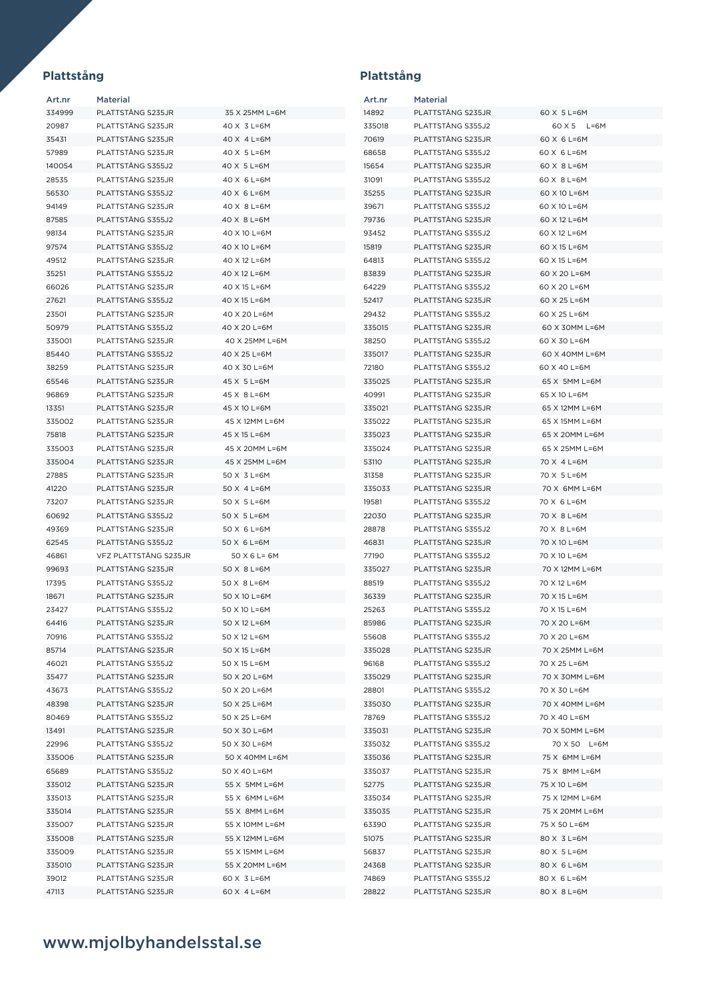### Art.nr Material PLATTSTÅNG S235JR 35 X 25MM L=6M PLATTSTÅNG S235JR 40 X 3 L=6M PLATTSTÅNG S235JR 40 X 4 L=6M PLATTSTÅNG S235JR 40 X 5 L=6M PLATTSTÅNG S355J2 40 X 5 L=6M PLATTSTÅNG S235JR 40 X 6 L=6M PLATTSTÅNG S355J2 40 X 6 L=6M 94149 PLATTSTÅNG S235JR 40 X 8 L=6M PLATTSTÅNG S355J2 40 X 8 L=6M PLATTSTÅNG S235JR 40 X 10 L=6M PLATTSTÅNG S355J2 40 X 10 L=6M PLATTSTÅNG S235JR 40 X 12 L=6M PLATTSTÅNG S355J2 40 X 12 L=6M PLATTSTÅNG S235JR 40 X 15 L=6M PLATTSTÅNG S355J2 40 X 15 L=6M PLATTSTÅNG S235JR 40 X 20 L=6M PLATTSTÅNG S355J2 40 X 20 L=6M PLATTSTÅNG S235JR 40 X 25MM L=6M PLATTSTÅNG S355J2 40 X 25 L=6M PLATTSTÅNG S235JR 40 X 30 L=6M PLATTSTÅNG S235JR 45 X 5 L=6M PLATTSTÅNG S235JR 45 X 8 L=6M PLATTSTÅNG S235JR 45 X 10 L=6M PLATTSTÅNG S235JR 45 X 12MM L=6M PLATTSTÅNG S235JR 45 X 15 L=6M PLATTSTÅNG S235JR 45 X 20MM L=6M PLATTSTÅNG S235JR 45 X 25MM L=6M 27885 PLATTSTÅNG S235JR 50 X 3 L=6M 41220 PLATTSTÅNG S235JR 50 X 4 L=6M 73207 PLATTSTÅNG S235JR 50 X 5 L=6M PLATTSTÅNG S355J2 50 X 5 L=6M PLATTSTÅNG S235JR 50 X 6 L=6M PLATTSTÅNG S355J2 50 X 6 L=6M VFZ PLATTSTÅNG S235JR 50 X 6 L= 6M 99693 PLATTSTÅNG S235JR 50 X 8 L=6M 17395 PLATTSTÅNG S355J2 50 X 8 L=6M 18671 PLATTSTÅNG S235JR 50 X 10 L=6M PLATTSTÅNG S355J2 50 X 10 L=6M PLATTSTÅNG S235JR 50 X 12 L=6M PLATTSTÅNG S355J2 50 X 12 L=6M 85714 PLATTSTÅNG S235JR 50 X 15 L=6M PLATTSTÅNG S355J2 50 X 15 L=6M PLATTSTÅNG S235JR 50 X 20 L=6M

| Art.nr          | Material          |                |
|-----------------|-------------------|----------------|
| 14892           | PLATTSTÅNG S235JR | 60 X 5 L=6M    |
| 335018          | PLATTSTÅNG S355J2 | 60 X 5 L=6M    |
| 70619           | PLATTSTÅNG S235JR | 60 X 6 L=6M    |
| 68658           | PLATTSTÅNG S355J2 | 60 X 6 L=6M    |
| 15654           | PLATTSTÅNG S235JR | 60 X 8 L=6M    |
| 31091           | PLATTSTÅNG S355J2 | 60 X 8 L=6M    |
| 35255           | PLATTSTÅNG S235JR | 60 X 10 L=6M   |
| 39671           | PLATTSTÅNG S355J2 | 60 X 10 L=6M   |
| 79736           | PLATTSTÅNG S235JR | 60 X 12 L=6M   |
| 93452           | PLATTSTÄNG S355J2 | 60 X 12 L=6M   |
| 15819           | PLATTSTÅNG S235JR | 60 X 15 L=6M   |
| 64813           | PLATTSTÅNG S355J2 | 60 X 15 L=6M   |
| 83839           | PLATTSTÅNG S235JR | 60 X 20 L=6M   |
| 64229           | PLATTSTÅNG S355J2 | 60 X 20 L=6M   |
|                 |                   |                |
| 52417           | PLATTSTÅNG S235JR | 60 X 25 L=6M   |
| 29432           | PLATTSTÅNG S355J2 | 60 X 25 L=6M   |
| 335015          | PLATTSTÅNG S235JR | 60 X 30MM L=6M |
| 38250           | PLATTSTÅNG S355J2 | 60 X 30 L=6M   |
| 335017          | PLATTSTÅNG S235JR | 60 X 40MM L=6M |
| 72180           | PLATTSTÅNG S355J2 | 60 X 40 L=6M   |
| 335025          | PLATTSTÅNG S235JR | 65 X 5MM L=6M  |
| 40991           | PLATTSTÄNG S235JR | 65 X 10 L=6M   |
| 335021          | PLATTSTÅNG S235JR | 65 X 12MM L=6M |
| 335022          | PLATTSTÅNG S235JR | 65 X 15MM L=6M |
| 335023          | PLATTSTÅNG S235JR | 65 X 20MM L=6M |
| 335024          | PLATTSTÅNG S235JR | 65 X 25MM L=6M |
| 53110           | PLATTSTÅNG S235JR | 70 X 4 L=6M    |
| 31358           | PLATTSTÅNG S235JR | 70 X 5 L=6M    |
| 335033          | PLATTSTÅNG S235JR | 70 X 6MM L=6M  |
| 19581           | PLATTSTÅNG S355J2 | 70 X 6 L=6M    |
| 22030           | PLATTSTÅNG S235JR | 70 X 8 L=6M    |
| 28878           | PLATTSTÅNG S355J2 | 70 X 8 L=6M    |
| 46831           | PLATTSTÅNG S235JR | 70 X 10 L=6M   |
| 77190           | PLATTSTÅNG S355J2 | 70 X 10 L=6M   |
| 335027          | PLATTSTÅNG S235JR | 70 X 12MM L=6M |
| 88519           | PLATTSTÅNG S355J2 | 70 X 12 L=6M   |
| 36339           | PLATTSTÅNG S235JR | 70 X 15 L=6M   |
| 25263           | PLATTSTÄNG S355J2 | 70 X 15 L=6M   |
| 85986           | PLATTSTÅNG S235JR | 70 X 20 L=6M   |
| 55608           | PLATTSTÅNG S355J2 | 70 X 20 L=6M   |
| 335028          | PLATTSTÅNG S235JR | 70 X 25MM L=6M |
| 96168           | PLATTSTÅNG S355J2 | 70 X 25 L=6M   |
| 335029          | PLATTSTÅNG S235JR | 70 X 30MM L=6M |
| 28801           | PLATTSTÅNG S355J2 | 70 X 30 L=6M   |
| 335030          | PLATTSTÅNG S235JR | 70 X 40MM L=6M |
| 78769           | PLATTSTÅNG S355J2 | 70 X 40 L=6M   |
| 335031          | PLATTSTÅNG S235JR | 70 X 50MM L=6M |
| 335032          | PLATTSTÅNG S355J2 | 70 X 50 L=6M   |
| 335036          | PLATTSTÅNG S235JR | 75 X 6MM L=6M  |
| 335037          | PLATTSTÅNG S235JR | 75 X 8MM L=6M  |
| 52775           | PLATTSTÅNG S235JR | 75 X 10 L=6M   |
| 335034          | PLATTSTÅNG S235JR | 75 X 12MM L=6M |
|                 | PLATTSTÅNG S235JR | 75 X 20MM L=6M |
| 335035<br>63390 | PLATTSTÅNG S235JR | 75 X 50 L=6M   |
|                 | PLATTSTÅNG S235JR |                |
| 51075           |                   | 80 X 3 L=6M    |
| 56837           | PLATTSTÅNG S235JR | 80 X 5 L=6M    |
| 24368           | PLATTSTÅNG S235JR | 80 X 6 L=6M    |
| 74869           | PLATTSTÅNG S355J2 | 80 X 6 L=6M    |
| 28822           | PLATTSTÅNG S235JR | 80 X 8 L=6M    |

## www.mjolbyhandelsstal.se

 PLATTSTÅNG S355J2 50 X 20 L=6M PLATTSTÅNG S235JR 50 X 25 L=6M PLATTSTÅNG S355J2 50 X 25 L=6M PLATTSTÅNG S235JR 50 X 30 L=6M PLATTSTÅNG S355J2 50 X 30 L=6M PLATTSTÅNG S235JR 50 X 40MM L=6M PLATTSTÅNG S355J2 50 X 40 L=6M 335012 PLATTSTÅNG S235JR 55 X 5MM L=6M 335013 PLATTSTÅNG S235JR 55 X 6MM L=6M 335014 PLATTSTÅNG S235JR 55 X 8MM L=6M 335007 PLATTSTÅNG S235JR 55 X 10MM L=6M PLATTSTÅNG S235JR 55 X 12MM L=6M PLATTSTÅNG S235JR 55 X 15MM L=6M PLATTSTÅNG S235JR 55 X 20MM L=6M PLATTSTÅNG S235JR 60 X 3 L=6M PLATTSTÅNG S235JR 60 X 4 L=6M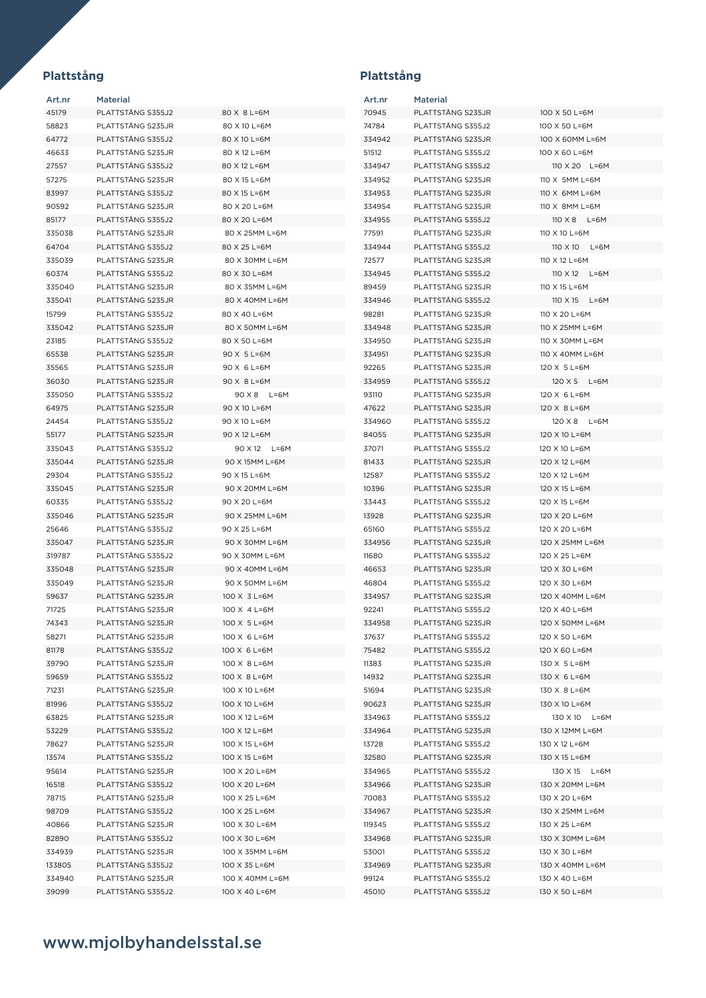| Art.nr | <b>Material</b>   |                              | Art.nr         | <b>Material</b>   |                     |
|--------|-------------------|------------------------------|----------------|-------------------|---------------------|
| 45179  | PLATTSTÅNG S355J2 | 80 X 8 L=6M                  | 70945          | PLATTSTÅNG S235JR | 100 X 50 L=6M       |
| 58823  | PLATTSTÅNG S235JR | 80 X 10 L=6M                 | 74784          | PLATTSTÅNG S355J2 | 100 X 50 L=6M       |
| 64772  | PLATTSTÅNG S355J2 | 80 X 10 L=6M                 | 334942         | PLATTSTÅNG S235JR | 100 X 60MM L=6M     |
| 46633  | PLATTSTÅNG S235JR | 80 X 12 L=6M                 | 51512          | PLATTSTÅNG S355J2 | 100 X 60 L=6M       |
| 27557  | PLATTSTÅNG S355J2 | 80 X 12 L=6M                 | 334947         | PLATTSTÅNG S355J2 | 110 X 20 L=6M       |
| 57275  | PLATTSTÅNG S235JR | 80 X 15 L=6M                 | 334952         | PLATTSTÅNG S235JR | 110 X 5MM L=6M      |
| 83997  | PLATTSTÅNG S355J2 | 80 X 15 L=6M                 | 334953         | PLATTSTÅNG S235JR | 110 X 6MM L=6M      |
| 90592  | PLATTSTÅNG S235JR | 80 X 20 L=6M                 | 334954         | PLATTSTÅNG S235JR | 110 X 8MM L=6M      |
| 85177  | PLATTSTÅNG S355J2 | 80 X 20 L=6M                 | 334955         | PLATTSTÅNG S355J2 | $110 \times 8$ L=6M |
| 335038 | PLATTSTÅNG S235JR | 80 X 25MM L=6M               | 77591          | PLATTSTÅNG S235JR | 110 X 10 L=6M       |
| 64704  | PLATTSTÅNG S355J2 | 80 X 25 L=6M                 | 334944         | PLATTSTÅNG S355J2 | 110 X 10 L=6M       |
| 335039 | PLATTSTÅNG S235JR | 80 X 30MM L=6M               | 72577          | PLATTSTÅNG S235JR | 110 X 12 L=6M       |
| 60374  | PLATTSTÅNG S355J2 | 80 X 30 L=6M                 | 334945         | PLATTSTÅNG S355J2 | 110 X 12 L=6M       |
|        |                   |                              |                |                   |                     |
| 335040 | PLATTSTÅNG S235JR | 80 X 35MM L=6M               | 89459          | PLATTSTÅNG S235JR | 110 X 15 L=6M       |
| 335041 | PLATTSTÅNG S235JR | 80 X 40MM L=6M               | 334946         | PLATTSTÅNG S355J2 | 110 X 15 L=6M       |
| 15799  | PLATTSTÅNG S355J2 | 80 X 40 L=6M                 | 98281          | PLATTSTÅNG S235JR | 110 X 20 L=6M       |
| 335042 | PLATTSTÅNG S235JR | 80 X 50MM L=6M               | 334948         | PLATTSTÅNG S235JR | 110 X 25MM L=6M     |
| 23185  | PLATTSTÅNG S355J2 | 80 X 50 L=6M                 | 334950         | PLATTSTÅNG S235JR | 110 X 30MM L=6M     |
| 65538  | PLATTSTÅNG S235JR | 90 X 5 L=6M                  | 334951         | PLATTSTÅNG S235JR | 110 X 40MM L=6M     |
| 35565  | PLATTSTÅNG S235JR | 90 X 6 L=6M                  | 92265          | PLATTSTÅNG S235JR | 120 X 5 L=6M        |
| 36030  | PLATTSTÅNG S235JR | 90 X 8 L=6M                  | 334959         | PLATTSTÅNG S355J2 | 120 X 5 L=6M        |
| 335050 | PLATTSTÅNG S355J2 | 90 X 8 L=6M                  | 93110          | PLATTSTÅNG S235JR | 120 X 6 L=6M        |
| 64975  | PLATTSTÅNG S235JR | 90 X 10 L=6M                 | 47622          | PLATTSTÅNG S235JR | 120 X 8 L=6M        |
| 24454  | PLATTSTÅNG S355J2 | 90 X 10 L=6M                 | 334960         | PLATTSTÅNG S355J2 | 120 X 8 L=6M        |
| 55177  | PLATTSTÅNG S235JR | 90 X 12 L=6M                 | 84055          | PLATTSTÅNG S235JR | 120 X 10 L=6M       |
| 335043 | PLATTSTÅNG S355J2 | 90 X 12 L=6M                 | 37071          | PLATTSTÅNG S355J2 | 120 X 10 L=6M       |
| 335044 | PLATTSTÅNG S235JR | 90 X 15MM L=6M               | 81433          | PLATTSTÅNG S235JR | 120 X 12 L=6M       |
| 29304  | PLATTSTÅNG S355J2 | 90 X 15 L=6M                 | 12587          | PLATTSTÅNG S355J2 | 120 X 12 L=6M       |
| 335045 | PLATTSTÅNG S235JR | 90 X 20MM L=6M               | 10396          | PLATTSTÅNG S235JR | 120 X 15 L=6M       |
| 60335  | PLATTSTÅNG S355J2 | 90 X 20 L=6M                 | 33443          | PLATTSTÅNG S355J2 | 120 X 15 L=6M       |
| 335046 | PLATTSTÅNG S235JR | 90 X 25MM L=6M               | 13928          | PLATTSTÅNG S235JR | 120 X 20 L=6M       |
| 25646  | PLATTSTÅNG S355J2 | 90 X 25 L=6M                 | 65160          | PLATTSTÅNG S355J2 | 120 X 20 L=6M       |
| 335047 | PLATTSTÅNG S235JR | 90 X 30MM L=6M               | 334956         | PLATTSTÅNG S235JR | 120 X 25MM L=6M     |
| 319787 | PLATTSTÅNG S355J2 | 90 X 30MM L=6M               | 11680          | PLATTSTÅNG S355J2 | 120 X 25 L=6M       |
| 335048 | PLATTSTÅNG S235JR | 90 X 40MM L=6M               | 46653          | PLATTSTÅNG S235JR | 120 X 30 L=6M       |
| 335049 | PLATTSTÅNG S235JR | 90 X 50MM L=6M               | 46804          | PLATTSTÅNG S355J2 | 120 X 30 L=6M       |
| 59637  | PLATTSTÅNG S235JR | 100 X 3 L=6M                 | 334957         | PLATTSTÅNG S235JR | 120 X 40MM L=6M     |
| 71725  | PLATTSTÅNG S235JR | 100 X 4 L=6M                 | 92241          | PLATTSTÅNG S355J2 | 120 X 40 L=6M       |
| 74343  | PLATTSTÅNG S235JR | 100 X 5 L=6M                 | 334958         | PLATTSTÅNG S235JR | 120 X 50MM L=6M     |
| 58271  | PLATTSTÅNG S235JR | 100 X 6 L=6M                 | 37637          | PLATTSTÅNG S355J2 | 120 X 50 L=6M       |
|        | PLATTSTÅNG S355J2 |                              |                | PLATTSTÅNG S355J2 | 120 X 60 L=6M       |
| 81178  | PLATTSTÅNG S235JR | 100 X 6 L=6M<br>100 X 8 L=6M | 75482<br>11383 | PLATTSTÅNG S235JR | 130 X 5 L=6M        |
| 39790  |                   |                              |                |                   |                     |
| 59659  | PLATTSTÅNG S355J2 | 100 X 8 L=6M                 | 14932          | PLATTSTÅNG S235JR | 130 X 6 L=6M        |
| 71231  | PLATTSTÅNG S235JR | 100 X 10 L=6M                | 51694          | PLATTSTÅNG S235JR | 130 X 8 L=6M        |
| 81996  | PLATTSTÅNG S355J2 | 100 X 10 L=6M                | 90623          | PLATTSTÅNG S235JR | 130 X 10 L=6M       |
| 63825  | PLATTSTÅNG S235JR | 100 X 12 L=6M                | 334963         | PLATTSTÅNG S355J2 | 130 X 10 L=6M       |
| 53229  | PLATTSTÅNG S355J2 | 100 X 12 L=6M                | 334964         | PLATTSTÅNG S235JR | 130 X 12MM L=6M     |
| 78627  | PLATTSTÅNG S235JR | 100 X 15 L=6M                | 13728          | PLATTSTÅNG S355J2 | 130 X 12 L=6M       |
| 13574  | PLATTSTÅNG S355J2 | 100 X 15 L=6M                | 32580          | PLATTSTÅNG S235JR | 130 X 15 L=6M       |
| 95614  | PLATTSTÅNG S235JR | 100 X 20 L=6M                | 334965         | PLATTSTÅNG S355J2 | 130 X 15 L=6M       |
| 16518  | PLATTSTÅNG S355J2 | 100 X 20 L=6M                | 334966         | PLATTSTÅNG S235JR | 130 X 20MM L=6M     |
| 78715  | PLATTSTÅNG S235JR | 100 X 25 L=6M                | 70083          | PLATTSTÅNG S355J2 | 130 X 20 L=6M       |
| 98709  | PLATTSTÅNG S355J2 | 100 X 25 L=6M                | 334967         | PLATTSTÅNG S235JR | 130 X 25MM L=6M     |
| 40866  | PLATTSTÅNG S235JR | 100 X 30 L=6M                | 119345         | PLATTSTÅNG S355J2 | 130 X 25 L=6M       |
| 82890  | PLATTSTÅNG S355J2 | 100 X 30 L=6M                | 334968         | PLATTSTÅNG S235JR | 130 X 30MM L=6M     |
| 334939 | PLATTSTÅNG S235JR | 100 X 35MM L=6M              | 53001          | PLATTSTÅNG S355J2 | 130 X 30 L=6M       |
| 133805 | PLATTSTÅNG S355J2 | 100 X 35 L=6M                | 334969         | PLATTSTÅNG S235JR | 130 X 40MM L=6M     |
| 334940 | PLATTSTÅNG S235JR | 100 X 40MM L=6M              | 99124          | PLATTSTÅNG S355J2 | 130 X 40 L=6M       |
| 39099  | PLATTSTÅNG S355J2 | 100 X 40 L=6M                | 45010          | PLATTSTÅNG S355J2 | 130 X 50 L=6M       |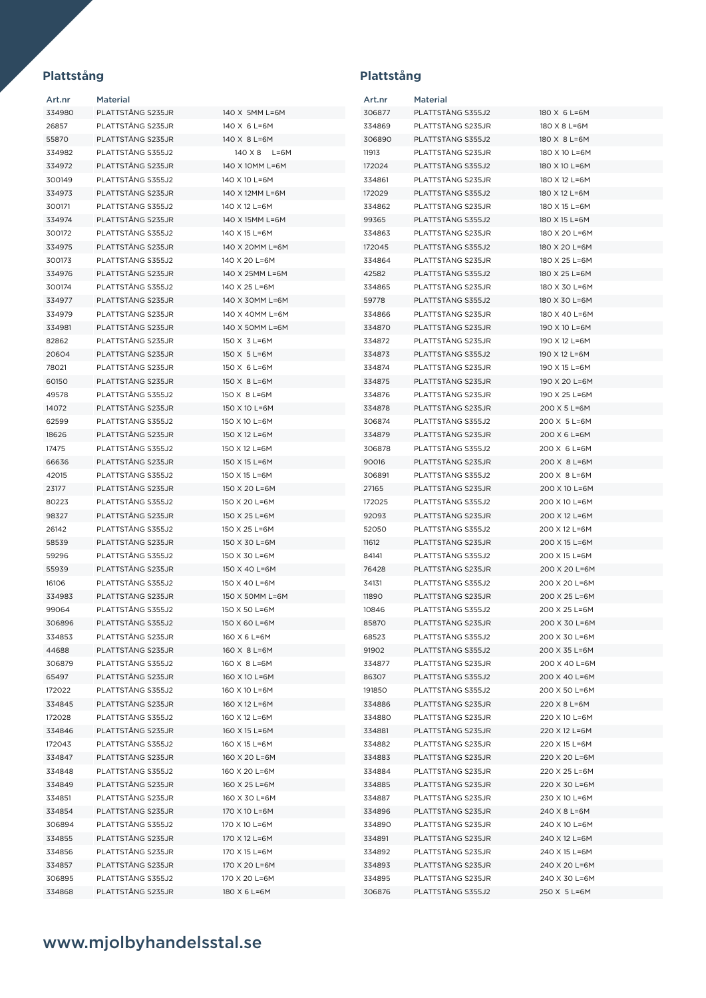| Art.nr | <b>Material</b>   |                 | Art.nr | <b>Material</b>   |               |
|--------|-------------------|-----------------|--------|-------------------|---------------|
| 334980 | PLATTSTÄNG S235JR | 140 X 5MM L=6M  | 306877 | PLATTSTÅNG S355J2 | 180 X 6 L=6M  |
| 26857  | PLATTSTÅNG S235JR | 140 X 6 L=6M    | 334869 | PLATTSTÅNG S235JR | 180 X 8 L=6M  |
| 55870  | PLATTSTÅNG S235JR | 140 X 8 L=6M    | 306890 | PLATTSTÅNG S355J2 | 180 X 8 L=6M  |
| 334982 | PLATTSTÅNG S355J2 | 140 X 8 L=6M    | 11913  | PLATTSTÅNG S235JR | 180 X 10 L=6M |
| 334972 | PLATTSTÅNG S235JR | 140 X 10MM L=6M | 172024 | PLATTSTÅNG S355J2 | 180 X 10 L=6M |
| 300149 | PLATTSTÅNG S355J2 | 140 X 10 L=6M   | 334861 | PLATTSTÅNG S235JR | 180 X 12 L=6M |
| 334973 | PLATTSTÅNG S235JR | 140 X 12MM L=6M | 172029 | PLATTSTÅNG S355J2 | 180 X 12 L=6M |
| 300171 | PLATTSTÅNG S355J2 | 140 X 12 L=6M   | 334862 | PLATTSTÅNG S235JR | 180 X 15 L=6M |
| 334974 | PLATTSTÅNG S235JR | 140 X 15MM L=6M | 99365  | PLATTSTÅNG S355J2 | 180 X 15 L=6M |
| 300172 | PLATTSTÅNG S355J2 | 140 X 15 L=6M   | 334863 | PLATTSTÅNG S235JR | 180 X 20 L=6M |
| 334975 | PLATTSTÅNG S235JR | 140 X 20MM L=6M | 172045 | PLATTSTÅNG S355J2 | 180 X 20 L=6M |
| 300173 | PLATTSTÅNG S355J2 | 140 X 20 L=6M   | 334864 | PLATTSTÅNG S235JR | 180 X 25 L=6M |
| 334976 | PLATTSTÅNG S235JR | 140 X 25MM L=6M | 42582  | PLATTSTÅNG S355J2 | 180 X 25 L=6M |
| 300174 | PLATTSTÅNG S355J2 | 140 X 25 L=6M   | 334865 | PLATTSTÅNG S235JR | 180 X 30 L=6M |
| 334977 | PLATTSTÅNG S235JR | 140 X 30MM L=6M | 59778  | PLATTSTÅNG S355J2 | 180 X 30 L=6M |
| 334979 | PLATTSTÅNG S235JR | 140 X 40MM L=6M | 334866 | PLATTSTÅNG S235JR | 180 X 40 L=6M |
| 334981 | PLATTSTÅNG S235JR | 140 X 50MM L=6M | 334870 | PLATTSTÅNG S235JR | 190 X 10 L=6M |
| 82862  | PLATTSTÅNG S235JR | 150 X 3 L=6M    | 334872 | PLATTSTÅNG S235JR | 190 X 12 L=6M |
| 20604  | PLATTSTÅNG S235JR | 150 X 5 L=6M    | 334873 | PLATTSTÅNG S355J2 | 190 X 12 L=6M |
| 78021  | PLATTSTÅNG S235JR | 150 X 6 L=6M    | 334874 | PLATTSTÅNG S235JR | 190 X 15 L=6M |
| 60150  | PLATTSTÅNG S235JR | 150 X 8 L=6M    | 334875 | PLATTSTÅNG S235JR | 190 X 20 L=6M |
| 49578  | PLATTSTÅNG S355J2 | 150 X 8 L=6M    | 334876 | PLATTSTÅNG S235JR | 190 X 25 L=6M |
| 14072  | PLATTSTÅNG S235JR | 150 X 10 L=6M   | 334878 | PLATTSTÅNG S235JR | 200 X 5 L=6M  |
| 62599  | PLATTSTÅNG S355J2 | 150 X 10 L=6M   | 306874 | PLATTSTÅNG S355J2 | 200 X 5 L=6M  |
| 18626  | PLATTSTÅNG S235JR | 150 X 12 L=6M   | 334879 | PLATTSTÅNG S235JR | 200 X 6 L=6M  |
| 17475  | PLATTSTÅNG S355J2 | 150 X 12 L=6M   | 306878 | PLATTSTÅNG S355J2 | 200 X 6 L=6M  |
| 66636  | PLATTSTÅNG S235JR | 150 X 15 L=6M   | 90016  | PLATTSTÅNG S235JR | 200 X 8 L=6M  |
| 42015  | PLATTSTÅNG S355J2 | 150 X 15 L=6M   | 306891 | PLATTSTÅNG S355J2 | 200 X 8 L=6M  |
| 23177  | PLATTSTÅNG S235JR | 150 X 20 L=6M   | 27165  | PLATTSTÅNG S235JR | 200 X 10 L=6M |
| 80223  | PLATTSTÅNG S355J2 | 150 X 20 L=6M   | 172025 | PLATTSTÅNG S355J2 | 200 X 10 L=6M |
| 98327  | PLATTSTÅNG S235JR | 150 X 25 L=6M   | 92093  | PLATTSTÅNG S235JR | 200 X 12 L=6M |
| 26142  | PLATTSTÅNG S355J2 | 150 X 25 L=6M   | 52050  | PLATTSTÅNG S355J2 | 200 X 12 L=6M |
| 58539  | PLATTSTÅNG S235JR | 150 X 30 L=6M   | 11612  | PLATTSTÅNG S235JR | 200 X 15 L=6M |
| 59296  | PLATTSTÅNG S355J2 | 150 X 30 L=6M   | 84141  | PLATTSTÅNG S355J2 | 200 X 15 L=6M |
| 55939  | PLATTSTÅNG S235JR | 150 X 40 L=6M   | 76428  | PLATTSTÅNG S235JR | 200 X 20 L=6M |
| 16106  | PLATTSTÅNG S355J2 | 150 X 40 L=6M   | 34131  | PLATTSTÅNG S355J2 | 200 X 20 L=6M |
| 334983 | PLATTSTÅNG S235JR | 150 X 50MM L=6M | 11890  | PLATTSTÅNG S235JR | 200 X 25 L=6M |
| 99064  | PLATTSTÅNG S355J2 | 150 X 50 L=6M   | 10846  | PLATTSTÅNG S355J2 | 200 X 25 L=6M |
| 306896 | PLATTSTÅNG S355J2 | 150 X 60 L=6M   | 85870  | PLATTSTÅNG S235JR | 200 X 30 L=6M |
| 334853 | PLATTSTÅNG S235JR | 160 X 6 L=6M    | 68523  | PLATTSTÅNG S355J2 | 200 X 30 L=6M |
| 44688  | PLATTSTÅNG S235JR | 160 X 8 L=6M    | 91902  | PLATTSTÅNG S355J2 | 200 X 35 L=6M |
| 306879 | PLATTSTÅNG S355J2 | 160 X 8 L=6M    | 334877 | PLATTSTÅNG S235JR | 200 X 40 L=6M |
| 65497  | PLATTSTÅNG S235JR | 160 X 10 L=6M   | 86307  | PLATTSTÅNG S355J2 | 200 X 40 L=6M |
| 172022 | PLATTSTÅNG S355J2 | 160 X 10 L=6M   | 191850 | PLATTSTÅNG S355J2 | 200 X 50 L=6M |
| 334845 | PLATTSTÅNG S235JR | 160 X 12 L=6M   | 334886 | PLATTSTÅNG S235JR | 220 X 8 L=6M  |
| 172028 | PLATTSTÅNG S355J2 | 160 X 12 L=6M   | 334880 | PLATTSTÅNG S235JR | 220 X 10 L=6M |
| 334846 | PLATTSTÅNG S235JR | 160 X 15 L=6M   | 334881 | PLATTSTÅNG S235JR | 220 X 12 L=6M |
| 172043 | PLATTSTÅNG S355J2 | 160 X 15 L=6M   | 334882 | PLATTSTÅNG S235JR | 220 X 15 L=6M |
| 334847 | PLATTSTÅNG S235JR | 160 X 20 L=6M   | 334883 | PLATTSTÅNG S235JR | 220 X 20 L=6M |
| 334848 | PLATTSTÅNG S355J2 | 160 X 20 L=6M   | 334884 | PLATTSTÅNG S235JR | 220 X 25 L=6M |
| 334849 | PLATTSTÅNG S235JR | 160 X 25 L=6M   | 334885 | PLATTSTÅNG S235JR | 220 X 30 L=6M |
| 334851 | PLATTSTÅNG S235JR | 160 X 30 L=6M   | 334887 | PLATTSTÅNG S235JR | 230 X 10 L=6M |
| 334854 | PLATTSTÅNG S235JR | 170 X 10 L=6M   | 334896 | PLATTSTÅNG S235JR | 240 X 8 L=6M  |
| 306894 | PLATTSTÅNG S355J2 | 170 X 10 L=6M   | 334890 | PLATTSTÅNG S235JR | 240 X 10 L=6M |
| 334855 | PLATTSTÅNG S235JR | 170 X 12 L=6M   | 334891 | PLATTSTÅNG S235JR | 240 X 12 L=6M |
| 334856 | PLATTSTÅNG S235JR | 170 X 15 L=6M   | 334892 | PLATTSTÅNG S235JR | 240 X 15 L=6M |
| 334857 | PLATTSTÅNG S235JR | 170 X 20 L=6M   | 334893 | PLATTSTÅNG S235JR | 240 X 20 L=6M |
| 306895 | PLATTSTÅNG S355J2 | 170 X 20 L=6M   | 334895 | PLATTSTÅNG S235JR | 240 X 30 L=6M |
| 334868 | PLATTSTÅNG S235JR | 180 X 6 L=6M    | 306876 | PLATTSTÅNG S355J2 | 250 X 5 L=6M  |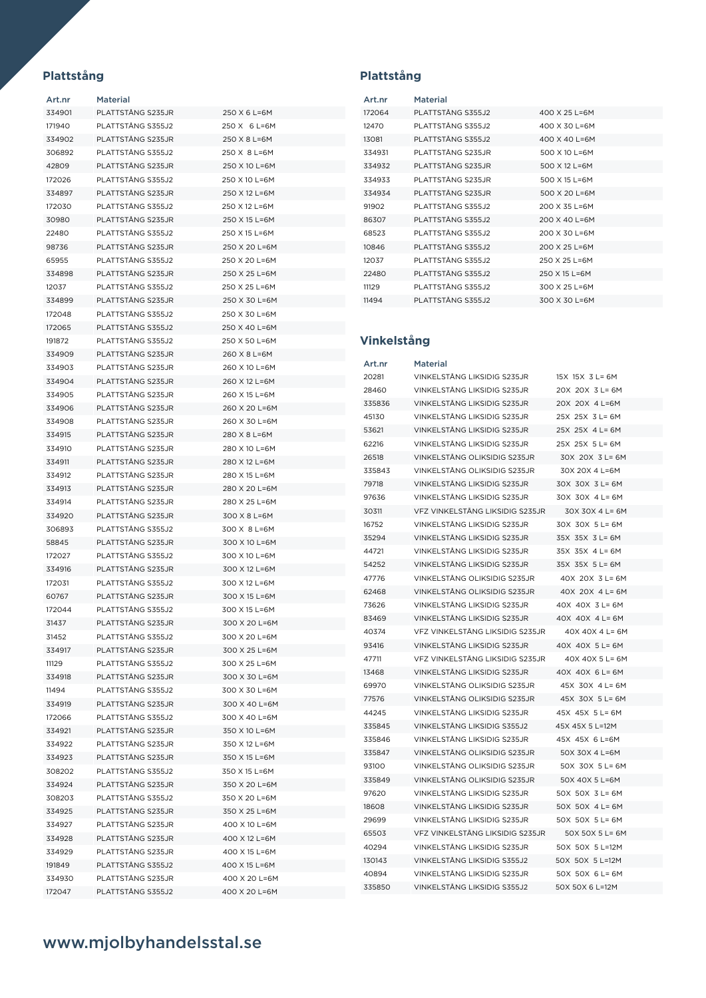| Art.nr | Material           |               |
|--------|--------------------|---------------|
| 334901 | PLATTSTÅNG S235.JR | 250 X 6 L=6M  |
| 171940 | PLATTSTÅNG S355J2  | 250 X 6 L=6M  |
| 334902 | PLATTSTÅNG S235JR  | 250 X 8 L=6M  |
| 306892 | PLATTSTÅNG S355J2  | 250 X 8 L=6M  |
| 42809  | PLATTSTÅNG S235JR  | 250 X 10 L=6M |
| 172026 | PLATTSTÅNG S355J2  | 250 X 10 L=6M |
| 334897 | PLATTSTÅNG S235JR  | 250 X 12 L=6M |
| 172030 | PLATTSTÅNG S355J2  | 250 X 12 L=6M |
| 30980  | PLATTSTÅNG S235JR  | 250 X 15 L=6M |
| 22480  | PLATTSTÅNG S355J2  | 250 X 15 L=6M |
| 98736  | PLATTSTÅNG S235JR  | 250 X 20 L=6M |
| 65955  | PLATTSTÅNG S355J2  | 250 X 20 L=6M |
| 334898 | PLATTSTÅNG S235JR  | 250 X 25 L=6M |
| 12037  | PLATTSTÅNG S355J2  | 250 X 25 L=6M |
|        |                    |               |
| 334899 | PLATTSTÅNG S235JR  | 250 X 30 L=6M |
| 172048 | PLATTSTÅNG S355J2  | 250 X 30 L=6M |
| 172065 | PLATTSTÅNG S355J2  | 250 X 40 L=6M |
| 191872 | PLATTSTÅNG S355J2  | 250 X 50 L=6M |
| 334909 | PLATTSTÅNG S235JR  | 260 X 8 L=6M  |
| 334903 | PLATTSTÅNG S235JR  | 260 X 10 L=6M |
| 334904 | PLATTSTÅNG S235JR  | 260 X 12 L=6M |
| 334905 | PLATTSTÅNG S235JR  | 260 X 15 L=6M |
| 334906 | PLATTSTÅNG S235JR  | 260 X 20 L=6M |
| 334908 | PLATTSTÅNG S235JR  | 260 X 30 L=6M |
| 334915 | PLATTSTÅNG S235JR  | 280 X 8 L=6M  |
| 334910 | PLATTSTÅNG S235JR  | 280 X 10 L=6M |
| 334911 | PLATTSTÅNG S235JR  | 280 X 12 L=6M |
| 334912 | PLATTSTÅNG S235JR  | 280 X 15 L=6M |
| 334913 | PLATTSTÄNG S235JR  | 280 X 20 L=6M |
| 334914 | PLATTSTÅNG S235JR  | 280 X 25 L=6M |
| 334920 | PLATTSTÅNG S235JR  | 300 X 8 L=6M  |
| 306893 | PLATTSTÅNG S355J2  | 300 X 8 L=6M  |
| 58845  | PLATTSTÅNG S235JR  | 300 X 10 L=6M |
| 172027 | PLATTSTÅNG S355J2  | 300 X 10 L=6M |
| 334916 | PLATTSTÅNG S235JR  | 300 X 12 L=6M |
| 172031 | PLATTSTÅNG S355J2  | 300 X 12 L=6M |
|        |                    | 300 X 15 L=6M |
| 60767  | PLATTSTÅNG S235JR  |               |
| 172044 | PLATTSTÅNG S355J2  | 300 X 15 L=6M |
| 31437  | PLATTSTÅNG S235JR  | 300 X 20 L=6M |
| 31452  | PLATTSTÅNG S355J2  | 300 X 20 L=6M |
| 334917 | PLATTSTÅNG S235JR  | 300 X 25 L=6M |
| 11129  | PLATTSTÅNG S355J2  | 300 X 25 L=6M |
| 334918 | PLATTSTÅNG S235JR  | 300 X 30 L=6M |
| 11494  | PLATTSTÅNG S355J2  | 300 X 30 L=6M |
| 334919 | PLATTSTÅNG S235JR  | 300 X 40 L=6M |
| 172066 | PLATTSTÅNG S355J2  | 300 X 40 L=6M |
| 334921 | PLATTSTÅNG S235JR  | 350 X 10 L=6M |
| 334922 | PLATTSTÅNG S235JR  | 350 X 12 L=6M |
| 334923 | PLATTSTÅNG S235JR  | 350 X 15 L=6M |
| 308202 | PLATTSTÅNG S355J2  | 350 X 15 L=6M |
| 334924 | PLATTSTÅNG S235JR  | 350 X 20 L=6M |
| 308203 | PLATTSTÅNG S355J2  | 350 X 20 L=6M |
| 334925 | PLATTSTÅNG S235JR  | 350 X 25 L=6M |
| 334927 | PLATTSTÅNG S235JR  | 400 X 10 L=6M |
| 334928 | PLATTSTÅNG S235JR  | 400 X 12 L=6M |
| 334929 | PLATTSTÅNG S235JR  | 400 X 15 L=6M |
| 191849 | PLATTSTÅNG S355J2  | 400 X 15 L=6M |
| 334930 | PLATTSTÅNG S235JR  | 400 X 20 L=6M |
| 172047 | PLATTSTÅNG S355J2  | 400 X 20 L=6M |
|        |                    |               |

| <b>Material</b>    |                 |
|--------------------|-----------------|
| PLATTSTÅNG S355J2  | 400 X 25 L=6M   |
| PLATTSTÅNG S355J2  | 400 X 30 L=6M   |
| PLATTSTÅNG S355J2  | 400 X 40 L=6M   |
| PLATTSTÅNG S235JR  | 500 X 10 L=6M   |
| PLATTSTÅNG S235JR  | 500 $X$ 12 L=6M |
| PLATTSTÅNG S235JR  | 500 $X$ 15 L=6M |
| PLATTSTÅNG S235JR  | 500 X 20 L=6M   |
| PLATTSTÅNG S355J2  | 200 X 35 L=6M   |
| PLATTSTÅNG S355.J2 | 200 X 40 L=6M   |
| PLATTSTÅNG S355J2  | 200 X 30 L=6M   |
| PLATTSTÅNG S355.J2 | 200 X 25 L=6M   |
| PLATTSTÅNG S355J2  | 250 X 25 L=6M   |
| PLATTSTÅNG S355J2  | 250 X 15 L=6M   |
| PLATTSTÅNG S355J2  | 300 X 25 L=6M   |
| PLATTSTÅNG S355.J2 | 300 X 30 L=6M   |
|                    |                 |

## **Vinkelstång**

| Art.nr | Material                        |                 |
|--------|---------------------------------|-----------------|
| 20281  | VINKELSTÅNG LIKSIDIG S235JR     | 15X 15X 3 L= 6M |
| 28460  | VINKELSTÅNG LIKSIDIG S235JR     | 20X 20X 3 L= 6M |
| 335836 | VINKELSTÅNG LIKSIDIG S235JR     | 20X 20X 4 L=6M  |
| 45130  | VINKELSTÅNG LIKSIDIG S235JR     | 25X 25X 3 L= 6M |
| 53621  | VINKELSTÅNG LIKSIDIG S235JR     | 25X 25X 4 L= 6M |
| 62216  | VINKELSTÅNG LIKSIDIG S235JR     | 25X 25X 5 L= 6M |
| 26518  | VINKELSTÅNG OLIKSIDIG S235JR    | 30X 20X 3 L= 6M |
| 335843 | VINKELSTÅNG OLIKSIDIG S235JR    | 30X 20X 4 L=6M  |
| 79718  | VINKELSTÅNG LIKSIDIG S235JR     | 30X 30X 3 L= 6M |
| 97636  | VINKELSTÅNG LIKSIDIG S235JR     | 30X 30X 4 L= 6M |
| 30311  | VFZ VINKELSTÅNG LIKSIDIG S235JR | 30X 30X 4 L= 6M |
| 16752  | VINKELSTÅNG LIKSIDIG S235JR     | 30X 30X 5 L= 6M |
| 35294  | VINKELSTÅNG LIKSIDIG S235JR     | 35X 35X 3 L= 6M |
| 44721  | VINKELSTÅNG LIKSIDIG S235JR     | 35X 35X 4 L= 6M |
| 54252  | VINKELSTÄNG LIKSIDIG S235JR     | 35X 35X 5 L= 6M |
| 47776  | VINKELSTÅNG OLIKSIDIG S235JR    | 40X 20X 3 L= 6M |
| 62468  | VINKELSTÅNG OLIKSIDIG S235.JR   | 40X 20X 4 L= 6M |
| 73626  | VINKELSTÅNG LIKSIDIG S235JR     | 40X 40X 3 L= 6M |
| 83469  | VINKELSTÄNG LIKSIDIG S235JR     | 40X 40X 4 L= 6M |
| 40374  | VFZ VINKELSTÅNG LIKSIDIG S235JR | 40X 40X 4 L= 6M |
| 93416  | VINKELSTÅNG LIKSIDIG S235JR     | 40X 40X 5 L= 6M |
| 47711  | VFZ VINKELSTÅNG LIKSIDIG S235JR | 40X 40X 5 L= 6M |
| 13468  | VINKELSTÅNG LIKSIDIG S235JR     | 40X 40X 6 L= 6M |
| 69970  | VINKELSTÅNG OLIKSIDIG S235JR    | 45X 30X 4 L= 6M |
| 77576  | VINKELSTÅNG OLIKSIDIG S235.JR   | 45X 30X 5 L= 6M |
| 44245  | VINKELSTÅNG LIKSIDIG S235JR     | 45X 45X 5 L= 6M |
| 335845 | VINKELSTÄNG LIKSIDIG S355J2     | 45X 45X 5 L=12M |
| 335846 | VINKELSTÅNG LIKSIDIG S235JR     | 45X 45X 6 L=6M  |
| 335847 | VINKELSTÅNG OLIKSIDIG S235JR    | 50X 30X 4 L=6M  |
| 93100  | VINKELSTÅNG OLIKSIDIG S235JR    | 50X 30X 5 L= 6M |
| 335849 | VINKELSTÅNG OLIKSIDIG S235JR    | 50X 40X 5 L=6M  |
| 97620  | VINKELSTÅNG LIKSIDIG S235JR     | 50X 50X 3 L= 6M |
| 18608  | VINKELSTÅNG LIKSIDIG S235JR     | 50X 50X 4 L= 6M |
| 29699  | VINKELSTÅNG LIKSIDIG S235JR     | 50X 50X 5 L= 6M |
| 65503  | VFZ VINKELSTÅNG LIKSIDIG S235JR | 50X 50X 5 L= 6M |
| 40294  | VINKELSTÅNG LIKSIDIG S235JR     | 50X 50X 5 L=12M |
| 130143 | VINKELSTÅNG LIKSIDIG S355J2     | 50X 50X 5 L=12M |
| 40894  | VINKELSTÅNG LIKSIDIG S235JR     | 50X 50X 6 L= 6M |
| 335850 | VINKELSTÅNG LIKSIDIG S355.J2    | 50X 50X 6 L=12M |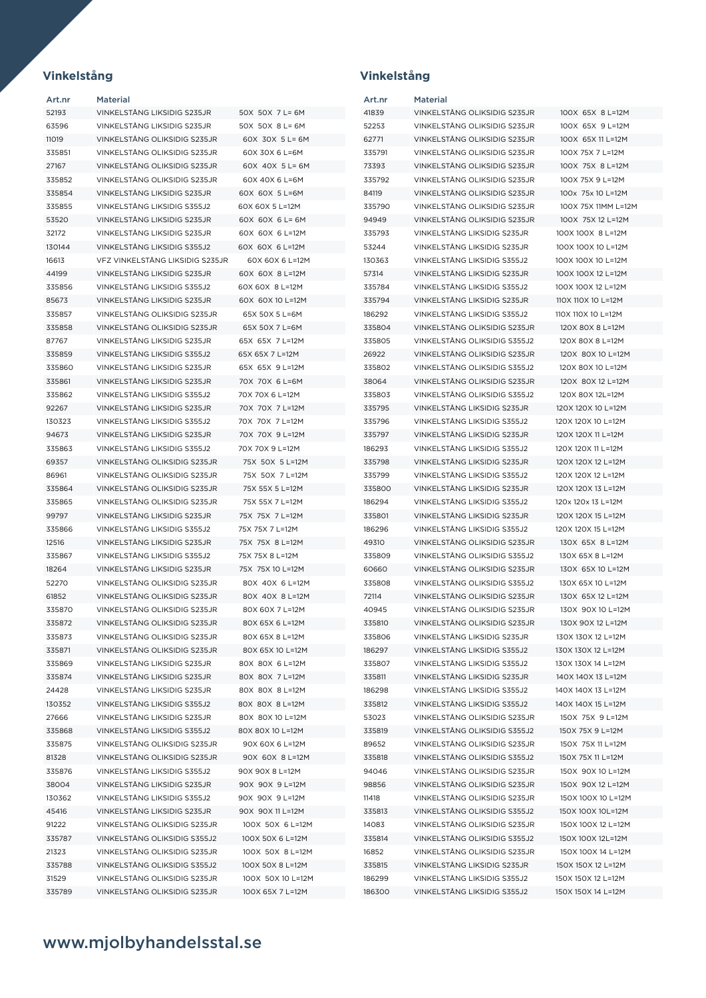| Art.nr | <b>Material</b>                 |                   | Art.nr | Material                     |                     |
|--------|---------------------------------|-------------------|--------|------------------------------|---------------------|
| 52193  | VINKELSTÅNG LIKSIDIG S235JR     | 50X 50X 7 L= 6M   | 41839  | VINKELSTÅNG OLIKSIDIG S235JR | 100X 65X 8 L=12M    |
| 63596  | VINKELSTÅNG LIKSIDIG S235JR     | 50X 50X 8 L= 6M   | 52253  | VINKELSTÅNG OLIKSIDIG S235JR | 100X 65X 9 L=12M    |
| 11019  | VINKELSTÅNG OLIKSIDIG S235JR    | 60X 30X 5 L= 6M   | 62771  | VINKELSTÅNG OLIKSIDIG S235JR | 100X 65X 11 L=12M   |
| 335851 | VINKELSTÅNG OLIKSIDIG S235JR    | 60X 30X 6 L=6M    | 335791 | VINKELSTÅNG OLIKSIDIG S235JR | 100X 75X 7 L=12M    |
| 27167  | VINKELSTÅNG OLIKSIDIG S235JR    | 60X 40X 5 L= 6M   | 73393  | VINKELSTÅNG OLIKSIDIG S235JR | 100X 75X 8 L=12M    |
| 335852 | VINKELSTÅNG OLIKSIDIG S235JR    | 60X 40X 6 L=6M    | 335792 | VINKELSTÅNG OLIKSIDIG S235JR | 100X 75X 9 L=12M    |
| 335854 | VINKELSTÅNG LIKSIDIG S235JR     | 60X 60X 5 L=6M    | 84119  | VINKELSTÅNG OLIKSIDIG S235JR | 100x 75x 10 L=12M   |
| 335855 | VINKELSTÅNG LIKSIDIG S355J2     | 60X 60X 5 L=12M   | 335790 | VINKELSTÅNG OLIKSIDIG S235JR | 100X 75X 11MM L=12M |
| 53520  | VINKELSTÅNG LIKSIDIG S235JR     | 60X 60X 6 L= 6M   | 94949  | VINKELSTÅNG OLIKSIDIG S235JR | 100X 75X 12 L=12M   |
| 32172  | VINKELSTÅNG LIKSIDIG S235JR     | 60X 60X 6 L=12M   | 335793 | VINKELSTÅNG LIKSIDIG S235JR  | 100X 100X 8 L=12M   |
| 130144 | VINKELSTÅNG LIKSIDIG S355J2     | 60X 60X 6 L=12M   | 53244  | VINKELSTÅNG LIKSIDIG S235JR  | 100X 100X 10 L=12M  |
| 16613  | VFZ VINKELSTÄNG LIKSIDIG S235JR | 60X 60X 6 L=12M   | 130363 | VINKELSTÅNG LIKSIDIG S355J2  | 100X 100X 10 L=12M  |
| 44199  | VINKELSTÅNG LIKSIDIG S235JR     | 60X 60X 8 L=12M   | 57314  | VINKELSTÅNG LIKSIDIG S235JR  | 100X 100X 12 L=12M  |
| 335856 | VINKELSTÅNG LIKSIDIG S355J2     | 60X 60X 8 L=12M   | 335784 | VINKELSTÅNG LIKSIDIG S355J2  | 100X 100X 12 L=12M  |
| 85673  | VINKELSTÅNG LIKSIDIG S235JR     | 60X 60X 10 L=12M  | 335794 | VINKELSTÅNG LIKSIDIG S235JR  | 110X 110X 10 L=12M  |
| 335857 | VINKELSTÅNG OLIKSIDIG S235JR    | 65X 50X 5 L=6M    | 186292 | VINKELSTÅNG LIKSIDIG S355J2  | 110X 110X 10 L=12M  |
| 335858 | VINKELSTÅNG OLIKSIDIG S235JR    | 65X 50X 7 L=6M    | 335804 | VINKELSTÅNG OLIKSIDIG S235JR | 120X 80X 8 L=12M    |
| 87767  | VINKELSTÅNG LIKSIDIG S235JR     | 65X 65X 7 L=12M   | 335805 | VINKELSTÅNG OLIKSIDIG S355J2 | 120X 80X 8 L=12M    |
| 335859 | VINKELSTÅNG LIKSIDIG S355J2     | 65X 65X 7 L=12M   | 26922  | VINKELSTÅNG OLIKSIDIG S235JR | 120X 80X 10 L=12M   |
| 335860 | VINKELSTÅNG LIKSIDIG S235JR     | 65X 65X 9 L=12M   | 335802 | VINKELSTÅNG OLIKSIDIG S355J2 | 120X 80X 10 L=12M   |
| 335861 | VINKELSTÅNG LIKSIDIG S235JR     | 70X 70X 6 L=6M    | 38064  | VINKELSTÅNG OLIKSIDIG S235JR | 120X 80X 12 L=12M   |
| 335862 | VINKELSTÅNG LIKSIDIG S355J2     | 70X 70X 6 L=12M   | 335803 | VINKELSTÅNG OLIKSIDIG S355J2 | 120X 80X 12L=12M    |
| 92267  | VINKELSTÅNG LIKSIDIG S235JR     | 70X 70X 7 L=12M   | 335795 | VINKELSTÅNG LIKSIDIG S235JR  | 120X 120X 10 L=12M  |
| 130323 | VINKELSTÅNG LIKSIDIG S355J2     | 70X 70X 7 L=12M   | 335796 | VINKELSTÅNG LIKSIDIG S355J2  | 120X 120X 10 L=12M  |
| 94673  | VINKELSTÅNG LIKSIDIG S235JR     | 70X 70X 9 L=12M   | 335797 | VINKELSTÅNG LIKSIDIG S235JR  | 120X 120X 11 L=12M  |
| 335863 | VINKELSTÅNG LIKSIDIG S355J2     | 70X 70X 9 L=12M   | 186293 | VINKELSTÅNG LIKSIDIG S355J2  | 120X 120X 11 L=12M  |
| 69357  | VINKELSTÅNG OLIKSIDIG S235JR    | 75X 50X 5 L=12M   | 335798 | VINKELSTÅNG LIKSIDIG S235JR  | 120X 120X 12 L=12M  |
| 86961  | VINKELSTÅNG OLIKSIDIG S235JR    | 75X 50X 7 L=12M   | 335799 | VINKELSTÅNG LIKSIDIG S355J2  | 120X 120X 12 L=12M  |
| 335864 | VINKELSTÅNG OLIKSIDIG S235JR    | 75X 55X 5 L=12M   | 335800 | VINKELSTÅNG LIKSIDIG S235JR  | 120X 120X 13 L=12M  |
| 335865 | VINKELSTÅNG OLIKSIDIG S235JR    | 75X 55X 7 L=12M   | 186294 | VINKELSTÅNG LIKSIDIG S355J2  | 120x 120x 13 L=12M  |
| 99797  | VINKELSTÄNG LIKSIDIG S235JR     | 75X 75X 7 L=12M   | 335801 | VINKELSTÄNG LIKSIDIG S235JR  | 120X 120X 15 L=12M  |
| 335866 | VINKELSTÅNG LIKSIDIG S355J2     | 75X 75X 7 L=12M   | 186296 | VINKELSTÅNG LIKSIDIG S355J2  | 120X 120X 15 L=12M  |
| 12516  | VINKELSTÅNG LIKSIDIG S235JR     | 75X 75X 8 L=12M   | 49310  | VINKELSTÅNG OLIKSIDIG S235JR | 130X 65X 8 L=12M    |
| 335867 | VINKELSTÅNG LIKSIDIG S355J2     | 75X 75X 8 L=12M   | 335809 | VINKELSTÅNG OLIKSIDIG S355J2 | 130X 65X 8 L=12M    |
| 18264  | VINKELSTÅNG LIKSIDIG S235JR     | 75X 75X 10 L=12M  | 60660  | VINKELSTÅNG OLIKSIDIG S235JR | 130X 65X 10 L=12M   |
| 52270  | VINKELSTÅNG OLIKSIDIG S235JR    | 80X 40X 6 L=12M   | 335808 | VINKELSTÅNG OLIKSIDIG S355J2 | 130X 65X 10 L=12M   |
| 61852  | VINKELSTÅNG OLIKSIDIG S235JR    | 80X 40X 8 L=12M   | 72114  | VINKELSTÅNG OLIKSIDIG S235JR | 130X 65X 12 L=12M   |
| 335870 | VINKELSTÅNG OLIKSIDIG S235JR    | 80X 60X 7 L=12M   | 40945  | VINKELSTÅNG OLIKSIDIG S235JR | 130X 90X 10 L=12M   |
| 335872 | VINKELSTÅNG OLIKSIDIG S235JR    | 80X 65X 6 L=12M   | 335810 | VINKELSTÅNG OLIKSIDIG S235JR | 130X 90X 12 L=12M   |
| 335873 | VINKELSTÅNG OLIKSIDIG S235JR    | 80X 65X 8 L=12M   | 335806 | VINKELSTÅNG LIKSIDIG S235JR  | 130X 130X 12 L=12M  |
| 335871 | VINKELSTÅNG OLIKSIDIG S235JR    | 80X 65X 10 L=12M  | 186297 | VINKELSTÅNG LIKSIDIG S355J2  | 130X 130X 12 L=12M  |
| 335869 | VINKELSTÅNG LIKSIDIG S235JR     | 80X 80X 6 L=12M   | 335807 | VINKELSTÅNG LIKSIDIG S355J2  | 130X 130X 14 L=12M  |
| 335874 | VINKELSTÅNG LIKSIDIG S235JR     | 80X 80X 7 L=12M   | 335811 | VINKELSTÅNG LIKSIDIG S235JR  | 140X 140X 13 L=12M  |
| 24428  | VINKELSTÅNG LIKSIDIG S235JR     | 80X 80X 8 L=12M   | 186298 | VINKELSTÅNG LIKSIDIG S355J2  | 140X 140X 13 L=12M  |
| 130352 | VINKELSTÅNG LIKSIDIG S355J2     | 80X 80X 8 L=12M   | 335812 | VINKELSTÅNG LIKSIDIG S355J2  | 140X 140X 15 L=12M  |
| 27666  | VINKELSTÅNG LIKSIDIG S235JR     | 80X 80X 10 L=12M  | 53023  | VINKELSTÅNG OLIKSIDIG S235JR | 150X 75X 9 L=12M    |
| 335868 | VINKELSTÅNG LIKSIDIG S355J2     | 80X 80X 10 L=12M  | 335819 | VINKELSTÅNG OLIKSIDIG S355J2 | 150X 75X 9 L=12M    |
| 335875 | VINKELSTÅNG OLIKSIDIG S235JR    | 90X 60X 6 L=12M   | 89652  | VINKELSTÅNG OLIKSIDIG S235JR | 150X 75X 11 L=12M   |
| 81328  | VINKELSTÅNG OLIKSIDIG S235JR    | 90X 60X 8 L=12M   | 335818 | VINKELSTÅNG OLIKSIDIG S355J2 | 150X 75X 11 L=12M   |
| 335876 | VINKELSTÅNG LIKSIDIG S355J2     | 90X 90X 8 L=12M   | 94046  | VINKELSTÅNG OLIKSIDIG S235JR | 150X 90X 10 L=12M   |
| 38004  | VINKELSTÅNG LIKSIDIG S235JR     | 90X 90X 9 L=12M   | 98856  | VINKELSTÅNG OLIKSIDIG S235JR | 150X 90X 12 L=12M   |
| 130362 | VINKELSTÅNG LIKSIDIG S355J2     | 90X 90X 9 L=12M   | 11418  | VINKELSTÅNG OLIKSIDIG S235JR | 150X 100X 10 L=12M  |
| 45416  | VINKELSTÅNG LIKSIDIG S235JR     | 90X 90X 11 L=12M  | 335813 | VINKELSTÅNG OLIKSIDIG S355J2 | 150X 100X 10L=12M   |
| 91222  | VINKELSTÅNG OLIKSIDIG S235JR    | 100X 50X 6 L=12M  | 14083  | VINKELSTÅNG OLIKSIDIG S235JR | 150X 100X 12 L=12M  |
| 335787 | VINKELSTÅNG OLIKSIDIG S355J2    | 100X 50X 6 L=12M  | 335814 | VINKELSTÅNG OLIKSIDIG S355J2 | 150X 100X 12L=12M   |
| 21323  | VINKELSTÅNG OLIKSIDIG S235JR    | 100X 50X 8 L=12M  | 16852  | VINKELSTÅNG OLIKSIDIG S235JR | 150X 100X 14 L=12M  |
| 335788 | VINKELSTÅNG OLIKSIDIG S355J2    | 100X 50X 8 L=12M  | 335815 | VINKELSTÅNG LIKSIDIG S235JR  | 150X 150X 12 L=12M  |
| 31529  | VINKELSTÅNG OLIKSIDIG S235JR    | 100X 50X 10 L=12M | 186299 | VINKELSTÅNG LIKSIDIG S355J2  | 150X 150X 12 L=12M  |
| 335789 | VINKELSTÅNG OLIKSIDIG S235JR    | 100X 65X 7 L=12M  | 186300 | VINKELSTÅNG LIKSIDIG S355J2  | 150X 150X 14 L=12M  |

## **Vinkelstång Vinkelstång**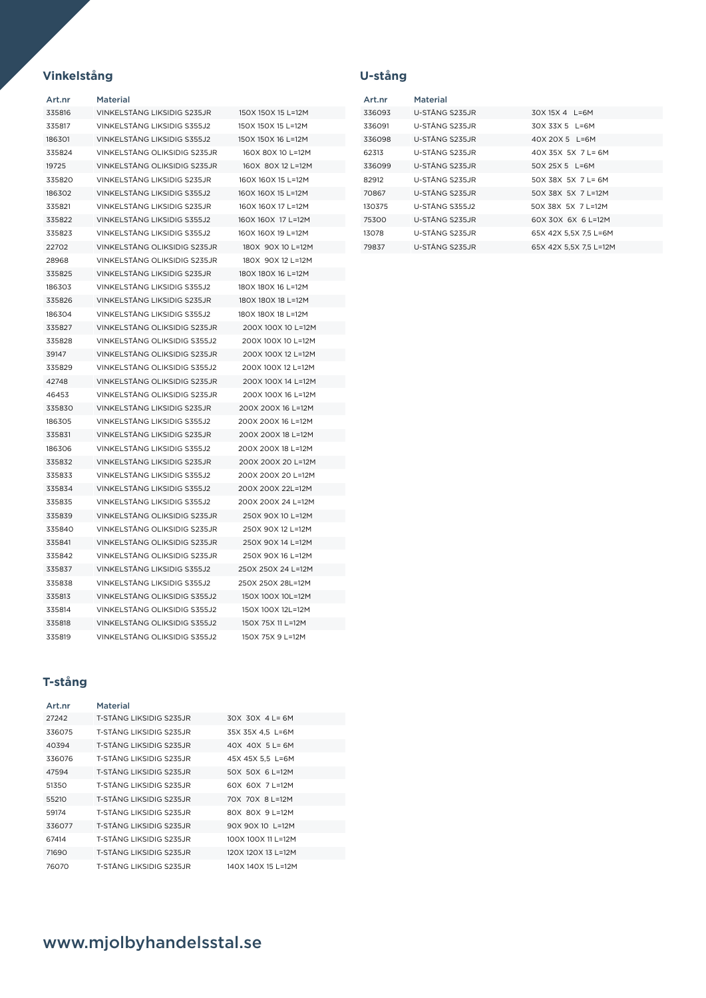## **Vinkelstång**

| Art.nr | Material                     |                    |
|--------|------------------------------|--------------------|
| 335816 | VINKELSTÅNG LIKSIDIG S235JR  | 150X 150X 15 L=12M |
| 335817 | VINKELSTÅNG LIKSIDIG S355J2  | 150X 150X 15 L=12M |
| 186301 | VINKELSTÅNG LIKSIDIG S355J2  | 150X 150X 16 L=12M |
| 335824 | VINKELSTÅNG OLIKSIDIG S235JR | 160X 80X 10 L=12M  |
| 19725  | VINKELSTÅNG OLIKSIDIG S235JR | 160X 80X 12 L=12M  |
| 335820 | VINKELSTÅNG LIKSIDIG S235JR  | 160X 160X 15 L=12M |
| 186302 | VINKELSTÅNG LIKSIDIG S355J2  | 160X 160X 15 L=12M |
| 335821 | VINKELSTÅNG LIKSIDIG S235JR  | 160X 160X 17 L=12M |
| 335822 | VINKELSTÅNG LIKSIDIG S355J2  | 160X 160X 17 L=12M |
| 335823 | VINKELSTÅNG LIKSIDIG S355J2  | 160X 160X 19 L=12M |
| 22702  | VINKELSTÅNG OLIKSIDIG S235JR | 180X 90X 10 L=12M  |
| 28968  | VINKELSTÅNG OLIKSIDIG S235JR | 180X 90X 12 L=12M  |
| 335825 | VINKELSTÅNG LIKSIDIG S235JR  | 180X 180X 16 L=12M |
| 186303 | VINKELSTÅNG LIKSIDIG S355J2  | 180X 180X 16 L=12M |
| 335826 | VINKELSTÅNG LIKSIDIG S235JR  | 180X 180X 18 L=12M |
| 186304 | VINKELSTÅNG LIKSIDIG S355J2  | 180X 180X 18 L=12M |
| 335827 | VINKELSTÅNG OLIKSIDIG S235JR | 200X 100X 10 L=12M |
| 335828 | VINKELSTÅNG OLIKSIDIG S355J2 | 200X 100X 10 L=12M |
| 39147  | VINKELSTÅNG OLIKSIDIG S235JR | 200X 100X 12 L=12M |
| 335829 | VINKELSTÅNG OLIKSIDIG S355J2 | 200X 100X 12 L=12M |
| 42748  | VINKELSTÅNG OLIKSIDIG S235JR | 200X 100X 14 L=12M |
| 46453  | VINKELSTÅNG OLIKSIDIG S235JR | 200X 100X 16 L=12M |
| 335830 | VINKELSTÄNG LIKSIDIG S235JR  | 200X 200X 16 L=12M |
| 186305 | VINKELSTÄNG LIKSIDIG S355J2  | 200X 200X 16 L=12M |
| 335831 | VINKELSTÅNG LIKSIDIG S235JR  | 200X 200X 18 L=12M |
| 186306 | VINKELSTÅNG LIKSIDIG S355J2  | 200X 200X 18 L=12M |
| 335832 | VINKELSTÅNG LIKSIDIG S235JR  | 200X 200X 20 L=12M |
| 335833 | VINKELSTÅNG LIKSIDIG S355J2  | 200X 200X 20 L=12M |
| 335834 | VINKELSTÄNG LIKSIDIG S355J2  | 200X 200X 22L=12M  |
| 335835 | VINKELSTÅNG LIKSIDIG S355J2  | 200X 200X 24 L=12M |
| 335839 | VINKELSTÅNG OLIKSIDIG S235JR | 250X 90X 10 L=12M  |
| 335840 | VINKELSTÅNG OLIKSIDIG S235JR | 250X 90X 12 L=12M  |
| 335841 | VINKELSTÅNG OLIKSIDIG S235JR | 250X 90X 14 L=12M  |
| 335842 | VINKELSTÅNG OLIKSIDIG S235JR | 250X 90X 16 L=12M  |
| 335837 | VINKELSTÄNG LIKSIDIG S355J2  | 250X 250X 24 L=12M |
| 335838 | VINKELSTÄNG LIKSIDIG S355J2  | 250X 250X 28L=12M  |
| 335813 | VINKELSTÅNG OLIKSIDIG S355J2 | 150X 100X 10L=12M  |
| 335814 | VINKELSTÅNG OLIKSIDIG S355J2 | 150X 100X 12L=12M  |
| 335818 | VINKELSTÅNG OLIKSIDIG S355J2 | 150X 75X 11 L=12M  |
| 335819 | VINKELSTÅNG OLIKSIDIG S355J2 | 150X 75X 9 L=12M   |

## **T-stång**

| Art.nr | Material                  |                       |
|--------|---------------------------|-----------------------|
| 27242  | T-STÅNG I IKSIDIG S235 IR | $30X$ 30X 4 L = 6M    |
| 336075 | T-STÅNG LIKSIDIG S235.JR  | 35X 35X 4.5 L=6M      |
| 40394  | T-STÅNG LIKSIDIG S235.JR  | $40X$ $40X$ $5L = 6M$ |
| 336076 | T-STÅNG LIKSIDIG S235.JR  | 45X 45X 5.5 L=6M      |
| 47594  | T-STÅNG I IKSIDIG S235 IR | 50X 50X 6 L=12M       |
| 51350  | T-STÅNG I IKSIDIG S235 IR | 60X 60X 7 L=12M       |
| 55210  | T-STÅNG I IKSIDIG S235 IR | 70X 70X 8 L=12M       |
| 59174  | T-STÅNG I IKSIDIG S235 IR | 80X 80X 9 L=12M       |
| 336077 | T-STÅNG LIKSIDIG S235.JR  | 90X 90X 10 L=12M      |
| 67414  | T-STÅNG LIKSIDIG S235.JR  | 100X 100X 11 L=12M    |
| 71690  | T-STÅNG LIKSIDIG S235.JR  | 120X 120X 13 L=12M    |
| 76070  | T-STÅNG LIKSIDIG S235.JR  | 140X 140X 15 L=12M    |

## **U-stång**

| Art.nr | Material               |                        |
|--------|------------------------|------------------------|
| 336093 | U-STÅNG S235JR         | 30X 15X 4 L=6M         |
| 336091 | U-STÅNG S235JR         | $30X$ 33X 5 $1=6M$     |
| 336098 | U-STÅNG S235JR         | 40X 20X 5 L=6M         |
| 62313  | U-STÅNG S235JR         | $40X$ 35X 5X 71 = 6M   |
| 336099 | U-STÅNG S235JR         | $50X$ 25X 5 $1=6M$     |
| 82912  | U-STÅNG S235JR         | 50X 38X 5X 7L=6M       |
| 70867  | U-STÅNG S235JR         | 50X 38X 5X 71=12M      |
| 130375 | <b>U-STÅNG S355.12</b> | 50X 38X 5X 7 L=12M     |
| 75300  | U-STÅNG S235JR         | 60X 30X 6X 6 L=12M     |
| 13078  | U-STÅNG S235JR         | 65X 42X 5.5X 7.5 L=6M  |
| 79837  | U-STÅNG S235JR         | 65X 42X 5.5X 7.5 L=12M |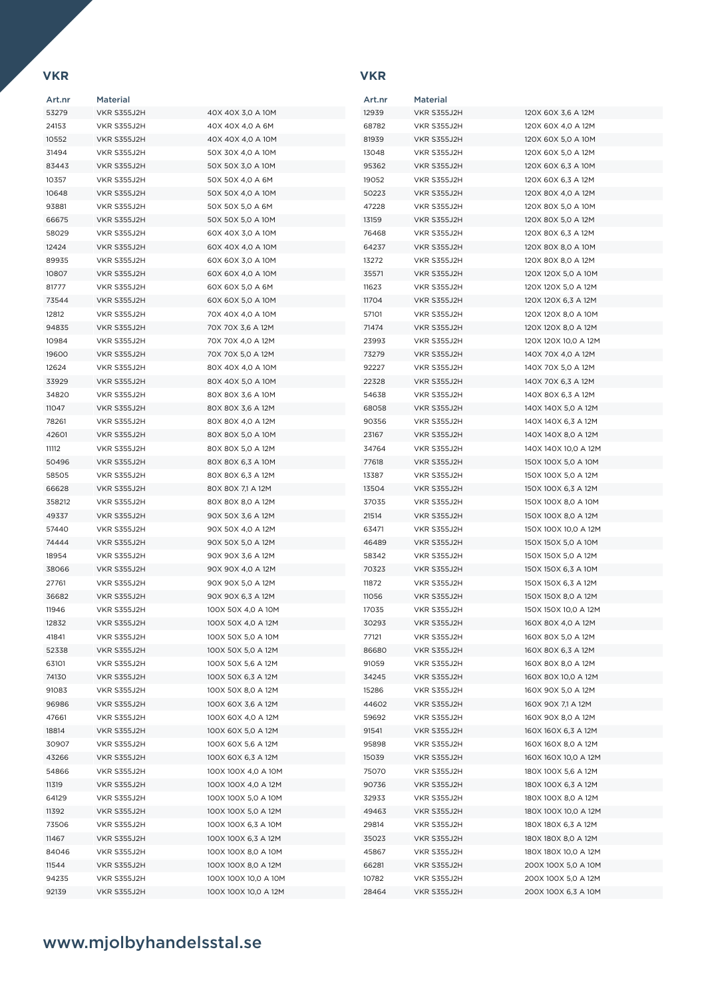## **VKR**

## **VKR**

| Art.nr | <b>Material</b>    |                      | Art.nr | <b>Material</b>    |                      |
|--------|--------------------|----------------------|--------|--------------------|----------------------|
| 53279  | VKR S355J2H        | 40X 40X 3,0 A 10M    | 12939  | VKR S355J2H        | 120X 60X 3,6 A 12M   |
| 24153  | VKR S355J2H        | 40X 40X 4,0 A 6M     | 68782  | VKR S355J2H        | 120X 60X 4,0 A 12M   |
| 10552  | VKR S355J2H        | 40X 40X 4,0 A 10M    | 81939  | VKR S355J2H        | 120X 60X 5,0 A 10M   |
| 31494  | VKR S355J2H        | 50X 30X 4,0 A 10M    | 13048  | VKR S355J2H        | 120X 60X 5,0 A 12M   |
| 83443  | VKR S355J2H        | 50X 50X 3,0 A 10M    | 95362  | <b>VKR S355J2H</b> | 120X 60X 6,3 A 10M   |
|        | VKR S355J2H        |                      | 19052  | VKR S355J2H        |                      |
| 10357  |                    | 50X 50X 4,0 A 6M     |        |                    | 120X 60X 6,3 A 12M   |
| 10648  | VKR S355J2H        | 50X 50X 4,0 A 10M    | 50223  | VKR S355J2H        | 120X 80X 4,0 A 12M   |
| 93881  | VKR S355J2H        | 50X 50X 5,0 A 6M     | 47228  | VKR S355J2H        | 120X 80X 5,0 A 10M   |
| 66675  | VKR S355J2H        | 50X 50X 5,0 A 10M    | 13159  | <b>VKR S355J2H</b> | 120X 80X 5,0 A 12M   |
| 58029  | VKR S355J2H        | 60X 40X 3,0 A 10M    | 76468  | VKR S355J2H        | 120X 80X 6,3 A 12M   |
| 12424  | VKR S355J2H        | 60X 40X 4,0 A 10M    | 64237  | VKR S355J2H        | 120X 80X 8,0 A 10M   |
| 89935  | VKR S355J2H        | 60X 60X 3,0 A 10M    | 13272  | VKR S355J2H        | 120X 80X 8,0 A 12M   |
| 10807  | VKR S355J2H        | 60X 60X 4,0 A 10M    | 35571  | <b>VKR S355J2H</b> | 120X 120X 5,0 A 10M  |
| 81777  | VKR S355J2H        | 60X 60X 5,0 A 6M     | 11623  | VKR S355J2H        | 120X 120X 5,0 A 12M  |
| 73544  | VKR S355J2H        | 60X 60X 5,0 A 10M    | 11704  | VKR S355J2H        | 120X 120X 6,3 A 12M  |
| 12812  | VKR S355J2H        | 70X 40X 4,0 A 10M    | 57101  | VKR S355J2H        | 120X 120X 8,0 A 10M  |
| 94835  | VKR S355J2H        | 70X 70X 3,6 A 12M    | 71474  | VKR S355J2H        | 120X 120X 8,0 A 12M  |
| 10984  | VKR S355J2H        | 70X 70X 4,0 A 12M    | 23993  | VKR S355J2H        | 120X 120X 10,0 A 12M |
| 19600  | VKR S355J2H        | 70X 70X 5,0 A 12M    | 73279  | VKR S355J2H        | 140X 70X 4,0 A 12M   |
| 12624  | <b>VKR S355J2H</b> | 80X 40X 4,0 A 10M    | 92227  | VKR S355J2H        | 140X 70X 5,0 A 12M   |
| 33929  | VKR S355J2H        | 80X 40X 5,0 A 10M    | 22328  | VKR S355J2H        | 140X 70X 6,3 A 12M   |
| 34820  | VKR S355J2H        | 80X 80X 3,6 A 10M    | 54638  | <b>VKR S355J2H</b> | 140X 80X 6,3 A 12M   |
| 11047  | VKR S355J2H        | 80X 80X 3,6 A 12M    | 68058  | <b>VKR S355J2H</b> | 140X 140X 5,0 A 12M  |
| 78261  | VKR S355J2H        | 80X 80X 4,0 A 12M    | 90356  | <b>VKR S355J2H</b> | 140X 140X 6,3 A 12M  |
| 42601  | VKR S355J2H        | 80X 80X 5,0 A 10M    | 23167  | VKR S355J2H        | 140X 140X 8,0 A 12M  |
| 11112  | VKR S355J2H        | 80X 80X 5,0 A 12M    | 34764  | VKR S355J2H        | 140X 140X 10,0 A 12M |
| 50496  | VKR S355J2H        | 80X 80X 6,3 A 10M    | 77618  | VKR S355J2H        | 150X 100X 5,0 A 10M  |
| 58505  | VKR S355J2H        | 80X 80X 6,3 A 12M    | 13387  | VKR S355J2H        | 150X 100X 5,0 A 12M  |
| 66628  | VKR S355J2H        | 80X 80X 7,1 A 12M    | 13504  | <b>VKR S355J2H</b> | 150X 100X 6,3 A 12M  |
| 358212 | VKR S355J2H        | 80X 80X 8,0 A 12M    | 37035  | VKR S355J2H        | 150X 100X 8,0 A 10M  |
| 49337  | VKR S355J2H        | 90X 50X 3,6 A 12M    | 21514  | VKR S355J2H        | 150X 100X 8,0 A 12M  |
| 57440  | VKR S355J2H        | 90X 50X 4,0 A 12M    | 63471  | VKR S355J2H        | 150X 100X 10,0 A 12M |
| 74444  | VKR S355J2H        | 90X 50X 5,0 A 12M    | 46489  | VKR S355J2H        | 150X 150X 5,0 A 10M  |
| 18954  | VKR S355J2H        | 90X 90X 3,6 A 12M    | 58342  | VKR S355J2H        | 150X 150X 5,0 A 12M  |
| 38066  | VKR S355J2H        | 90X 90X 4,0 A 12M    | 70323  | VKR S355J2H        | 150X 150X 6,3 A 10M  |
| 27761  | VKR S355J2H        | 90X 90X 5,0 A 12M    | 11872  | <b>VKR S355J2H</b> | 150X 150X 6,3 A 12M  |
| 36682  | VKR S355J2H        | 90X 90X 6,3 A 12M    | 11056  | <b>VKR S355J2H</b> | 150X 150X 8,0 A 12M  |
| 11946  | VKR S355J2H        | 100X 50X 4,0 A 10M   | 17035  | VKR S355J2H        | 150X 150X 10,0 A 12M |
| 12832  | VKR S355J2H        | 100X 50X 4,0 A 12M   | 30293  | VKR S355J2H        | 160X 80X 4,0 A 12M   |
| 41841  | VKR S355J2H        | 100X 50X 5,0 A 10M   | 77121  | VKR S355J2H        | 160X 80X 5,0 A 12M   |
| 52338  | VKR S355J2H        | 100X 50X 5,0 A 12M   | 86680  | VKR S355J2H        | 160X 80X 6,3 A 12M   |
| 63101  | VKR S355J2H        | 100X 50X 5,6 A 12M   | 91059  | VKR S355J2H        | 160X 80X 8,0 A 12M   |
| 74130  | VKR S355J2H        | 100X 50X 6,3 A 12M   | 34245  | VKR S355J2H        | 160X 80X 10,0 A 12M  |
| 91083  | VKR S355J2H        | 100X 50X 8,0 A 12M   | 15286  | VKR S355J2H        | 160X 90X 5,0 A 12M   |
| 96986  | VKR S355J2H        | 100X 60X 3,6 A 12M   | 44602  | VKR S355J2H        | 160X 90X 7,1 A 12M   |
| 47661  | VKR S355J2H        | 100X 60X 4,0 A 12M   | 59692  | VKR S355J2H        | 160X 90X 8,0 A 12M   |
| 18814  | VKR S355J2H        | 100X 60X 5,0 A 12M   | 91541  | VKR S355J2H        | 160X 160X 6,3 A 12M  |
| 30907  | VKR S355J2H        | 100X 60X 5,6 A 12M   | 95898  | VKR S355J2H        | 160X 160X 8,0 A 12M  |
| 43266  | VKR S355J2H        | 100X 60X 6,3 A 12M   | 15039  | VKR S355J2H        | 160X 160X 10,0 A 12M |
| 54866  | VKR S355J2H        | 100X 100X 4,0 A 10M  | 75070  | VKR S355J2H        | 180X 100X 5,6 A 12M  |
| 11319  | VKR S355J2H        | 100X 100X 4,0 A 12M  | 90736  | VKR S355J2H        | 180X 100X 6,3 A 12M  |
| 64129  | VKR S355J2H        | 100X 100X 5,0 A 10M  | 32933  | VKR S355J2H        | 180X 100X 8,0 A 12M  |
| 11392  | VKR S355J2H        | 100X 100X 5,0 A 12M  | 49463  | VKR S355J2H        | 180X 100X 10,0 A 12M |
| 73506  | VKR S355J2H        | 100X 100X 6,3 A 10M  | 29814  | VKR S355J2H        | 180X 180X 6,3 A 12M  |
| 11467  | VKR S355J2H        | 100X 100X 6,3 A 12M  | 35023  | VKR S355J2H        | 180X 180X 8,0 A 12M  |
| 84046  | VKR S355J2H        | 100X 100X 8,0 A 10M  | 45867  | VKR S355J2H        | 180X 180X 10,0 A 12M |
| 11544  | VKR S355J2H        | 100X 100X 8,0 A 12M  | 66281  | VKR S355J2H        | 200X 100X 5,0 A 10M  |
| 94235  | VKR S355J2H        | 100X 100X 10,0 A 10M | 10782  | VKR S355J2H        | 200X 100X 5,0 A 12M  |
| 92139  | VKR S355J2H        | 100X 100X 10,0 A 12M | 28464  | VKR S355J2H        | 200X 100X 6,3 A 10M  |
|        |                    |                      |        |                    |                      |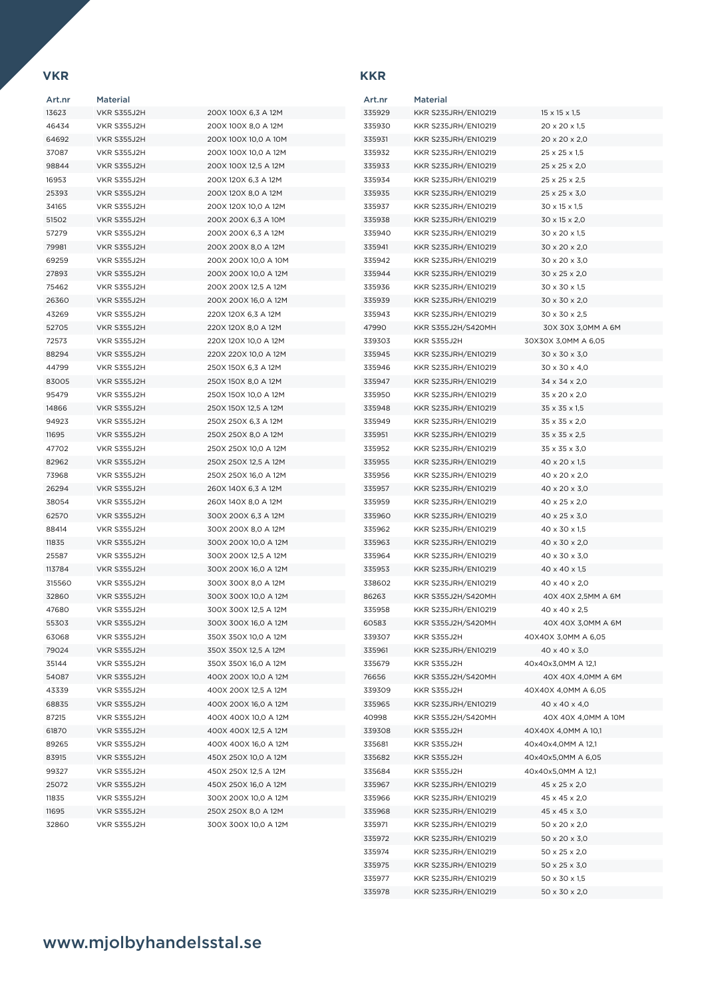### **VKR KKR**

| Art.nr | <b>Material</b>    |                      | Art.nr |  |
|--------|--------------------|----------------------|--------|--|
| 13623  | VKR S355J2H        | 200X 100X 6,3 A 12M  | 335929 |  |
| 46434  | VKR S355J2H        | 200X 100X 8,0 A 12M  | 335930 |  |
| 64692  | VKR S355J2H        | 200X 100X 10,0 A 10M | 335931 |  |
| 37087  | VKR S355J2H        | 200X 100X 10,0 A 12M | 335932 |  |
| 98844  | VKR S355J2H        | 200X 100X 12,5 A 12M | 335933 |  |
| 16953  | VKR S355J2H        | 200X 120X 6,3 A 12M  | 335934 |  |
| 25393  | VKR S355J2H        | 200X 120X 8,0 A 12M  | 335935 |  |
| 34165  | VKR S355J2H        | 200X 120X 10,0 A 12M | 335937 |  |
| 51502  | VKR S355J2H        | 200X 200X 6,3 A 10M  | 335938 |  |
| 57279  | VKR S355J2H        | 200X 200X 6,3 A 12M  | 335940 |  |
|        |                    |                      |        |  |
| 79981  | <b>VKR S355J2H</b> | 200X 200X 8.0 A 12M  | 335941 |  |
| 69259  | VKR S355J2H        | 200X 200X 10,0 A 10M | 335942 |  |
| 27893  | VKR S355J2H        | 200X 200X 10,0 A 12M | 335944 |  |
| 75462  | VKR S355J2H        | 200X 200X 12,5 A 12M | 335936 |  |
| 26360  | VKR S355J2H        | 200X 200X 16,0 A 12M | 335939 |  |
| 43269  | VKR S355J2H        | 220X 120X 6,3 A 12M  | 335943 |  |
| 52705  | <b>VKR S355J2H</b> | 220X 120X 8,0 A 12M  | 47990  |  |
| 72573  | VKR S355J2H        | 220X 120X 10,0 A 12M | 339303 |  |
| 88294  | VKR S355J2H        | 220X 220X 10.0 A 12M | 335945 |  |
| 44799  | VKR S355J2H        | 250X 150X 6,3 A 12M  | 335946 |  |
| 83005  | VKR S355J2H        | 250X 150X 8,0 A 12M  | 335947 |  |
| 95479  | <b>VKR S355J2H</b> | 250X 150X 10.0 A 12M | 335950 |  |
| 14866  | VKR S355J2H        | 250X 150X 12.5 A 12M | 335948 |  |
| 94923  | <b>VKR S355J2H</b> | 250X 250X 6.3 A 12M  | 335949 |  |
| 11695  | VKR S355J2H        | 250X 250X 8,0 A 12M  | 335951 |  |
| 47702  | VKR S355J2H        | 250X 250X 10,0 A 12M | 335952 |  |
| 82962  | VKR S355J2H        | 250X 250X 12,5 A 12M | 335955 |  |
| 73968  | VKR S355J2H        | 250X 250X 16,0 A 12M | 335956 |  |
| 26294  | VKR S355J2H        | 260X 140X 6,3 A 12M  | 335957 |  |
| 38054  | VKR S355J2H        | 260X 140X 8,0 A 12M  | 335959 |  |
| 62570  | VKR S355J2H        | 300X 200X 6,3 A 12M  | 335960 |  |
|        |                    |                      |        |  |
| 88414  | VKR S355J2H        | 300X 200X 8,0 A 12M  | 335962 |  |
| 11835  | VKR S355J2H        | 300X 200X 10,0 A 12M | 335963 |  |
| 25587  | VKR S355J2H        | 300X 200X 12,5 A 12M | 335964 |  |
| 113784 | VKR S355J2H        | 300X 200X 16,0 A 12M | 335953 |  |
| 315560 | VKR S355J2H        | 300X 300X 8,0 A 12M  | 338602 |  |
| 32860  | VKR S355J2H        | 300X 300X 10,0 A 12M | 86263  |  |
| 47680  | <b>VKR S355J2H</b> | 300X 300X 12,5 A 12M | 335958 |  |
| 55303  | VKR S355J2H        | 300X 300X 16,0 A 12M | 60583  |  |
| 63068  | VKR S355J2H        | 350X 350X 10,0 A 12M | 339307 |  |
| 79024  | VKR S355J2H        | 350X 350X 12,5 A 12M | 335961 |  |
| 35144  | VKR S355J2H        | 350X 350X 16,0 A 12M | 335679 |  |
| 54087  | VKR S355J2H        | 400X 200X 10,0 A 12M | 76656  |  |
| 43339  | VKR S355J2H        | 400X 200X 12,5 A 12M | 339309 |  |
| 68835  | VKR S355J2H        | 400X 200X 16,0 A 12M | 335965 |  |
| 87215  | VKR S355J2H        | 400X 400X 10,0 A 12M | 40998  |  |
| 61870  | VKR S355J2H        | 400X 400X 12,5 A 12M | 339308 |  |
| 89265  | VKR S355J2H        | 400X 400X 16,0 A 12M | 335681 |  |
| 83915  | VKR S355J2H        | 450X 250X 10,0 A 12M | 335682 |  |
| 99327  | VKR S355J2H        | 450X 250X 12,5 A 12M | 335684 |  |
| 25072  | VKR S355J2H        | 450X 250X 16,0 A 12M | 335967 |  |
| 11835  | VKR S355J2H        | 300X 200X 10,0 A 12M | 335966 |  |
| 11695  | VKR S355J2H        | 250X 250X 8,0 A 12M  | 335968 |  |
| 32860  | VKR S355J2H        | 300X 300X 10,0 A 12M | 335971 |  |
|        |                    |                      |        |  |

| Art.nr | <b>Material</b>     |                           |
|--------|---------------------|---------------------------|
| 335929 | KKR S235JRH/EN10219 | $15 \times 15 \times 1,5$ |
| 335930 | KKR S235JRH/EN10219 | 20 x 20 x 1,5             |
| 335931 | KKR S235JRH/EN10219 | 20 x 20 x 2,0             |
| 335932 | KKR S235JRH/EN10219 | $25 \times 25 \times 1.5$ |
| 335933 | KKR S235JRH/EN10219 | 25 x 25 x 2,0             |
| 335934 | KKR S235JRH/EN10219 | 25 x 25 x 2,5             |
| 335935 | KKR S235JRH/EN10219 | $25 \times 25 \times 3,0$ |
| 335937 | KKR S235JRH/EN10219 | 30 x 15 x 1,5             |
| 335938 | KKR S235JRH/EN10219 | 30 x 15 x 2,0             |
| 335940 | KKR S235JRH/EN10219 | 30 x 20 x 1,5             |
| 335941 | KKR S235JRH/EN10219 | 30 x 20 x 2,0             |
| 335942 | KKR S235JRH/EN10219 | 30 x 20 x 3,0             |
| 335944 | KKR S235JRH/EN10219 | 30 x 25 x 2,0             |
| 335936 | KKR S235JRH/EN10219 | 30 x 30 x 1,5             |
| 335939 | KKR S235JRH/EN10219 | 30 x 30 x 2,0             |
| 335943 | KKR S235JRH/EN10219 | 30 x 30 x 2,5             |
| 47990  | KKR S355J2H/S420MH  | 30X 30X 3,0MM A 6M        |
| 339303 | <b>KKR S355J2H</b>  | 30X30X 3,0MM A 6,05       |
| 335945 | KKR S235JRH/EN10219 | 30 x 30 x 3.0             |
| 335946 | KKR S235JRH/EN10219 | 30 x 30 x 4,0             |
| 335947 | KKR S235JRH/EN10219 | 34 x 34 x 2,0             |
| 335950 | KKR S235JRH/EN10219 | 35 x 20 x 2,0             |
| 335948 | KKR S235JRH/EN10219 | $35 \times 35 \times 1,5$ |
| 335949 | KKR S235JRH/EN10219 | 35 x 35 x 2,0             |
| 335951 | KKR S235JRH/EN10219 | 35 x 35 x 2,5             |
| 335952 | KKR S235JRH/EN10219 | 35 x 35 x 3,0             |
| 335955 | KKR S235JRH/EN10219 | 40 x 20 x 1,5             |
| 335956 | KKR S235JRH/EN10219 | 40 x 20 x 2,0             |
| 335957 | KKR S235JRH/EN10219 | 40 x 20 x 3,0             |
| 335959 | KKR S235JRH/EN10219 | 40 x 25 x 2,0             |
| 335960 | KKR S235JRH/EN10219 | 40 x 25 x 3,0             |
| 335962 | KKR S235JRH/EN10219 | 40 x 30 x 1,5             |
| 335963 | KKR S235JRH/EN10219 | 40 x 30 x 2,0             |
| 335964 | KKR S235JRH/EN10219 | 40 x 30 x 3,0             |
| 335953 | KKR S235JRH/EN10219 | 40 x 40 x 1,5             |
| 338602 | KKR S235JRH/EN10219 | 40 x 40 x 2,0             |
| 86263  | KKR S355J2H/S420MH  | 40X 40X 2,5MM A 6M        |
| 335958 | KKR S235JRH/EN10219 | 40 x 40 x 2,5             |
| 60583  | KKR S355J2H/S420MH  | 40X 40X 3,0MM A 6M        |
| 339307 | KKR S355J2H         | 40X40X 3,0MM A 6,05       |
| 335961 | KKR S235JRH/EN10219 | 40 x 40 x 3,0             |
| 335679 | <b>KKR S355J2H</b>  | 40x40x3,0MM A 12,1        |
| 76656  | KKR S355J2H/S420MH  | 40X 40X 4,0MM A 6M        |
| 339309 | <b>KKR S355J2H</b>  | 40X40X 4,0MM A 6,05       |
| 335965 | KKR S235JRH/EN10219 | 40 x 40 x 4,0             |
| 40998  | KKR S355J2H/S420MH  | 40X 40X 4,0MM A 10M       |
| 339308 | KKR S355J2H         | 40X40X 4,0MM A 10,1       |
| 335681 | <b>KKR S355J2H</b>  | 40x40x4,0MM A 12,1        |
| 335682 | KKR S355J2H         | 40x40x5,0MM A 6,05        |
| 335684 | KKR S355J2H         | 40x40x5,0MM A 12,1        |
| 335967 | KKR S235JRH/EN10219 | 45 x 25 x 2,0             |
| 335966 | KKR S235JRH/EN10219 | 45 x 45 x 2,0             |
| 335968 | KKR S235JRH/EN10219 | 45 x 45 x 3,0             |
| 335971 | KKR S235JRH/EN10219 | 50 x 20 x 2,0             |
| 335972 | KKR S235JRH/EN10219 | 50 x 20 x 3,0             |
| 335974 | KKR S235JRH/EN10219 | $50 \times 25 \times 2,0$ |
| 335975 | KKR S235JRH/EN10219 | 50 x 25 x 3,0             |
| 335977 | KKR S235JRH/EN10219 | 50 x 30 x 1,5             |
| 335978 | KKR S235JRH/EN10219 | 50 x 30 x 2,0             |
|        |                     |                           |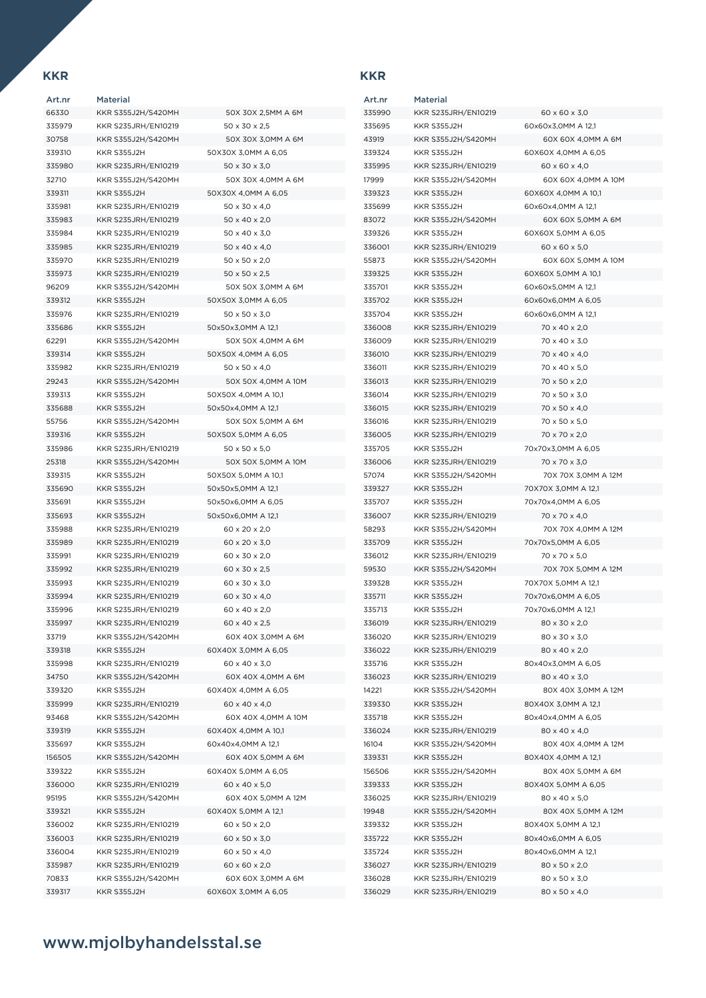| Art.nr | Material                  |                           |
|--------|---------------------------|---------------------------|
| 66330  | <b>KKR S355J2H/S420MH</b> | 50X 30X 2,5MM A 6M        |
| 335979 | KKR S235JRH/EN10219       | $50 \times 30 \times 2.5$ |
| 30758  | KKR S355J2H/S420MH        | 50X 30X 3.0MM A 6M        |
| 339310 | KKR S355J2H               | 50X30X 3,0MM A 6,05       |
| 335980 | KKR S235JRH/EN10219       | 50 x 30 x 3,0             |
| 32710  | KKR S355J2H/S420MH        | 50X 30X 4,0MM A 6M        |
| 339311 | <b>KKR S355J2H</b>        | 50X30X 4,0MM A 6,05       |
| 335981 | KKR S235JRH/EN10219       | 50 x 30 x 4,0             |
| 335983 | KKR S235JRH/EN10219       | 50 x 40 x 2,0             |
| 335984 | KKR S235JRH/EN10219       | 50 x 40 x 3,0             |
| 335985 | KKR S235JRH/EN10219       | 50 x 40 x 4,0             |
| 335970 | KKR S235JRH/EN10219       | 50 x 50 x 2,0             |
| 335973 | KKR S235JRH/EN10219       | 50 x 50 x 2,5             |
| 96209  | KKR S355J2H/S420MH        | 50X 50X 3,0MM A 6M        |
| 339312 | <b>KKR S355J2H</b>        | 50X50X 3,0MM A 6,05       |
| 335976 | KKR S235JRH/EN10219       | 50 x 50 x 3,0             |
| 335686 | KKR S355J2H               | 50x50x3,0MM A 12,1        |
| 62291  | KKR S355J2H/S420MH        | 50X 50X 4,0MM A 6M        |
| 339314 | <b>KKR S355J2H</b>        | 50X50X 4.0MM A 6.05       |
| 335982 | KKR S235JRH/EN10219       | 50 x 50 x 4,0             |
| 29243  | KKR S355J2H/S420MH        | 50X 50X 4,0MM A 10M       |
| 339313 | KKR S355J2H               | 50X50X 4,0MM A 10,1       |
| 335688 | <b>KKR S355J2H</b>        | 50x50x4,0MM A 12,1        |
| 55756  | KKR S355J2H/S420MH        | 50X 50X 5,0MM A 6M        |
| 339316 | <b>KKR S355J2H</b>        | 50X50X 5,0MM A 6,05       |
| 335986 | KKR S235JRH/EN10219       | $50 \times 50 \times 50$  |
| 25318  | KKR S355J2H/S420MH        | 50X 50X 5,0MM A 10M       |
| 339315 | <b>KKR S355J2H</b>        | 50X50X 5,0MM A 10,1       |
| 335690 | KKR S355J2H               | 50x50x5,0MM A 12,1        |
| 335691 | <b>KKR S355J2H</b>        | 50x50x6,0MM A 6,05        |
| 335693 | <b>KKR S355J2H</b>        | 50x50x6,0MM A 12,1        |
| 335988 | KKR S235JRH/EN10219       | 60 x 20 x 2,0             |
| 335989 | KKR S235JRH/EN10219       | 60 x 20 x 3,0             |
| 335991 | KKR S235JRH/EN10219       | 60 x 30 x 2,0             |
| 335992 | KKR S235JRH/EN10219       | 60 x 30 x 2,5             |
| 335993 | KKR S235JRH/EN10219       | 60 x 30 x 3,0             |
| 335994 | KKR S235JRH/EN10219       | 60 x 30 x 4,0             |
| 335996 | KKR S235JRH/EN10219       | 60 x 40 x 2,0             |
|        | KKR S235JRH/EN10219       |                           |
| 335997 |                           | 60 x 40 x 2,5             |
| 33719  | KKR S355J2H/S420MH        | 60X 40X 3,0MM A 6M        |
| 339318 | <b>KKR S355J2H</b>        | 60X40X 3,0MM A 6,05       |
| 335998 | KKR S235JRH/EN10219       | 60 x 40 x 3,0             |
| 34750  | KKR S355J2H/S420MH        | 60X 40X 4,0MM A 6M        |
| 339320 | <b>KKR S355J2H</b>        | 60X40X 4,0MM A 6,05       |
| 335999 | KKR S235JRH/EN10219       | 60 x 40 x 4,0             |
| 93468  | KKR S355J2H/S420MH        | 60X 40X 4,0MM A 10M       |
| 339319 | KKR S355J2H               | 60X40X 4.0MM A 10.1       |
| 335697 | KKR S355J2H               | 60x40x4,0MM A 12,1        |
| 156505 | KKR S355J2H/S420MH        | 60X 40X 5,0MM A 6M        |
| 339322 | KKR S355J2H               | 60X40X 5,0MM A 6,05       |
| 336000 | KKR S235JRH/EN10219       | 60 x 40 x 5,0             |
| 95195  | KKR S355J2H/S420MH        | 60X 40X 5,0MM A 12M       |
| 339321 | <b>KKR S355J2H</b>        | 60X40X 5,0MM A 12,1       |
| 336002 | KKR S235JRH/EN10219       | 60 x 50 x 2,0             |
| 336003 | KKR S235JRH/EN10219       | 60 x 50 x 3,0             |
| 336004 | KKR S235JRH/EN10219       | 60 x 50 x 4,0             |
| 335987 | KKR S235JRH/EN10219       | 60 x 60 x 2,0             |
| 70833  | KKR S355J2H/S420MH        | 60X 60X 3,0MM A 6M        |
| 339317 | <b>KKR S355J2H</b>        | 60X60X 3.0MM A 6.05       |

| 50X 30X 2,5MM A 6M  |
|---------------------|
| 50 x 30 x 2,5       |
| 50X 30X 3,0MM A 6M  |
| 50X30X 3,0MM A 6,05 |
| 50 x 30 x 3,0       |
| 50X 30X 4.0MM A 6M  |
| 50X30X 4,0MM A 6,05 |
| 50 x 30 x 4,0       |
| 50 x 40 x 2,0       |
| 50 x 40 x 3.0       |
| 50 x 40 x 4,0       |
| 50 x 50 x 2,0       |
| 50 x 50 x 2,5       |
| 50X 50X 3,0MM A 6M  |
| 50X50X 3,0MM A 6,05 |
| 50 x 50 x 3,0       |
| 50x50x3,0MM A 12,1  |
| 50X 50X 4,0MM A 6M  |
| 50X50X 4.0MM A 6.05 |
| 50 x 50 x 4,0       |
| 50X 50X 4,0MM A 10M |
| 50X50X 4,0MM A 10,1 |
| 50x50x4,0MM A 12,1  |
| 50X 50X 5,0MM A 6M  |
| 50X50X 5,0MM A 6,05 |
| 50 x 50 x 5,0       |
| 50X 50X 5,0MM A 10M |
| 50X50X 5,0MM A 10,1 |
| 50x50x5,0MM A 12,1  |
| 50x50x6,0MM A 6,05  |
| 50x50x6,0MM A 12,1  |
| 60 x 20 x 2,0       |
| 60 x 20 x 3,0       |
| 60 x 30 x 2,0       |
| 60 x 30 x 2,5       |
| 60 x 30 x 3,0       |
| 60 x 30 x 4,0       |
| 60 x 40 x 2,0       |
| 60 x 40 x 2.5       |
| 60X 40X 3,0MM A 6M  |
| 60X40X 3,0MM A 6,05 |
| 60 x 40 x 3,0       |
| 60X 40X 4,0MM A 6M  |
| 60X40X 4.0MM A 6.05 |
| 60 x 40 x 4,0       |
| 60X 40X 4,0MM A 10M |
| 60X40X 4,0MM A 10,1 |
| 60x40x4.0MM A 12.1  |
| 60X 40X 5,0MM A 6M  |
| 60X40X 5,0MM A 6,05 |
| 60 x 40 x 5,0       |
| 60X 40X 5,0MM A 12M |
| 60X40X 5,0MM A 12,1 |
| 60 x 50 x 2,0       |
| 60 x 50 x 3,0       |
| 60 x 50 x 4,0       |
| 60 x 60 x 2,0       |
| 60X 60X 3,0MM A 6M  |
| 60X60X 3,0MM A 6,05 |

| Art.nr | <b>Material</b>     |                           |
|--------|---------------------|---------------------------|
| 335990 | KKR S235JRH/EN10219 | 60 x 60 x 3,0             |
| 335695 | KKR S355J2H         | 60x60x3,0MM A 12,1        |
| 43919  | KKR S355J2H/S420MH  | 60X 60X 4,0MM A 6M        |
| 339324 | KKR S355J2H         | 60X60X 4,0MM A 6,05       |
| 335995 | KKR S235JRH/EN10219 | $60 \times 60 \times 4.0$ |
| 17999  | KKR S355J2H/S420MH  | 60X 60X 4,0MM A 10M       |
| 339323 | KKR S355J2H         | 60X60X 4,0MM A 10,1       |
| 335699 | KKR S355J2H         | 60x60x4,0MM A 12,1        |
| 83072  | KKR S355J2H/S420MH  | 60X 60X 5,0MM A 6M        |
| 339326 | <b>KKR S355J2H</b>  | 60X60X 5,0MM A 6,05       |
| 336001 | KKR S235JRH/EN10219 | 60 x 60 x 5,0             |
| 55873  | KKR S355J2H/S420MH  | 60X 60X 5,0MM A 10M       |
| 339325 | KKR S355J2H         | 60X60X 5,0MM A 10,1       |
| 335701 | KKR S355J2H         | 60x60x5,0MM A 12,1        |
| 335702 | KKR S355J2H         | 60x60x6,0MM A 6,05        |
| 335704 | <b>KKR S355J2H</b>  | 60x60x6,0MM A 12,1        |
| 336008 | KKR S235JRH/EN10219 |                           |
|        | KKR S235JRH/EN10219 | 70 x 40 x 2,0             |
| 336009 |                     | 70 x 40 x 3,0             |
| 336010 | KKR S235JRH/EN10219 | 70 x 40 x 4,0             |
| 336011 | KKR S235JRH/EN10219 | 70 x 40 x 5.0             |
| 336013 | KKR S235JRH/EN10219 | 70 x 50 x 2,0             |
| 336014 | KKR S235JRH/EN10219 | 70 x 50 x 3,0             |
| 336015 | KKR S235JRH/EN10219 | 70 x 50 x 4,0             |
| 336016 | KKR S235JRH/EN10219 | 70 x 50 x 5,0             |
| 336005 | KKR S235JRH/EN10219 | 70 x 70 x 2,0             |
| 335705 | KKR S355J2H         | 70x70x3,0MM A 6,05        |
| 336006 | KKR S235JRH/EN10219 | 70 x 70 x 3,0             |
| 57074  | KKR S355J2H/S420MH  | 70X 70X 3,0MM A 12M       |
| 339327 | <b>KKR S355J2H</b>  | 70X70X 3,0MM A 12,1       |
| 335707 | <b>KKR S355J2H</b>  | 70x70x4,0MM A 6,05        |
| 336007 | KKR S235JRH/EN10219 | 70 x 70 x 4,0             |
| 58293  | KKR S355J2H/S420MH  | 70X 70X 4,0MM A 12M       |
| 335709 | KKR S355J2H         | 70x70x5,0MM A 6,05        |
| 336012 | KKR S235JRH/EN10219 | 70 x 70 x 5,0             |
| 59530  | KKR S355J2H/S420MH  | 70X 70X 5,0MM A 12M       |
| 339328 | <b>KKR S355J2H</b>  | 70X70X 5,0MM A 12,1       |
| 335711 | KKR S355J2H         | 70x70x6,0MM A 6,05        |
| 335713 | KKR S355J2H         | 70x70x6,0MM A 12,1        |
| 336019 | KKR S235JRH/EN10219 | 80 x 30 x 2,0             |
| 336020 | KKR S235JRH/EN10219 | 80 x 30 x 3,0             |
| 336022 | KKR S235JRH/EN10219 | 80 x 40 x 2,0             |
| 335716 | KKR S355J2H         | 80x40x3,0MM A 6,05        |
| 336023 | KKR S235JRH/EN10219 | 80 x 40 x 3,0             |
| 14221  | KKR S355J2H/S420MH  | 80X 40X 3,0MM A 12M       |
| 339330 | <b>KKR S355J2H</b>  | 80X40X 3,0MM A 12,1       |
| 335718 | <b>KKR S355J2H</b>  | 80x40x4,0MM A 6,05        |
| 336024 | KKR S235JRH/EN10219 | 80 x 40 x 4,0             |
| 16104  | KKR S355J2H/S420MH  | 80X 40X 4,0MM A 12M       |
| 339331 | KKR S355J2H         | 80X40X 4,0MM A 12,1       |
| 156506 | KKR S355J2H/S420MH  | 80X 40X 5,0MM A 6M        |
| 339333 | KKR S355J2H         | 80X40X 5,0MM A 6,05       |
|        | KKR S235JRH/EN10219 | 80 x 40 x 5,0             |
| 336025 |                     |                           |
| 19948  | KKR S355J2H/S420MH  | 80X 40X 5,0MM A 12M       |
| 339332 | KKR S355J2H         | 80X40X 5,0MM A 12,1       |
| 335722 | KKR S355J2H         | 80x40x6,0MM A 6,05        |
| 335724 | KKR S355J2H         | 80x40x6,0MM A 12,1        |
| 336027 | KKR S235JRH/EN10219 | 80 x 50 x 2,0             |
| 336028 | KKR S235JRH/EN10219 | 80 x 50 x 3,0             |
| 336029 | KKR S235JRH/EN10219 | 80 x 50 x 4,0             |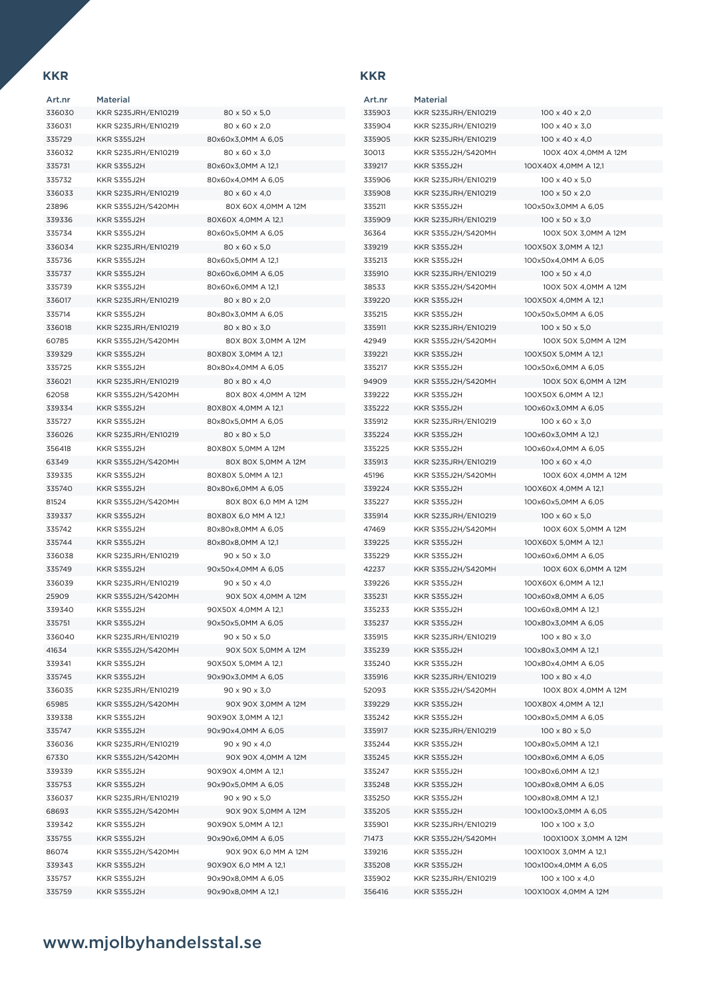Art.nr Material KKR S235JRH/EN10219 80 x 50 x 5,0 KKR S235JRH/EN10219 80 x 60 x 2,0 KKR S355J2H 80x60x3,0MM A 6,05 KKR S235JRH/EN10219 80 x 60 x 3,0 KKR S355J2H 80x60x3,0MM A 12,1 KKR S355J2H 80x60x4,0MM A 6,05 KKR S235JRH/EN10219 80 x 60 x 4,0 KKR S355J2H/S420MH 80X 60X 4,0MM A 12M KKR S355J2H 80X60X 4,0MM A 12,1 KKR S355J2H 80x60x5,0MM A 6,05 KKR S235JRH/EN10219 80 x 60 x 5,0 KKR S355J2H 80x60x5,0MM A 12,1 KKR S355J2H 80x60x6,0MM A 6,05 KKR S355J2H 80x60x6,0MM A 12,1 336017 KKR S235JRH/EN10219 80 x 80 x 2,0 KKR S355J2H 80x80x3,0MM A 6,05 KKR S235JRH/EN10219 80 x 80 x 3,0 KKR S355J2H/S420MH 80X 80X 3,0MM A 12M KKR S355J2H 80X80X 3,0MM A 12,1 335725 KKR S355J2H 80x80x4,0MM A 6,05 KKR S235JRH/EN10219 80 x 80 x 4,0 KKR S355J2H/S420MH 80X 80X 4,0MM A 12M KKR S355J2H 80X80X 4,0MM A 12,1 KKR S355J2H 80x80x5,0MM A 6,05 KKR S235JRH/EN10219 80 x 80 x 5,0 KKR S355J2H 80X80X 5,0MM A 12M KKR S355J2H/S420MH 80X 80X 5,0MM A 12M KKR S355J2H 80X80X 5,0MM A 12,1 KKR S355J2H 80x80x6,0MM A 6,05 KKR S355J2H/S420MH 80X 80X 6,0 MM A 12M KKR S355J2H 80X80X 6,0 MM A 12,1 KKR S355J2H 80x80x8,0MM A 6,05 KKR S355J2H 80x80x8,0MM A 12,1 KKR S235JRH/EN10219 90 x 50 x 3,0 KKR S355J2H 90x50x4,0MM A 6,05 KKR S235JRH/EN10219 90 x 50 x 4,0 KKR S355J2H/S420MH 90X 50X 4,0MM A 12M KKR S355J2H 90X50X 4,0MM A 12,1 KKR S355J2H 90x50x5,0MM A 6,05 336040 KKR S235JRH/EN10219 90 x 50 x 50 KKR S355J2H/S420MH 90X 50X 5,0MM A 12M KKR S355J2H 90X50X 5,0MM A 12,1 KKR S355J2H 90x90x3,0MM A 6,05 KKR S235JRH/EN10219 90 x 90 x 3,0 KKR S355J2H/S420MH 90X 90X 3,0MM A 12M KKR S355J2H 90X90X 3,0MM A 12,1 KKD S355J2H 90x90x4,0MM A 6,05 KKR S235JRH/EN10219 90 x 90 x 4,0 KKR S355J2H/S420MH 90X 90X 4,0MM A 12M KKR S355J2H 90X90X 4,0MM A 12,1 KKR S355J2H 90x90x5,0MM A 6,05 KKR S235JRH/EN10219 90 x 90 x 5,0 KKR S355J2H/S420MH 90X 90X 5,0MM A 12M KKR S355J2H 90X90X 5,0MM A 12,1 KKR S355J2H 90x90x6,0MM A 6,05 KKR S355J2H/S420MH 90X 90X 6,0 MM A 12M KKR S355J2H 90X90X 6,0 MM A 12,1 KKR S355J2H 90x90x8,0MM A 6,05

KKR S355J2H 90x90x8,0MM A 12,1

## Art.nr Material KKR S235JRH/EN10219 100 x 40 x 2,0 KKR S235JRH/EN10219 100 x 40 x 3,0 KKR S235JRH/EN10219 100 x 40 x 4,0 KKR S355J2H 100X40X 4,0MM A 12,1 KKR S235JRH/EN10219 100 x 40 x 5,0 KKR S235JRH/EN10219 100 x 50 x 2,0 KKR S355J2H 100x50x3,0MM A 6,05 KKR S235JRH/EN10219 100 x 50 x 3,0 KKR S355J2H 100X50X 3,0MM A 12,1 KKR S355J2H 100x50x4,0MM A 6,05 KKR S235JRH/EN10219 100 x 50 x 4,0 KKR S355J2H 100X50X 4,0MM A 12,1 KKR S355J2H 100x50x5,0MM A 6,05 KKR S235JRH/EN10219 100 x 50 x 5,0 KKR S355J2H/S420MH 100X 50X 5,0MM A 12M KKR S355J2H 100X50X 5,0MM A 12,1 KKR S355J2H 100x50x6,0MM A 6,05 KKR S355J2H 100X50X 6,0MM A 12,1 KKR S355J2H 100x60x3,0MM A 6,05 KKR S235JRH/EN10219 100 x 60 x 3,0 KKR S355J2H 100x60x3,0MM A 12,1 KKR S355J2H 100x60x4,0MM A 6,05 KKR S235JRH/EN10219 100 x 60 x 4,0 KKR S355J2H 100X60X 4,0MM A 12,1 KKR S355J2H 100x60x5,0MM A 6,05 KKR S235JRH/EN10219 100 x 60 x 5,0 KKR S355J2H/S420MH 100X 60X 5,0MM A 12M KKR S355J2H 100X60X 5,0MM A 12,1 KKR S355J2H 100x60x6,0MM A 6,05 KKR S355J2H 100X60X 6,0MM A 12,1 KKR S355J2H 100x60x8,0MM A 6,05 KKR S355J2H 100x60x8,0MM A 12,1 KKR S355J2H 100x80x3,0MM A 6,05 KKR S235JRH/EN10219 100 x 80 x 3,0 KKR S355J2H 100x80x3,0MM A 12,1 KKR S355J2H 100x80x4,0MM A 6,05 KKR S235JRH/EN10219 100 x 80 x 4,0 339229 KKR S355 J2H 100X80X 4,0MM A 121 KKR S355J2H 100x80x5,0MM A 6,05 KKR S235JRH/EN10219 100 x 80 x 5,0 KKR S355J2H 100x80x5,0MM A 12,1 KKR S355J2H 100x80x6,0MM A 6,05 KKR S355J2H 100x80x6,0MM A 12,1 KKR S355J2H 100x80x8,0MM A 6,05 KKR S355J2H 100x80x8,0MM A 12,1 KKR S355J2H 100x100x3,0MM A 6,05 KKR S235JRH/EN10219 100 x 100 x 3,0 KKR S355J2H 100X100X 3,0MM A 12,1 KKR S355J2H 100x100x4,0MM A 6,05 KKR S235JRH/EN10219 100 x 100 x 4,0 KKR S355J2H 100X100X 4,0MM A 12M

 KKR S355J2H/S420MH 100X 40X 4,0MM A 12M KKR S355J2H/S420MH 100X 50X 3,0MM A 12M KKR S355J2H/S420MH 100X 50X 4,0MM A 12M KKR S355J2H/S420MH 100X 50X 6,0MM A 12M KKR S355J2H/S420MH 100X 60X 4,0MM A 12M KKR S355J2H/S420MH 100X 60X 6,0MM A 12M KKR S355J2H/S420MH 100X 80X 4,0MM A 12M KKR S355J2H/S420MH 100X100X 3,0MM A 12M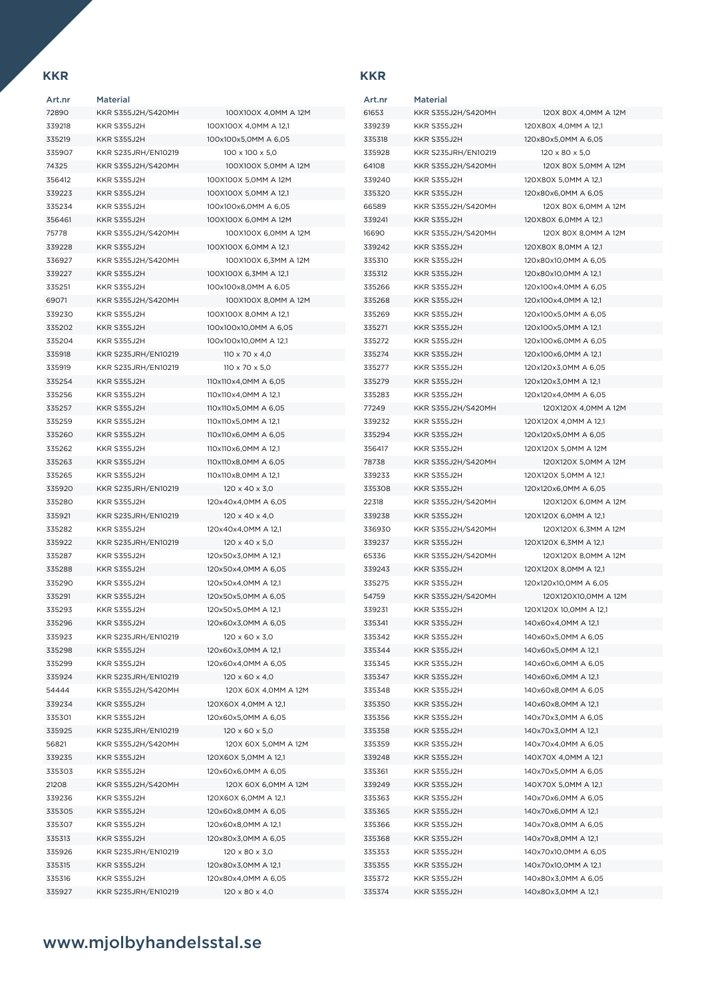| Art.nr | Material            |                            |
|--------|---------------------|----------------------------|
| 72890  | KKR S355J2H/S420MH  | 100X100X 4,0MM A 12M       |
| 339218 | <b>KKR S355J2H</b>  | 100X100X 4,0MM A 12,1      |
| 335219 | <b>KKR S355J2H</b>  | 100x100x5,0MM A 6,05       |
| 335907 | KKR S235JRH/EN10219 | 100 x 100 x 5,0            |
| 74325  | KKR S355J2H/S420MH  | 100X100X 5,0MM A 12M       |
| 356412 | KKR S355J2H         | 100X100X 5.0MM A 12M       |
| 339223 | KKR S355J2H         | 100X100X 5,0MM A 12,1      |
| 335234 | <b>KKR S355J2H</b>  | 100x100x6,0MM A 6,05       |
| 356461 | <b>KKR S355J2H</b>  | 100X100X 6,0MM A 12M       |
| 75778  | KKR S355J2H/S420MH  | 100X100X 6,0MM A 12M       |
| 339228 | KKR S355J2H         | 100X100X 6,0MM A 12,1      |
| 336927 | KKR S355J2H/S420MH  | 100X100X 6,3MM A 12M       |
| 339227 | <b>KKR S355J2H</b>  | 100X100X 6,3MM A 12,1      |
| 335251 | <b>KKR S355J2H</b>  | 100x100x8,0MM A 6,05       |
| 69071  | KKR S355J2H/S420MH  | 100X100X 8,0MM A 12M       |
| 339230 | KKR S355J2H         | 100X100X 8,0MM A 12,1      |
| 335202 | <b>KKR S355J2H</b>  | 100x100x10,0MM A 6,05      |
| 335204 | <b>KKR S355J2H</b>  | 100x100x10,0MM A 12,1      |
| 335918 | KKR S235JRH/EN10219 | $110 \times 70 \times 4.0$ |
| 335919 | KKR S235JRH/EN10219 | $110 \times 70 \times 5.0$ |
| 335254 | <b>KKR S355J2H</b>  | 110x110x4,0MM A 6,05       |
| 335256 | <b>KKR S355J2H</b>  | 110x110x4,0MM A 12,1       |
| 335257 | KKR S355J2H         | 110x110x5,0MM A 6,05       |
| 335259 | <b>KKR S355J2H</b>  | 110x110x5,0MM A 12,1       |
| 335260 | <b>KKR S355J2H</b>  | 110x110x6,0MM A 6,05       |
| 335262 | <b>KKR S355J2H</b>  | 110x110x6,0MM A 12,1       |
| 335263 | KKR S355J2H         | 110x110x8,0MM A 6,05       |
| 335265 | <b>KKR S355J2H</b>  | 110x110x8,0MM A 12,1       |
| 335920 | KKR S235JRH/EN10219 | $120 \times 40 \times 3.0$ |
| 335280 | <b>KKR S355J2H</b>  | 120x40x4,0MM A 6,05        |
| 335921 | KKR S235JRH/EN10219 | $120 \times 40 \times 4.0$ |
| 335282 | <b>KKR S355J2H</b>  | 120x40x4,0MM A 12,1        |
| 335922 | KKR S235JRH/EN10219 | $120 \times 40 \times 5.0$ |
| 335287 | KKR S355J2H         | 120x50x3,0MM A 12,1        |
| 335288 | KKR S355J2H         | 120x50x4,0MM A 6,05        |
| 335290 | <b>KKR S355J2H</b>  | 120x50x4,0MM A 12,1        |
| 335291 | KKR S355J2H         | 120x50x5,0MM A 6,05        |
| 335293 | <b>KKR S355J2H</b>  | 120x50x5,0MM A 12,1        |
| 335296 | <b>KKR S355J2H</b>  | 120x60x3,0MM A 6,05        |
| 335923 | KKR S235JRH/EN10219 | $120 \times 60 \times 3,0$ |
| 335298 | <b>KKR S355J2H</b>  | 120x60x3,0MM A 12,1        |
| 335299 | <b>KKR S355J2H</b>  | 120x60x4,0MM A 6,05        |
| 335924 | KKR S235JRH/EN10219 | $120 \times 60 \times 4.0$ |
| 54444  | KKR S355J2H/S420MH  | 120X 60X 4,0MM A 12M       |
| 339234 | <b>KKR S355J2H</b>  | 120X60X 4,0MM A 12,1       |
| 335301 | KKR S355J2H         | 120x60x5,0MM A 6,05        |
| 335925 | KKR S235JRH/EN10219 | $120 \times 60 \times 5,0$ |
| 56821  | KKR S355J2H/S420MH  | 120X 60X 5,0MM A 12M       |
| 339235 | <b>KKR S355J2H</b>  | 120X60X 5,0MM A 12,1       |
| 335303 | <b>KKR S355J2H</b>  | 120x60x6,0MM A 6,05        |
| 21208  | KKR S355J2H/S420MH  | 120X 60X 6,0MM A 12M       |
| 339236 | KKR S355J2H         | 120X60X 6,0MM A 12,1       |
| 335305 | KKR S355J2H         | 120x60x8,0MM A 6,05        |
| 335307 | KKR S355J2H         | 120x60x8,0MM A 12,1        |
| 335313 | KKR S355J2H         | 120x80x3,0MM A 6,05        |
| 335926 | KKR S235JRH/EN10219 | 120 x 80 x 3,0             |
| 335315 | <b>KKR S355J2H</b>  | 120x80x3,0MM A 12,1        |
| 335316 | KKR S355J2H         | 120x80x4,0MM A 6,05        |
| 335927 | KKR S235JRH/EN10219 | 120 x 80 x 4,0             |

| 100X100X 4,0MM A 12M       |
|----------------------------|
| IOOX100X 4,0MM A 12,1      |
| I00x100x5,0MM A 6,05       |
| 100 x 100 x 5,0            |
| 100X100X 5,0MM A 12M       |
|                            |
| 100X100X 5,0MM A 12M       |
| 00X100X 5,0MM A 12,1       |
| I00x100x6,0MM A 6,05       |
| IOOX100X 6,0MM A 12M       |
| 100X100X 6,0MM A 12M       |
| I00X100X 6,0MM A 12,1      |
| 100X100X 6,3MM A 12M       |
| IOOX100X 6,3MM A 12,1      |
| I00x100x8,0MM A 6,05       |
| 100X100X 8,0MM A 12M       |
| IOOX100X 8,0MM A 12,1      |
| I00x100x10,0MM A 6,05      |
| I00x100x10,0MM A 12,1      |
| 110 x 70 x 4,0             |
| 110 x 70 x 5.0             |
| 10x110x4,0MM A 6,05        |
|                            |
| 110x110x4,0MM A 12,1       |
| 10x110x5,0MM A 6,05        |
| 10x110x5,0MM A 12,1        |
| 110x110x6,0MM A 6,05       |
| 110x110x6,0MM A 12,1       |
| 10x110x8,0MM A 6,05        |
| 10x110x8,0MM A 12,1        |
| $120 \times 40 \times 3,0$ |
| 20x40x4,0MM A 6,05         |
| $120 \times 40 \times 4,0$ |
| 20x40x4,0MM A 12,1         |
| 120 x 40 x 5,0             |
| 20x50x3,0MM A 12,1         |
| 20x50x4,0MM A 6,05         |
| I20x50x4,0MM A 12,1        |
| 20x50x5,0MM A 6,05         |
| 20x50x5,0MM A 12,1         |
|                            |
| 20x60x3,0MM A 6,05         |
| 120 x 60 x 3,0             |
| 20x60x3,0MM A 12,1         |
| 20x60x4,0MM A 6,05         |
| 120 x 60 x 4,0             |
| 120X 60X 4,0MM A 12M       |
| 20X60X 4,0MM A 12,1        |
| 20x60x5,0MM A 6,05         |
| $120 \times 60 \times 5,0$ |
| 120X 60X 5.0MM A 12M       |
| 120X60X 5,0MM A 12,1       |
| I20x60x6,0MM A 6,05        |
| 120X 60X 6,0MM A 12M       |
| 20X60X 6,0MM A 12,1        |
| 20x60x8,0MM A 6,05         |
| 20x60x8,0MM A 12,1         |
|                            |
| 20x80x3,0MM A 6,05         |
| 120 x 80 x 3,0             |
| I20x80x3,0MM A 12,1        |
| 20x80x4,0MM A 6,05         |
| 120 x 80 x 4,0             |

| Art.nr | Material            |                            |
|--------|---------------------|----------------------------|
| 61653  | KKR S355J2H/S420MH  | 120X 80X 4,0MM A 12M       |
| 339239 | KKR S355J2H         | 120X80X 4,0MM A 12,1       |
| 335318 | KKR S355J2H         | 120x80x5,0MM A 6,05        |
| 335928 | KKR S235JRH/EN10219 | $120 \times 80 \times 5,0$ |
| 64108  | KKR S355J2H/S420MH  | 120X 80X 5.0MM A 12M       |
| 339240 | KKR S355J2H         | 120X80X 5,0MM A 12,1       |
| 335320 | KKR S355J2H         | 120x80x6,0MM A 6,05        |
| 66589  | KKR S355J2H/S420MH  | 120X 80X 6,0MM A 12M       |
| 339241 | KKR S355J2H         | 120X80X 6,0MM A 12,1       |
| 16690  | KKR S355J2H/S420MH  | 120X 80X 8,0MM A 12M       |
| 339242 | KKR S355J2H         | 120X80X 8,0MM A 12,1       |
| 335310 | <b>KKR S355J2H</b>  | 120x80x10,0MM A 6,05       |
| 335312 | KKR S355J2H         | 120x80x10,0MM A 12,1       |
| 335266 | KKR S355J2H         | 120x100x4,0MM A 6,05       |
| 335268 | KKR S355J2H         | 120x100x4,0MM A 12,1       |
| 335269 | <b>KKR S355J2H</b>  | 120x100x5,0MM A 6,05       |
| 335271 | KKR S355J2H         | 120x100x5,0MM A 12,1       |
| 335272 | <b>KKR S355J2H</b>  | 120x100x6,0MM A 6,05       |
| 335274 | <b>KKR S355J2H</b>  | 120x100x6.0MM A 12.1       |
|        | <b>KKR S355J2H</b>  |                            |
| 335277 |                     | 120x120x3,0MM A 6,05       |
| 335279 | <b>KKR S355J2H</b>  | 120x120x3,0MM A 12,1       |
| 335283 | KKR S355J2H         | 120x120x4,0MM A 6,05       |
| 77249  | KKR S355J2H/S420MH  | 120X120X 4,0MM A 12M       |
| 339232 | KKR S355J2H         | 120X120X 4,0MM A 12,1      |
| 335294 | <b>KKR S355J2H</b>  | 120x120x5,0MM A 6,05       |
| 356417 | KKR S355J2H         | 120X120X 5,0MM A 12M       |
| 78738  | KKR S355J2H/S420MH  | 120X120X 5,0MM A 12M       |
| 339233 | KKR S355J2H         | 120X120X 5,0MM A 12,1      |
| 335308 | KKR S355J2H         | 120x120x6,0MM A 6,05       |
| 22318  | KKR S355J2H/S420MH  | 120X120X 6,0MM A 12M       |
| 339238 | KKR S355J2H         | 120X120X 6,0MM A 12,1      |
| 336930 | KKR S355J2H/S420MH  | 120X120X 6,3MM A 12M       |
| 339237 | KKR S355J2H         | 120X120X 6,3MM A 12,1      |
| 65336  | KKR S355J2H/S420MH  | 120X120X 8,0MM A 12M       |
| 339243 | <b>KKR S355J2H</b>  | 120X120X 8,0MM A 12,1      |
| 335275 | KKR S355J2H         | 120x120x10,0MM A 6,05      |
| 54759  | KKR S355J2H/S420MH  | 120X120X10,0MM A 12M       |
| 339231 | KKR S355J2H         | 120X120X 10,0MM A 12,1     |
| 335341 | <b>KKR S355J2H</b>  | 140x60x4,0MM A 12,1        |
| 335342 | <b>KKR S355J2H</b>  | 140x60x5,0MM A 6,05        |
| 335344 | KKR S355J2H         | 140x60x5,0MM A 12,1        |
| 335345 | KKR S355J2H         | 140x60x6,0MM A 6,05        |
| 335347 | KKR S355J2H         | 140x60x6,0MM A 12,1        |
| 335348 | KKR S355J2H         | 140x60x8,0MM A 6,05        |
| 335350 | KKR S355J2H         | 140x60x8,0MM A 12,1        |
| 335356 | KKR S355J2H         | 140x70x3,0MM A 6,05        |
| 335358 | <b>KKR S355J2H</b>  | 140x70x3,0MM A 12,1        |
| 335359 | KKR S355J2H         | 140x70x4,0MM A 6,05        |
| 339248 | <b>KKR S355J2H</b>  | 140X70X 4,0MM A 12,1       |
| 335361 | KKR S355J2H         | 140x70x5,0MM A 6,05        |
| 339249 | KKR S355J2H         | 140X70X 5,0MM A 12,1       |
| 335363 | KKR S355J2H         | 140x70x6,0MM A 6,05        |
| 335365 | <b>KKR S355J2H</b>  | 140x70x6,0MM A 12,1        |
| 335366 | KKR S355J2H         | 140x70x8,0MM A 6,05        |
| 335368 | KKR S355J2H         | 140x70x8,0MM A 12,1        |
| 335353 | <b>KKR S355J2H</b>  | 140x70x10,0MM A 6,05       |
| 335355 | KKR S355J2H         | 140x70x10,0MM A 12,1       |
| 335372 | <b>KKR S355J2H</b>  | 140x80x3,0MM A 6,05        |
| 335374 | KKR S355J2H         | 140x80x3,0MM A 12,1        |
|        |                     |                            |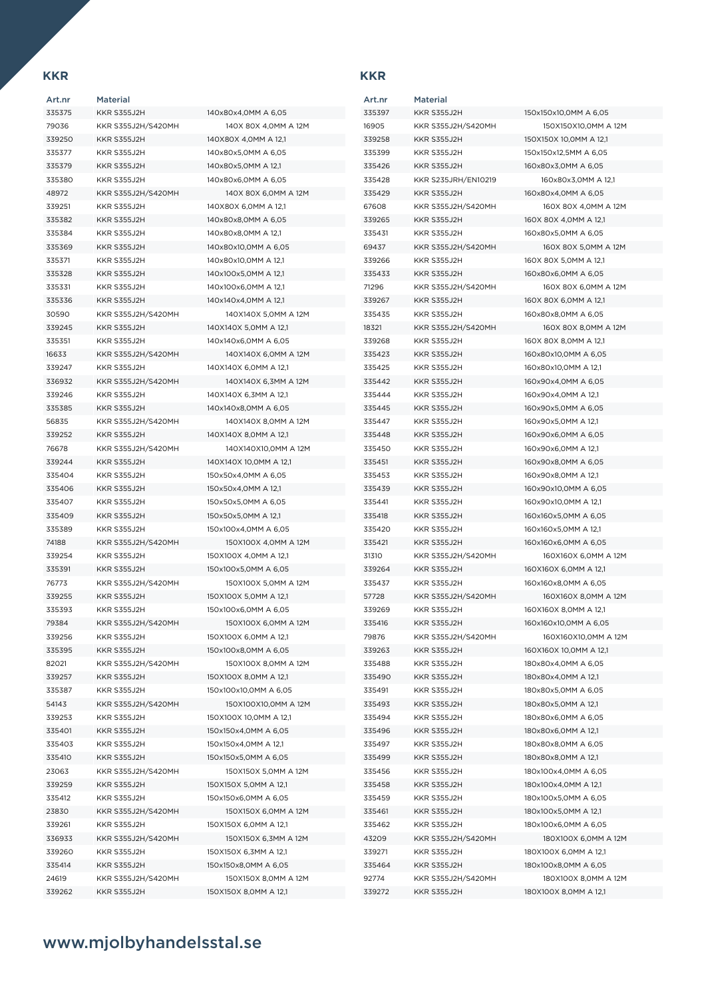| Art.nr | Material           |                        |
|--------|--------------------|------------------------|
| 335375 | KKR S355J2H        | 140x80x4,0MM A 6,05    |
| 79036  | KKR S355J2H/S420MH | 140X 80X 4,0MM A 12M   |
| 339250 | KKR S355J2H        | 140X80X 4,0MM A 12,1   |
| 335377 | KKR S355J2H        | 140x80x5,0MM A 6,05    |
| 335379 | <b>KKR S355J2H</b> | 140x80x5,0MM A 12,1    |
| 335380 | <b>KKR S355J2H</b> | 140x80x6,0MM A 6,05    |
| 48972  | KKR S355J2H/S420MH | 140X 80X 6,0MM A 12M   |
| 339251 | <b>KKR S355J2H</b> | 140X80X 6,0MM A 12,1   |
| 335382 | KKR S355J2H        | 140x80x8,0MM A 6,05    |
| 335384 | <b>KKR S355J2H</b> | 140x80x8.0MM A 12.1    |
| 335369 | KKR S355J2H        | 140x80x10,0MM A 6,05   |
| 335371 | <b>KKR S355J2H</b> | 140x80x10,0MM A 12,1   |
| 335328 | KKR S355J2H        | 140x100x5,0MM A 12,1   |
| 335331 | <b>KKR S355J2H</b> | 140x100x6,0MM A 12,1   |
| 335336 | <b>KKR S355J2H</b> | 140x140x4,0MM A 12,1   |
| 30590  | KKR S355J2H/S420MH | 140X140X 5,0MM A 12M   |
| 339245 | <b>KKR S355J2H</b> | 140X140X 5,0MM A 12,1  |
| 335351 | <b>KKR S355J2H</b> | 140x140x6,0MM A 6,05   |
| 16633  | KKR S355J2H/S420MH | 140X140X 6,0MM A 12M   |
| 339247 | KKR S355J2H        | 140X140X 6,0MM A 12,1  |
| 336932 | KKR S355J2H/S420MH | 140X140X 6,3MM A 12M   |
| 339246 | KKR S355J2H        | 140X140X 6,3MM A 12,1  |
| 335385 | <b>KKR S355J2H</b> | 140x140x8,0MM A 6,05   |
| 56835  | KKR S355J2H/S420MH | 140X140X 8,0MM A 12M   |
| 339252 | KKR S355J2H        | 140X140X 8,0MM A 12,1  |
| 76678  | KKR S355J2H/S420MH | 140X140X10,0MM A 12M   |
| 339244 | KKR S355J2H        | 140X140X 10,0MM A 12,1 |
| 335404 | KKR S355J2H        | 150x50x4,0MM A 6,05    |
| 335406 | KKR S355J2H        | 150x50x4,0MM A 12,1    |
| 335407 | KKR S355J2H        | 150x50x5,0MM A 6,05    |
| 335409 | <b>KKR S355J2H</b> | 150x50x5,0MM A 12,1    |
| 335389 | <b>KKR S355J2H</b> | 150x100x4,0MM A 6,05   |
| 74188  | KKR S355J2H/S420MH | 150X100X 4,0MM A 12M   |
| 339254 | <b>KKR S355J2H</b> | 150X100X 4,0MM A 12,1  |
| 335391 | <b>KKR S355J2H</b> | 150x100x5,0MM A 6,05   |
| 76773  | KKR S355J2H/S420MH | 150X100X 5,0MM A 12M   |
| 339255 | KKR S355J2H        | 150X100X 5,0MM A 12,1  |
| 335393 | <b>KKR S355J2H</b> | 150x100x6,0MM A 6,05   |
| 79384  | KKR S355J2H/S420MH | 150X100X 6,0MM A 12M   |
| 339256 | KKR S355J2H        | 150X100X 6,0MM A 12,1  |
| 335395 | KKR S355J2H        | 150x100x8,0MM A 6,05   |
| 82021  | KKR S355J2H/S420MH | 150X100X 8,0MM A 12M   |
| 339257 | <b>KKR S355J2H</b> | 150X100X 8,0MM A 12,1  |
| 335387 | <b>KKR S355J2H</b> | 150x100x10,0MM A 6,05  |
| 54143  | KKR S355J2H/S420MH | 150X100X10,0MM A 12M   |
| 339253 | KKR S355J2H        | 150X100X 10,0MM A 12,1 |
| 335401 | <b>KKR S355J2H</b> | 150x150x4,0MM A 6,05   |
| 335403 | KKR S355J2H        | 150x150x4,0MM A 12,1   |
| 335410 | <b>KKR S355J2H</b> | 150x150x5,0MM A 6,05   |
| 23063  | KKR S355J2H/S420MH | 150X150X 5,0MM A 12M   |
| 339259 | <b>KKR S355J2H</b> | 150X150X 5,0MM A 12,1  |
| 335412 | <b>KKR S355J2H</b> | 150x150x6,0MM A 6,05   |
| 23830  | KKR S355J2H/S420MH | 150X150X 6,0MM A 12M   |
| 339261 | KKR S355J2H        | 150X150X 6,0MM A 12,1  |
| 336933 | KKR S355J2H/S420MH | 150X150X 6,3MM A 12M   |
| 339260 | KKR S355J2H        | 150X150X 6,3MM A 12,1  |
| 335414 | KKR S355J2H        | 150x150x8,0MM A 6,05   |
| 24619  | KKR S355J2H/S420MH | 150X150X 8,0MM A 12M   |
| 339262 | <b>KKR S355J2H</b> | 150X150X 8,0MM A 12,1  |
|        |                    |                        |

| 40x80x4,0MM A 6,05    |
|-----------------------|
| 140X 80X 4,0MM A 12M  |
| 40X80X 4,0MM A 12,1   |
| 40x80x5,0MM A 6,05    |
| 40x80x5,0MM A 12,1    |
| 40x80x6,0MM A 6,05    |
| 140X 80X 6,0MM A 12M  |
| 40X80X 6,0MM A 12,1   |
| 40x80x8,0MM A 6,05    |
| 40x80x8,0MM A 12,1    |
| 40x80x10,0MM A 6,05   |
| 40x80x10,0MM A 12,1   |
| 40x100x5,0MM A 12,1   |
| 40x100x6,0MM A 12,1   |
| 40x140x4,0MM A 12,1   |
| 140X140X 5,0MM A 12M  |
| 40X140X 5,0MM A 12,1  |
| 40x140x6,0MM A 6,05   |
| 140X140X 6,0MM A 12M  |
| 40X140X 6,0MM A 12,1  |
| 140X140X 6,3MM A 12M  |
| 40X140X 6,3MM A 12,1  |
| 40x140x8,0MM A 6,05   |
| 140X140X 8,0MM A 12M  |
| 40X140X 8,0MM A 12,1  |
| 140X140X10,0MM A 12M  |
| 40X140X 10,0MM A 12,1 |
| 50x50x4,0MM A 6,05    |
| 50x50x4,0MM A 12,1    |
| 50x50x5,0MM A 6,05    |
| 50x50x5,0MM A 12,1    |
| 50x100x4,0MM A 6,05   |
| 150X100X 4,0MM A 12M  |
| 50X100X 4,0MM A 12,1  |
| 50x100x5,0MM A 6,05   |
| 150X100X 5,0MM A 12M  |
| 50X100X 5,0MM A 12,1  |
| 50x100x6,0MM A 6,05   |
| 150X100X 6,0MM A 12M  |
| 50X100X 6,0MM A 12,1  |
| 50x100x8,0MM A 6,05   |
| 150X100X 8,0MM A 12M  |
| 50X100X 8,0MM A 12,1  |
| 50x100x10,0MM A 6,05  |
| 150X100X10,0MM A 12M  |
| 50X100X 10,0MM A 12,1 |
| 50x150x4,0MM A 6,05   |
| 50x150x4,0MM A 12,1   |
| 50x150x5,0MM A 6,05   |
| 150X150X 5,0MM A 12M  |
| 50X150X 5,0MM A 12,1  |
| 50x150x6,0MM A 6,05   |
| 150X150X 6,0MM A 12M  |
| 50X150X 6,0MM A 12,1  |
| 150X150X 6,3MM A 12M  |
| 50X150X 6,3MM A 12,1  |
| 50x150x8,0MM A 6,05   |
| 150X150X 8,0MM A 12M  |
| 50X150X 8,0MM A 12,1  |

| Art.nr | Material            |                        |
|--------|---------------------|------------------------|
| 335397 | <b>KKR S355J2H</b>  | 150x150x10,0MM A 6,05  |
| 16905  | KKR S355J2H/S420MH  | 150X150X10,0MM A 12M   |
| 339258 | <b>KKR S355J2H</b>  | 150X150X 10,0MM A 12,1 |
| 335399 | KKR S355J2H         | 150x150x12,5MM A 6,05  |
| 335426 | KKR S355J2H         | 160x80x3,0MM A 6,05    |
| 335428 | KKR S235JRH/EN10219 | 160x80x3,0MM A 12,1    |
| 335429 | KKR S355J2H         | 160x80x4,0MM A 6,05    |
| 67608  | KKR S355J2H/S420MH  | 160X 80X 4,0MM A 12M   |
| 339265 | KKR S355J2H         | 160X 80X 4,0MM A 12,1  |
|        |                     |                        |
| 335431 | KKR S355J2H         | 160x80x5,0MM A 6,05    |
| 69437  | KKR S355J2H/S420MH  | 160X 80X 5,0MM A 12M   |
| 339266 | <b>KKR S355J2H</b>  | 160X 80X 5,0MM A 12,1  |
| 335433 | KKR S355J2H         | 160x80x6,0MM A 6,05    |
| 71296  | KKR S355J2H/S420MH  | 160X 80X 6,0MM A 12M   |
| 339267 | KKR S355J2H         | 160X 80X 6,0MM A 12,1  |
| 335435 | KKR S355J2H         | 160x80x8,0MM A 6,05    |
| 18321  | KKR S355J2H/S420MH  | 160X 80X 8,0MM A 12M   |
| 339268 | KKR S355J2H         | 160X 80X 8,0MM A 12,1  |
| 335423 | <b>KKR S355J2H</b>  | 160x80x10,0MM A 6,05   |
| 335425 | KKR S355J2H         | 160x80x10,0MM A 12,1   |
| 335442 | KKR S355J2H         | 160x90x4,0MM A 6,05    |
| 335444 | KKR S355J2H         | 160x90x4,0MM A 12,1    |
| 335445 | <b>KKR S355J2H</b>  | 160x90x5,0MM A 6,05    |
| 335447 | <b>KKR S355J2H</b>  | 160x90x5,0MM A 12,1    |
| 335448 | KKR S355J2H         | 160x90x6,0MM A 6,05    |
| 335450 | KKR S355J2H         | 160x90x6,0MM A 12,1    |
| 335451 | KKR S355J2H         | 160x90x8,0MM A 6,05    |
| 335453 | KKR S355J2H         | 160x90x8,0MM A 12,1    |
| 335439 | KKR S355J2H         | 160x90x10,0MM A 6,05   |
| 335441 | KKR S355J2H         | 160x90x10,0MM A 12,1   |
| 335418 | KKR S355J2H         | 160x160x5,0MM A 6,05   |
| 335420 | KKR S355J2H         | 160x160x5,0MM A 12,1   |
| 335421 | KKR S355J2H         | 160x160x6,0MM A 6,05   |
| 31310  | KKR S355J2H/S420MH  | 160X160X 6,0MM A 12M   |
|        | KKR S355J2H         |                        |
| 339264 |                     | 160X160X 6,0MM A 12,1  |
| 335437 | KKR S355J2H         | 160x160x8,0MM A 6,05   |
| 57728  | KKR S355J2H/S420MH  | 160X160X 8,0MM A 12M   |
| 339269 | <b>KKR S355J2H</b>  | 160X160X 8,0MM A 12,1  |
| 335416 | KKR S355J2H         | 160x160x10,0MM A 6,05  |
| 79876  | KKR S355J2H/S420MH  | 160X160X10,0MM A 12M   |
| 339263 | KKR S355J2H         | 160X160X 10,0MM A 12,1 |
| 335488 | <b>KKR S355J2H</b>  | 180x80x4,0MM A 6,05    |
| 335490 | KKR S355J2H         | 180x80x4,0MM A 12,1    |
| 335491 | <b>KKR S355J2H</b>  | 180x80x5,0MM A 6,05    |
| 335493 | KKR S355J2H         | 180x80x5,0MM A 12,1    |
| 335494 | KKR S355J2H         | 180x80x6,0MM A 6,05    |
| 335496 | KKR S355J2H         | 180x80x6,0MM A 12,1    |
| 335497 | <b>KKR S355J2H</b>  | 180x80x8,0MM A 6,05    |
| 335499 | <b>KKR S355J2H</b>  | 180x80x8,0MM A 12,1    |
| 335456 | KKR S355J2H         | 180x100x4,0MM A 6,05   |
| 335458 | KKR S355J2H         | 180x100x4,0MM A 12,1   |
| 335459 | <b>KKR S355J2H</b>  | 180x100x5,0MM A 6,05   |
| 335461 | KKR S355J2H         | 180x100x5,0MM A 12,1   |
| 335462 | KKR S355J2H         | 180x100x6,0MM A 6,05   |
| 43209  | KKR S355J2H/S420MH  | 180X100X 6,0MM A 12M   |
| 339271 | KKR S355J2H         | 180X100X 6,0MM A 12,1  |
| 335464 | KKR S355J2H         | 180x100x8,0MM A 6,05   |
| 92774  | KKR S355J2H/S420MH  | 180X100X 8,0MM A 12M   |
| 339272 | KKR S355J2H         | 180X100X 8,0MM A 12,1  |
|        |                     |                        |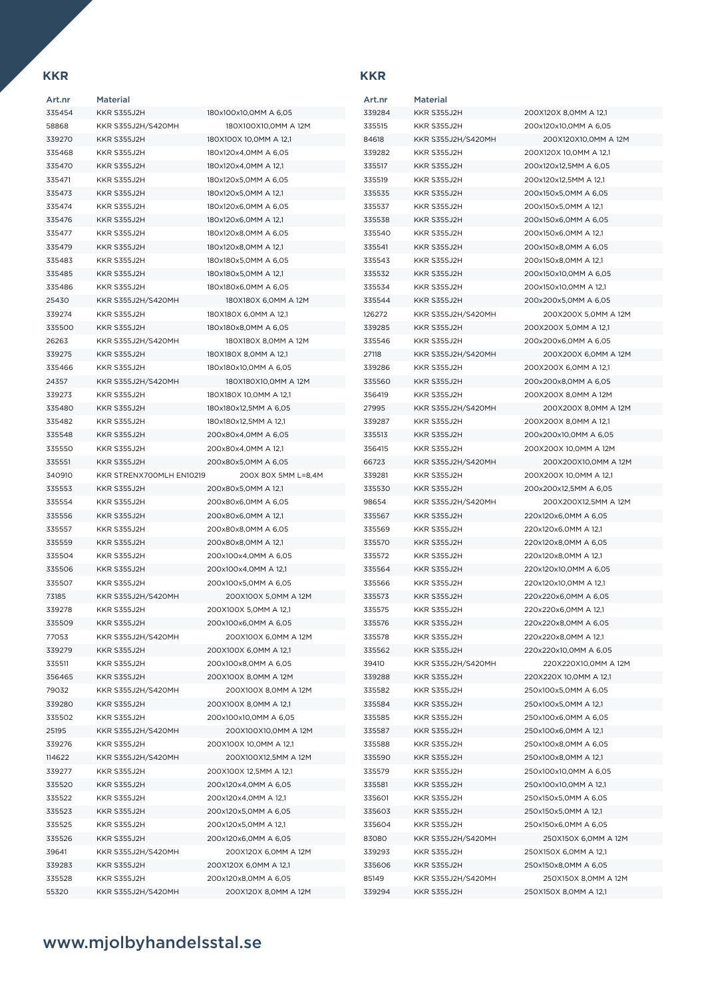| Art.nr | <b>Material</b>          |                  |
|--------|--------------------------|------------------|
| 335454 | KKR S355J2H              | 180 <sub>2</sub> |
| 58868  | KKR S355J2H/S420MH       |                  |
| 339270 | <b>KKR S355J2H</b>       | 180>             |
| 335468 | <b>KKR S355J2H</b>       | 180>             |
| 335470 | <b>KKR S355J2H</b>       | 180>             |
| 335471 | KKR S355J2H              | 180>             |
| 335473 | KKR S355J2H              | 180 <sub>2</sub> |
| 335474 | <b>KKR S355J2H</b>       | 180>             |
| 335476 | <b>KKR S355J2H</b>       | 180>             |
| 335477 | <b>KKR S355J2H</b>       | 180>             |
| 335479 | <b>KKR S355J2H</b>       | 180 <sub>2</sub> |
| 335483 | <b>KKR S355J2H</b>       | 180>             |
| 335485 | <b>KKR S355J2H</b>       | 180>             |
| 335486 | KKR S355J2H              | 180>             |
| 25430  | KKR S355J2H/S420MH       |                  |
| 339274 | <b>KKR S355J2H</b>       | 18O)             |
| 335500 | <b>KKR S355J2H</b>       | 180>             |
| 26263  | KKR S355J2H/S420MH       |                  |
| 339275 | <b>KKR S355J2H</b>       | 180)             |
| 335466 |                          |                  |
|        | <b>KKR S355J2H</b>       | 180>             |
| 24357  | KKR S355J2H/S420MH       |                  |
| 339273 | <b>KKR S355J2H</b>       | 180>             |
| 335480 | <b>KKR S355J2H</b>       | 180>             |
| 335482 | <b>KKR S355J2H</b>       | 180>             |
| 335548 | KKR S355J2H              | 200              |
| 335550 | <b>KKR S355J2H</b>       | 200              |
| 335551 | KKR S355J2H              | 200              |
| 340910 | KKR STRENX700MLH EN10219 |                  |
| 335553 | KKR S355J2H              | 200              |
| 335554 | <b>KKR S355J2H</b>       | 200              |
| 335556 | <b>KKR S355J2H</b>       | 200              |
| 335557 | <b>KKR S355J2H</b>       | 200              |
| 335559 | <b>KKR S355J2H</b>       | 200              |
| 335504 | <b>KKR S355J2H</b>       | 200              |
| 335506 | <b>KKR S355J2H</b>       | 200              |
| 335507 | <b>KKR S355J2H</b>       | 200              |
| 73185  | KKR S355J2H/S420MH       |                  |
| 339278 | <b>KKR S355J2H</b>       | 200              |
| 335509 | <b>KKR S355J2H</b>       | 200              |
| 77053  | KKR S355J2H/S420MH       |                  |
| 339279 | <b>KKR S355J2H</b>       | 200              |
| 335511 | <b>KKR S355J2H</b>       | 200              |
| 356465 | <b>KKR S355J2H</b>       | 200              |
| 79032  | KKR S355J2H/S420MH       |                  |
| 339280 | KKR S355J2H              | 200              |
| 335502 | KKR S355J2H              | 200              |
| 25195  | KKR S355J2H/S420MH       |                  |
| 339276 | KKR S355J2H              | 200              |
| 114622 | KKR S355J2H/S420MH       |                  |
| 339277 | <b>KKR S355J2H</b>       | 200              |
| 335520 | <b>KKR S355J2H</b>       | 200              |
| 335522 | KKR S355J2H              | 200              |
| 335523 | KKR S355J2H              | 200              |
| 335525 | <b>KKR S355J2H</b>       | 200              |
| 335526 | KKR S355J2H              | 200              |
| 39641  | KKR S355J2H/S420MH       |                  |
| 339283 | <b>KKR S355J2H</b>       | 200              |
| 335528 | KKR S355J2H              | 200              |
| 55320  | KKR S355J2H/S420MH       |                  |
|        |                          |                  |

x100x10,0MM A 6,05 180X100X10,0MM A 12M X100X 10,0MM A 12,1 x120x4,0MM A 6,05 x120x4,0MM A 12,1 x120x5,0MM A 6,05 x120x5,0MM A 12,1 x120x6.0MM A 6.05 x120x6,0MM A 12,1 x120x8,0MM A 6,05 x120x8.0MM A 12.1  $x180x5.0$ MM A 6,05 x180x5,0MM A 12,1 x180x6.0MM A 6.05 180 X180 X 6 OMM A 12M **33928 X180X 6 QMM A 121** x180x8,0MM A 6,05 180X180X 8,0MM A 12M X180X 8.0MM A 12.1 x180x10,0MM A 6,05 180X180X10,0MM A 12M  $X$ 180X 10,0MM A 12,1 x180x12,5MM A 6,05 x180x12 5MM A 121 x80x4,0MM A 6,05 x80x4,0MM A 12,1 x80x5,0MM A 6,05 200X 80X 5MM L=8,4M x80x5,0MM A 12,1 x80x6,0MM A 6,05 x80x6.0MM A 12.1 x80x8,0MM A 6,05 x80x8,0MM A 12,1 x100x4,0MM A 6,05 x100x4,0MM A 12,1 x100x5,0MM A 6,05 200X100X 5,0MM A 12M  $32300X 5.0MM A 12.1$  $3x100x6$  OMM A 6,05 200X100X 6,0MM A 12M X100X 6,0MM A 12,1  $X100x8.0MM A 6.05$ X100X 8.0MM A 12M 200X100X 8,0MM A 12M  $32300X8.0$ MM A 12,1 x100x10,0MM A 6,05 200X100X10,0MM A 12M X100X 10,0MM A 12,1 200X100X12,5MM A 12M X100X 12,5MM A 12,1 x120x4,0MM A 6,05 x120x4,0MM A 12,1 x120x5,0MM A 6,05 x120x5,0MM A 12,1 x120x6,0MM A 6,05 200X120X 6,0MM A 12M X120X 6,0MM A 12,1 x120x8,0MM A 6,05 200X120X 8,0MM A 12M

Art.nr Material

| 339284 | KKR S355J2H        | 200X120X 8,0MM A 12,1  |
|--------|--------------------|------------------------|
| 335515 | KKR S355J2H        | 200x120x10,0MM A 6,05  |
| 84618  | KKR S355J2H/S420MH | 200X120X10.0MM A 12M   |
| 339282 | KKR S355J2H        | 200X120X 10,0MM A 12,1 |
| 335517 | KKR S355J2H        | 200x120x12,5MM A 6,05  |
| 335519 | KKR S355J2H        | 200x120x12,5MM A 12,1  |
| 335535 | KKR S355J2H        | 200x150x5,0MM A 6,05   |
| 335537 | <b>KKR S355J2H</b> | 200x150x5,0MM A 12,1   |
| 335538 | KKR S355J2H        | 200x150x6,0MM A 6,05   |
| 335540 | KKR S355J2H        | 200x150x6,0MM A 12,1   |
| 335541 | KKR S355J2H        | 200x150x8.0MM A 6.05   |
| 335543 | <b>KKR S355J2H</b> | 200x150x8,0MM A 12,1   |
| 335532 | KKR S355J2H        | 200x150x10,0MM A 6,05  |
| 335534 | KKR S355J2H        | 200x150x10,0MM A 12,1  |
| 335544 | <b>KKR S355J2H</b> | 200x200x5,0MM A 6,05   |
|        |                    |                        |
| 126272 | KKR S355J2H/S420MH | 200X200X 5,0MM A 12M   |
| 339285 | KKR S355J2H        | 200X200X 5,0MM A 12,1  |
| 335546 | <b>KKR S355J2H</b> | 200x200x6,0MM A 6,05   |
| 27118  | KKR S355J2H/S420MH | 200X200X 6,0MM A 12M   |
| 339286 | KKR S355J2H        | 200X200X 6.0MM A 12.1  |
| 335560 | KKR S355J2H        | 200x200x8,0MM A 6,05   |
| 356419 | KKR S355J2H        | 200X200X 8,0MM A 12M   |
| 27995  | KKR S355J2H/S420MH | 200X200X 8,0MM A 12M   |
| 339287 | <b>KKR S355J2H</b> | 200X200X 8,0MM A 12,1  |
| 335513 | KKR S355J2H        | 200x200x10,0MM A 6,05  |
| 356415 | <b>KKR S355J2H</b> | 200X200X 10,0MM A 12M  |
| 66723  | KKR S355J2H/S420MH | 200X200X10,0MM A 12M   |
| 339281 | KKR S355J2H        | 200X200X 10,0MM A 12,1 |
| 335530 | KKR S355J2H        | 200x200x12,5MM A 6,05  |
| 98654  | KKR S355J2H/S420MH | 200X200X12,5MM A 12M   |
| 335567 | <b>KKR S355J2H</b> | 220x120x6,0MM A 6,05   |
| 335569 | KKR S355J2H        | 220x120x6,0MM A 12,1   |
| 335570 | KKR S355J2H        | 220x120x8,0MM A 6,05   |
| 335572 | KKR S355J2H        | 220x120x8,0MM A 12,1   |
| 335564 | KKR S355J2H        | 220x120x10,0MM A 6,05  |
| 335566 | KKR S355J2H        | 220x120x10,0MM A 12,1  |
| 335573 | KKR S355J2H        | 220x220x6,0MM A 6,05   |
|        |                    |                        |
| 335575 | KKR S355J2H        | 220x220x6,0MM A 12,1   |
| 335576 | KKR S355J2H        | 220x220x8,0MM A 6,05   |
| 335578 | KKR S355J2H        | 220x220x8,0MM A 12,1   |
| 335562 | KKR S355J2H        | 220x220x10,0MM A 6,05  |
| 39410  | KKR S355J2H/S420MH | 220X220X10,0MM A 12M   |
| 339288 | KKR S355J2H        | 220X220X 10,0MM A 12,1 |
| 335582 | KKR S355J2H        | 250x100x5,0MM A 6,05   |
| 335584 | <b>KKR S355J2H</b> | 250x100x5,0MM A 12,1   |
| 335585 | KKR S355J2H        | 250x100x6,0MM A 6,05   |
| 335587 | KKR S355J2H        | 250x100x6,0MM A 12,1   |
| 335588 | KKR S355J2H        | 250x100x8,0MM A 6,05   |
| 335590 | KKR S355J2H        | 250x100x8,0MM A 12,1   |
| 335579 | <b>KKR S355J2H</b> | 250x100x10,0MM A 6,05  |
| 335581 | KKR S355J2H        | 250x100x10,0MM A 12,1  |
| 335601 | KKR S355J2H        | 250x150x5,0MM A 6,05   |
| 335603 | KKR S355J2H        | 250x150x5,0MM A 12,1   |
| 335604 | KKR S355J2H        | 250x150x6,0MM A 6,05   |
| 83080  | KKR S355J2H/S420MH | 250X150X 6,0MM A 12M   |
| 339293 | KKR S355J2H        | 250X150X 6,0MM A 12,1  |
| 335606 | KKR S355J2H        | 250x150x8,0MM A 6,05   |
|        |                    |                        |
| 85149  | KKR S355J2H/S420MH | 250X150X 8,0MM A 12M   |
| 339294 | KKR S355J2H        | 250X150X 8,0MM A 12,1  |
|        |                    |                        |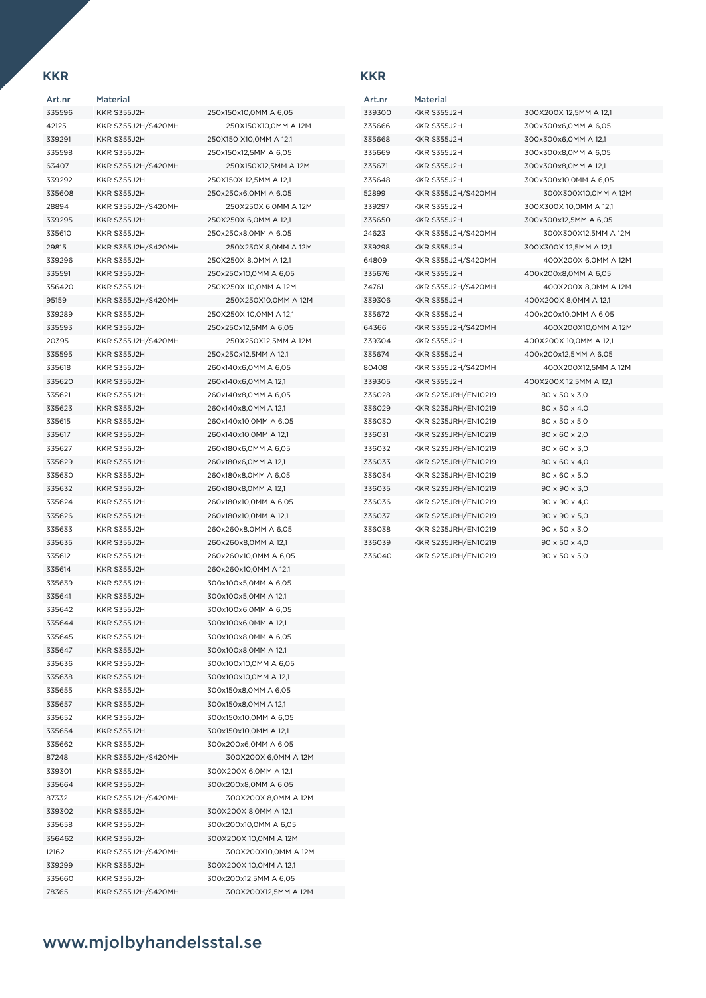| Art.nr | <b>Material</b>    |                        |
|--------|--------------------|------------------------|
| 335596 | KKR S355J2H        | 250x150x10,0MM A 6,05  |
| 42125  | KKR S355J2H/S420MH | 250X150X10,0MM A 12M   |
| 339291 | <b>KKR S355J2H</b> | 250X150 X10,0MM A 12,1 |
| 335598 | KKR S355J2H        | 250x150x12,5MM A 6,05  |
| 63407  | KKR S355J2H/S420MH | 250X150X12,5MM A 12M   |
| 339292 | KKR S355J2H        | 250X150X 12.5MM A 12.1 |
| 335608 | <b>KKR S355J2H</b> | 250x250x6,0MM A 6,05   |
| 28894  | KKR S355J2H/S420MH | 250X250X 6,0MM A 12M   |
| 339295 | KKR S355J2H        | 250X250X 6,0MM A 12,1  |
| 335610 | <b>KKR S355J2H</b> | 250x250x8,0MM A 6,05   |
| 29815  | KKR S355J2H/S420MH | 250X250X 8.0MM A 12M   |
| 339296 | <b>KKR S355J2H</b> | 250X250X 8,0MM A 12,1  |
| 335591 | <b>KKR S355J2H</b> | 250x250x10,0MM A 6,05  |
| 356420 | <b>KKR S355J2H</b> | 250X250X 10,0MM A 12M  |
| 95159  | KKR S355J2H/S420MH | 250X250X10,0MM A 12M   |
| 339289 | <b>KKR S355J2H</b> | 250X250X 10,0MM A 12,1 |
| 335593 | KKR S355J2H        | 250x250x12,5MM A 6,05  |
| 20395  | KKR S355J2H/S420MH | 250X250X12.5MM A 12M   |
| 335595 | KKR S355J2H        | 250x250x12,5MM A 12,1  |
| 335618 | <b>KKR S355J2H</b> | 260x140x6,0MM A 6,05   |
| 335620 | <b>KKR S355J2H</b> | 260x140x6,0MM A 12,1   |
| 335621 | <b>KKR S355J2H</b> | 260x140x8,0MM A 6,05   |
| 335623 | <b>KKR S355J2H</b> | 260x140x8,0MM A 12,1   |
| 335615 | <b>KKR S355J2H</b> | 260x140x10,0MM A 6,05  |
| 335617 | KKR S355J2H        | 260x140x10,0MM A 12,1  |
| 335627 | <b>KKR S355J2H</b> | 260x180x6,0MM A 6,05   |
| 335629 | KKR S355J2H        | 260x180x6,0MM A 12,1   |
| 335630 | <b>KKR S355J2H</b> | 260x180x8,0MM A 6,05   |
| 335632 | KKR S355J2H        | 260x180x8,0MM A 12,1   |
| 335624 | <b>KKR S355J2H</b> | 260x180x10,0MM A 6,05  |
| 335626 | <b>KKR S355J2H</b> | 260x180x10,0MM A 12,1  |
| 335633 | <b>KKR S355J2H</b> | 260x260x8,0MM A 6,05   |
| 335635 | <b>KKR S355J2H</b> | 260x260x8,0MM A 12,1   |
| 335612 | <b>KKR S355J2H</b> | 260x260x10,0MM A 6,05  |
| 335614 | <b>KKR S355J2H</b> | 260x260x10,0MM A 12,1  |
| 335639 | KKR S355J2H        | 300x100x5,0MM A 6,05   |
| 335641 | KKR S355J2H        | 300x100x5,0MM A 12,1   |
| 335642 | KKR S355J2H        | 300x100x6,0MM A 6,05   |
| 335644 | KKR S355J2H        | 300x100x6,0MM A 12,1   |
| 335645 | KKR S355J2H        | 300x100x8,0MM A 6,05   |
| 335647 | <b>KKR S355J2H</b> | 300x100x8,0MM A 12,1   |
| 335636 | KKR S355J2H        | 300x100x10,0MM A 6,05  |
| 335638 | KKR S355J2H        | 300x100x10,0MM A 12,1  |
| 335655 | KKR S355J2H        | 300x150x8,0MM A 6,05   |
| 335657 | <b>KKR S355J2H</b> | 300x150x8,0MM A 12,1   |
| 335652 | KKR S355J2H        | 300x150x10,0MM A 6,05  |
| 335654 | <b>KKR S355J2H</b> | 300x150x10,0MM A 12,1  |
| 335662 | <b>KKR S355J2H</b> | 300x200x6,0MM A 6,05   |
| 87248  | KKR S355J2H/S420MH | 300X200X 6,0MM A 12M   |
| 339301 | <b>KKR S355J2H</b> | 300X200X 6,0MM A 12,1  |
| 335664 | KKR S355J2H        | 300x200x8,0MM A 6,05   |
| 87332  | KKR S355J2H/S420MH | 300X200X 8,0MM A 12M   |
| 339302 | KKR S355J2H        | 300X200X 8,0MM A 12,1  |
| 335658 | KKR S355J2H        | 300x200x10,0MM A 6,05  |
| 356462 | KKR S355J2H        | 300X200X 10,0MM A 12M  |
| 12162  | KKR S355J2H/S420MH | 300X200X10,0MM A 12M   |
| 339299 | <b>KKR S355J2H</b> | 300X200X 10,0MM A 12,1 |
| 335660 | <b>KKR S355J2H</b> | 300x200x12,5MM A 6,05  |
| 78365  | KKR S355J2H/S420MH | 300X200X12,5MM A 12M   |

| Art.nr | <b>Material</b>     |                           |
|--------|---------------------|---------------------------|
| 339300 | <b>KKR S355J2H</b>  | 300X200X 12,5MM A 12,1    |
| 335666 | <b>KKR S355J2H</b>  | 300x300x6,0MM A 6,05      |
| 335668 | <b>KKR S355J2H</b>  | 300x300x6,0MM A 12,1      |
| 335669 | <b>KKR S355J2H</b>  | 300x300x8,0MM A 6,05      |
| 335671 | KKR S355J2H         | 300x300x8,0MM A 12,1      |
| 335648 | <b>KKR S355J2H</b>  | 300x300x10,0MM A 6,05     |
| 52899  | KKR S355J2H/S420MH  | 300X300X10.0MM A 12M      |
| 339297 | <b>KKR S355J2H</b>  | 300X300X 10,0MM A 12,1    |
| 335650 | <b>KKR S355J2H</b>  | 300x300x12,5MM A 6,05     |
| 24623  | KKR S355J2H/S420MH  | 300X300X12,5MM A 12M      |
| 339298 | <b>KKR S355J2H</b>  | 300X300X 12,5MM A 12,1    |
| 64809  | KKR S355J2H/S420MH  | 400X200X 6,0MM A 12M      |
| 335676 | <b>KKR S355J2H</b>  | 400x200x8,0MM A 6,05      |
| 34761  | KKR S355J2H/S420MH  | 400X200X 8,0MM A 12M      |
| 339306 | <b>KKR S355J2H</b>  | 400X200X 8,0MM A 12,1     |
| 335672 | <b>KKR S355J2H</b>  | 400x200x10,0MM A 6,05     |
| 64366  | KKR S355J2H/S420MH  | 400X200X10,0MM A 12M      |
| 339304 | <b>KKR S355J2H</b>  | 400X200X 10,0MM A 12,1    |
| 335674 | <b>KKR S355J2H</b>  | 400x200x12,5MM A 6,05     |
| 80408  | KKR S355J2H/S420MH  | 400X200X12,5MM A 12M      |
| 339305 | <b>KKR S355J2H</b>  | 400X200X 12,5MM A 12,1    |
| 336028 | KKR S235JRH/EN10219 | 80 x 50 x 3,0             |
| 336029 | KKR S235JRH/EN10219 | 80 x 50 x 4,0             |
| 336030 | KKR S235JRH/EN10219 | 80 x 50 x 5,0             |
| 336031 | KKR S235JRH/EN10219 | 80 x 60 x 2,0             |
| 336032 | KKR S235JRH/EN10219 | 80 x 60 x 3,0             |
| 336033 | KKR S235JRH/EN10219 | 80 x 60 x 4,0             |
| 336034 | KKR S235JRH/EN10219 | 80 x 60 x 5,0             |
| 336035 | KKR S235JRH/EN10219 | 90 x 90 x 3,0             |
| 336036 | KKR S235JRH/EN10219 | 90 x 90 x 4,0             |
| 336037 | KKR S235JRH/EN10219 | $90 \times 90 \times 5.0$ |
| 336038 | KKR S235JRH/EN10219 | $90 \times 50 \times 3,0$ |
| 336039 | KKR S235JRH/EN10219 | 90 x 50 x 4,0             |
| 336040 | KKR S235JRH/EN10219 | 90 x 50 x 5,0             |